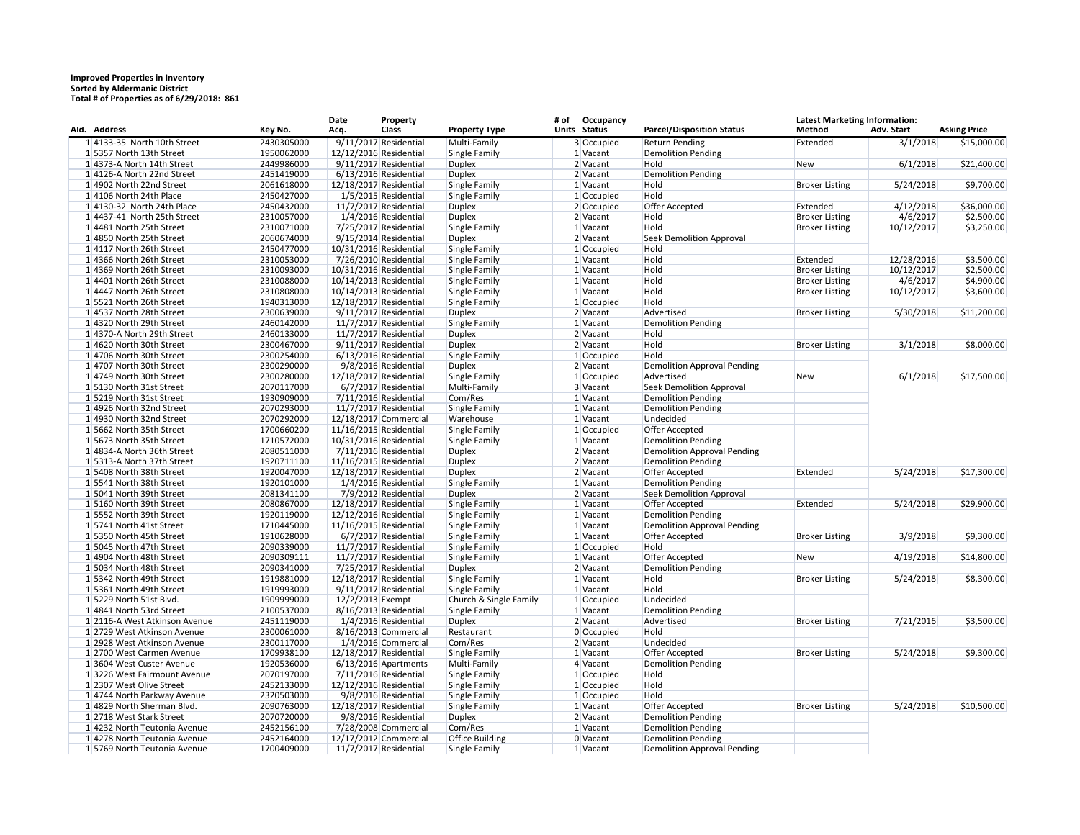## **Improved Properties in Inventory Sorted by Aldermanic District Total # of Properties as of 6/29/2018: 861**

| AId. Address                  | Key No.    | Date<br>Acq. | <b>Property</b><br><b>Class</b> | <b>Property Type</b>   | Occupancy<br># of<br>Units Status | Parcel/Disposition Status          | <b>Latest Marketing Information:</b><br><b>Method</b> | Adv. Start | <b>Asking Price</b> |
|-------------------------------|------------|--------------|---------------------------------|------------------------|-----------------------------------|------------------------------------|-------------------------------------------------------|------------|---------------------|
| 1 4133-35 North 10th Street   | 2430305000 |              | $9/11/2017$ Residential         | Multi-Family           | 3 Occupied                        | <b>Return Pending</b>              | Extended                                              | 3/1/2018   | \$15,000.00         |
| 1 5357 North 13th Street      | 1950062000 |              | 12/12/2016 Residential          | Single Family          | 1 Vacant                          | <b>Demolition Pending</b>          |                                                       |            |                     |
| 14373-A North 14th Street     | 2449986000 |              | $9/11/2017$ Residential         | <b>Duplex</b>          | $2$ Vacant                        | Hold                               | New                                                   | 6/1/2018   | \$21,400.00         |
| 14126-A North 22nd Street     | 2451419000 |              | 6/13/2016 Residential           | <b>Duplex</b>          | 2 Vacant                          | Demolition Pending                 |                                                       |            |                     |
| 14902 North 22nd Street       | 2061618000 |              | 12/18/2017 Residential          | Single Family          | 1 Vacant                          | Hold                               | <b>Broker Listing</b>                                 | 5/24/2018  | \$9,700.00          |
| 14106 North 24th Place        | 2450427000 |              | 1/5/2015 Residential            | Single Family          | 1 Occupied                        | Hold                               |                                                       |            |                     |
| $1 4130-32$ North 24th Place  | 2450432000 |              | 11/7/2017 Residential           | <b>Duplex</b>          | 2 Occupied                        | Offer Accepted                     | Extended                                              | 4/12/2018  | \$36,000.00         |
| $1 4437-41$ North 25th Street | 2310057000 |              | 1/4/2016 Residential            | <b>Duplex</b>          | $2$ Vacant                        | Hold                               | <b>Broker Listing</b>                                 | 4/6/2017   | \$2,500.00          |
| 1 4481 North 25th Street      | 2310071000 |              | 7/25/2017 Residential           | Single Family          | 1 Vacant                          | Hold                               | <b>Broker Listing</b>                                 | 10/12/2017 | \$3,250.00          |
| 1 4850 North 25th Street      | 2060674000 |              | 9/15/2014 Residential           | <b>Duplex</b>          | 2 Vacant                          | <b>Seek Demolition Approval</b>    |                                                       |            |                     |
| 14117 North 26th Street       | 2450477000 |              | 10/31/2016 Residential          | Single Family          | 1 Occupied                        | Hold                               |                                                       |            |                     |
| 1 4366 North 26th Street      | 2310053000 |              | 7/26/2010 Residential           | Single Family          | 1 Vacant                          | Hold                               | Extended                                              | 12/28/2016 | \$3,500.00          |
| 1 4369 North 26th Street      | 2310093000 |              | 10/31/2016 Residential          | Single Family          | $1$ Vacant                        | Hold                               | <b>Broker Listing</b>                                 | 10/12/2017 | \$2,500.00          |
| 1 4401 North 26th Street      | 2310088000 |              | 10/14/2013 Residential          | Single Family          | 1 Vacant                          | Hold                               | <b>Broker Listing</b>                                 | 4/6/2017   | \$4,900.00          |
|                               |            |              | 10/14/2013 Residential          | Single Family          |                                   | Hold                               |                                                       |            |                     |
| 1 4447 North 26th Street      | 2310808000 |              |                                 |                        | $1$ Vacant                        |                                    | <b>Broker Listing</b>                                 | 10/12/2017 | \$3,600.00          |
| 1 5521 North 26th Street      | 1940313000 |              | 12/18/2017 Residential          | Single Family          | 1 Occupied                        | Hold                               |                                                       |            |                     |
| 14537 North 28th Street       | 2300639000 |              | $9/11/2017$ Residential         | <b>Duplex</b>          | 2 Vacant                          | Advertised                         | <b>Broker Listing</b>                                 | 5/30/2018  | \$11,200.00         |
| 1 4320 North 29th Street      | 2460142000 |              | 11/7/2017 Residential           | Single Family          | 1 Vacant                          | <b>Demolition Pending</b>          |                                                       |            |                     |
| 1 4370-A North 29th Street    | 2460133000 |              | $11/7/2017$ Residential         | <b>Duplex</b>          | $2$ Vacant                        | Hold                               |                                                       |            |                     |
| 1 4620 North 30th Street      | 2300467000 |              | 9/11/2017 Residential           | <b>Duplex</b>          | $2$ Vacant                        | Hold                               | <b>Broker Listing</b>                                 | 3/1/2018   | \$8,000.00          |
| 1 4706 North 30th Street      | 2300254000 |              | $6/13/2016$ Residential         | Single Family          | 1 Occupied                        | Hold                               |                                                       |            |                     |
| 14707 North 30th Street       | 2300290000 |              | 9/8/2016 Residential            | <b>Duplex</b>          | 2 Vacant                          | <b>Demolition Approval Pending</b> |                                                       |            |                     |
| 14749 North 30th Street       | 2300280000 |              | 12/18/2017 Residential          | Single Family          | 1 Occupied                        | Advertised                         | New                                                   | 6/1/2018   | \$17,500.00         |
| 15130 North 31st Street       | 2070117000 |              | 6/7/2017 Residential            | Multi-Family           | 3 Vacant                          | <b>Seek Demolition Approval</b>    |                                                       |            |                     |
| 15219 North 31st Street       | 1930909000 |              | 7/11/2016 Residential           | Com/Res                | 1 Vacant                          | <b>Demolition Pending</b>          |                                                       |            |                     |
| 1 4926 North 32nd Street      | 2070293000 |              | 11/7/2017 Residential           | Single Family          | 1 Vacant                          | <b>Demolition Pending</b>          |                                                       |            |                     |
| 1 4930 North 32nd Street      | 2070292000 |              | 12/18/2017 Commercial           | Warehouse              | $1$ Vacant                        | Undecided                          |                                                       |            |                     |
| 1 5662 North 35th Street      | 1700660200 |              | 11/16/2015 Residential          | Single Family          | 1 Occupied                        | Offer Accepted                     |                                                       |            |                     |
| 15673 North 35th Street       | 1710572000 |              | 10/31/2016 Residential          | Single Family          | 1 Vacant                          | <b>Demolition Pending</b>          |                                                       |            |                     |
| 14834-A North 36th Street     | 2080511000 |              | 7/11/2016 Residential           | <b>Duplex</b>          | $2$ Vacant                        | <b>Demolition Approval Pending</b> |                                                       |            |                     |
| 1 5313-A North 37th Street    | 1920711100 |              | 11/16/2015 Residential          | <b>Duplex</b>          | $2$ Vacant                        | <b>Demolition Pending</b>          |                                                       |            |                     |
| 15408 North 38th Street       | 1920047000 |              | 12/18/2017 Residential          | <b>Duplex</b>          | $2$ Vacant                        | Offer Accepted                     | Extended                                              | 5/24/2018  | \$17,300.00         |
| 15541 North 38th Street       | 1920101000 |              | 1/4/2016 Residential            | Single Family          | 1 Vacant                          | <b>Demolition Pending</b>          |                                                       |            |                     |
| 15041 North 39th Street       | 2081341100 |              | 7/9/2012 Residential            | <b>Duplex</b>          | 2 Vacant                          | <b>Seek Demolition Approval</b>    |                                                       |            |                     |
| 1 5160 North 39th Street      | 2080867000 |              | 12/18/2017 Residential          | Single Family          | 1 Vacant                          | Offer Accepted                     | Extended                                              | 5/24/2018  | \$29,900.00         |
| 1 5552 North 39th Street      | 1920119000 |              | 12/12/2016 Residential          | Single Family          | 1 Vacant                          | <b>Demolition Pending</b>          |                                                       |            |                     |
| 15741 North 41st Street       | 1710445000 |              | 11/16/2015 Residential          | Single Family          | 1 Vacant                          | <b>Demolition Approval Pending</b> |                                                       |            |                     |
| 15350 North 45th Street       | 1910628000 |              | 6/7/2017 Residential            | Single Family          | 1 Vacant                          | Offer Accepted                     | <b>Broker Listing</b>                                 | 3/9/2018   | \$9,300.00          |
| 15045 North 47th Street       | 2090339000 |              | $11/7/2017$ Residential         | Single Family          | 1 Occupied                        | Hold                               |                                                       |            |                     |
| 1 4904 North 48th Street      | 2090309111 |              | 11/7/2017 Residential           | Single Family          | 1 Vacant                          | Offer Accepted                     | New                                                   | 4/19/2018  | \$14,800.00         |
| 1 5034 North 48th Street      | 2090341000 |              | 7/25/2017 Residential           | <b>Duplex</b>          | $2$ Vacant                        | <b>Demolition Pending</b>          |                                                       |            |                     |
| 1 5342 North 49th Street      | 1919881000 |              | 12/18/2017 Residential          | Single Family          | 1 Vacant                          | Hold                               | <b>Broker Listing</b>                                 | 5/24/2018  | \$8,300.00          |
| 1 5361 North 49th Street      | 1919993000 |              | $9/11/2017$ Residential         | Single Family          | 1 Vacant                          | Hold                               |                                                       |            |                     |
| 1 5229 North 51st Blvd.       | 1909999000 |              | 12/2/2013 Exempt                | Church & Single Family | 1 Occupied                        | Undecided                          |                                                       |            |                     |
| 1 4841 North 53rd Street      | 2100537000 |              | 8/16/2013 Residential           | Single Family          | $1$ Vacant                        | <b>Demolition Pending</b>          |                                                       |            |                     |
| 1 2116-A West Atkinson Avenue | 2451119000 |              | 1/4/2016 Residential            | <b>Duplex</b>          | 2 Vacant                          | Advertised                         | <b>Broker Listing</b>                                 | 7/21/2016  | \$3,500.00          |
| 1 2729 West Atkinson Avenue   | 2300061000 |              | 8/16/2013 Commercial            | Restaurant             | 0 Occupied                        | Hold                               |                                                       |            |                     |
| 1 2928 West Atkinson Avenue   | 2300117000 |              | 1/4/2016 Commercial             | Com/Res                | 2 Vacant                          | Undecided                          |                                                       |            |                     |
| 1 2700 West Carmen Avenue     | 1709938100 |              | 12/18/2017 Residential          | Single Family          | 1 Vacant                          | Offer Accepted                     | <b>Broker Listing</b>                                 | 5/24/2018  | \$9,300.00          |
| 13604 West Custer Avenue      | 1920536000 |              | $6/13/2016$ Apartments          | Multi-Family           | 4 Vacant                          | <b>Demolition Pending</b>          |                                                       |            |                     |
| 13226 West Fairmount Avenue   | 2070197000 |              | 7/11/2016 Residential           | Single Family          | 1 Occupied                        | Hold                               |                                                       |            |                     |
| 1 2307 West Olive Street      | 2452133000 |              | 12/12/2016 Residential          | Single Family          | 1 Occupied                        | Hold                               |                                                       |            |                     |
| 1 4744 North Parkway Avenue   | 2320503000 |              | 9/8/2016 Residential            | Single Family          | 1 Occupied                        | Hold                               |                                                       |            |                     |
| 1 4829 North Sherman Blvd.    | 2090763000 |              | 12/18/2017 Residential          | Single Family          | 1 Vacant                          | Offer Accepted                     | <b>Broker Listing</b>                                 | 5/24/2018  | \$10,500.00         |
| 12718 West Stark Street       | 2070720000 |              | 9/8/2016 Residential            | <b>Duplex</b>          | 2 Vacant                          | <b>Demolition Pending</b>          |                                                       |            |                     |
| 1 4232 North Teutonia Avenue  | 2452156100 |              | 7/28/2008 Commercial            | Com/Res                | 1 Vacant                          | <b>Demolition Pending</b>          |                                                       |            |                     |
| 1 4278 North Teutonia Avenue  | 2452164000 |              | 12/17/2012 Commercial           | <b>Office Building</b> | 0 Vacant                          | <b>Demolition Pending</b>          |                                                       |            |                     |
| 1 5769 North Teutonia Avenue  | 1700409000 |              | 11/7/2017 Residential           | Single Family          | 1 Vacant                          | <b>Demolition Approval Pending</b> |                                                       |            |                     |
|                               |            |              |                                 |                        |                                   |                                    |                                                       |            |                     |

| <b>Latest Marketing Information:</b><br>Method | Adv. Start<br><b>Asking Price</b> |             |  |  |  |  |
|------------------------------------------------|-----------------------------------|-------------|--|--|--|--|
|                                                |                                   |             |  |  |  |  |
| Extended                                       | 3/1/2018                          | \$15,000.00 |  |  |  |  |
|                                                |                                   |             |  |  |  |  |
| <b>New</b>                                     | 6/1/2018                          | \$21,400.00 |  |  |  |  |
|                                                |                                   |             |  |  |  |  |
| <b>Broker Listing</b>                          | 5/24/2018                         | \$9,700.00  |  |  |  |  |
|                                                |                                   |             |  |  |  |  |
| Extended                                       | 4/12/2018                         | \$36,000.00 |  |  |  |  |
| <b>Broker Listing</b>                          | 4/6/2017                          | \$2,500.00  |  |  |  |  |
| <b>Broker Listing</b>                          | 10/12/2017                        | \$3,250.00  |  |  |  |  |
|                                                |                                   |             |  |  |  |  |
|                                                |                                   |             |  |  |  |  |
|                                                |                                   |             |  |  |  |  |
| Extended                                       | 12/28/2016                        | \$3,500.00  |  |  |  |  |
| <b>Broker Listing</b>                          | 10/12/2017                        | \$2,500.00  |  |  |  |  |
| <b>Broker Listing</b>                          | 4/6/2017                          | \$4,900.00  |  |  |  |  |
| <b>Broker Listing</b>                          | 10/12/2017                        | \$3,600.00  |  |  |  |  |
|                                                |                                   |             |  |  |  |  |
| <b>Broker Listing</b>                          | 5/30/2018                         | \$11,200.00 |  |  |  |  |
|                                                |                                   |             |  |  |  |  |
|                                                |                                   |             |  |  |  |  |
| <b>Broker Listing</b>                          | 3/1/2018                          | \$8,000.00  |  |  |  |  |
|                                                |                                   |             |  |  |  |  |
|                                                |                                   |             |  |  |  |  |
|                                                |                                   |             |  |  |  |  |
| <b>New</b>                                     | 6/1/2018                          | \$17,500.00 |  |  |  |  |
|                                                |                                   |             |  |  |  |  |
|                                                |                                   |             |  |  |  |  |
|                                                |                                   |             |  |  |  |  |
|                                                |                                   |             |  |  |  |  |
|                                                |                                   |             |  |  |  |  |
|                                                |                                   |             |  |  |  |  |
|                                                |                                   |             |  |  |  |  |
|                                                |                                   |             |  |  |  |  |
| Extended                                       | 5/24/2018                         | \$17,300.00 |  |  |  |  |
|                                                |                                   |             |  |  |  |  |
|                                                |                                   |             |  |  |  |  |
|                                                |                                   |             |  |  |  |  |
| Extended                                       | 5/24/2018                         | \$29,900.00 |  |  |  |  |
|                                                |                                   |             |  |  |  |  |
|                                                |                                   |             |  |  |  |  |
| <b>Broker Listing</b>                          | 3/9/2018                          | \$9,300.00  |  |  |  |  |
|                                                |                                   |             |  |  |  |  |
| New                                            | 4/19/2018                         | \$14,800.00 |  |  |  |  |
|                                                |                                   |             |  |  |  |  |
|                                                |                                   |             |  |  |  |  |
| <b>Broker Listing</b>                          | 5/24/2018                         | \$8,300.00  |  |  |  |  |
|                                                |                                   |             |  |  |  |  |
|                                                |                                   |             |  |  |  |  |
|                                                |                                   |             |  |  |  |  |
| <b>Broker Listing</b>                          | 7/21/2016                         | \$3,500.00  |  |  |  |  |
|                                                |                                   |             |  |  |  |  |
|                                                |                                   |             |  |  |  |  |
| <b>Broker Listing</b>                          | 5/24/2018                         | \$9,300.00  |  |  |  |  |
|                                                |                                   |             |  |  |  |  |
|                                                |                                   |             |  |  |  |  |
|                                                |                                   |             |  |  |  |  |
|                                                |                                   |             |  |  |  |  |
|                                                |                                   |             |  |  |  |  |
| <b>Broker Listing</b>                          | 5/24/2018                         | \$10,500.00 |  |  |  |  |
|                                                |                                   |             |  |  |  |  |
|                                                |                                   |             |  |  |  |  |
|                                                |                                   |             |  |  |  |  |
|                                                |                                   |             |  |  |  |  |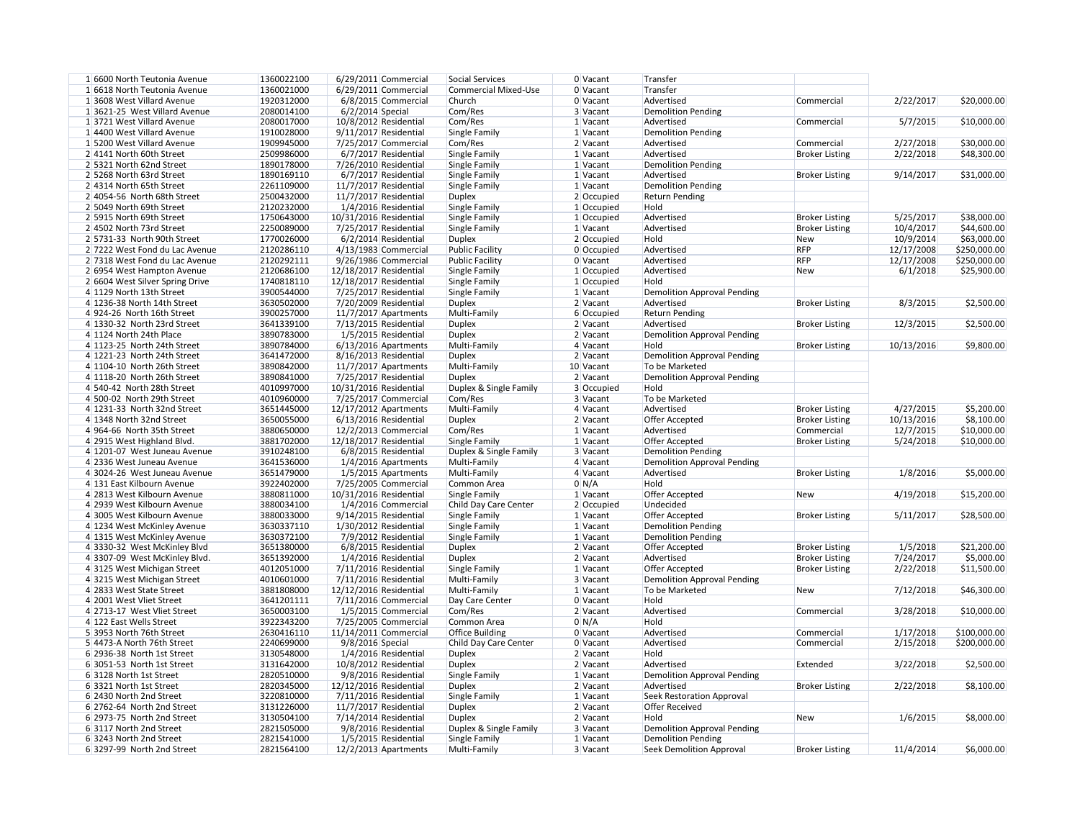| U Vacant     | Transfer                           |                       |            |              |
|--------------|------------------------------------|-----------------------|------------|--------------|
| 0 Vacant     | Transfer                           |                       |            |              |
| 0 Vacant     | Advertised                         | Commercial            | 2/22/2017  | \$20,000.00  |
| 3 Vacant     | <b>Demolition Pending</b>          |                       |            |              |
| 1 Vacant     | Advertised                         | Commercial            | 5/7/2015   | \$10,000.00  |
| 1 Vacant     | <b>Demolition Pending</b>          |                       |            |              |
| 2 Vacant     | Advertised                         | Commercial            | 2/27/2018  | \$30,000.00  |
| 1 Vacant     | Advertised                         | <b>Broker Listing</b> | 2/22/2018  | \$48,300.00  |
| 1 Vacant     | <b>Demolition Pending</b>          |                       |            |              |
| 1 Vacant     | Advertised                         | <b>Broker Listing</b> | 9/14/2017  | \$31,000.00  |
| 1 Vacant     | <b>Demolition Pending</b>          |                       |            |              |
| 2 Occupied   | <b>Return Pending</b>              |                       |            |              |
| 1 Occupied   | Hold                               |                       |            |              |
| $1$ Occupied | Advertised                         | <b>Broker Listing</b> | 5/25/2017  | \$38,000.00  |
| 1 Vacant     | Advertised                         | <b>Broker Listing</b> | 10/4/2017  | \$44,600.00  |
| 2 Occupied   | Hold                               | <b>New</b>            | 10/9/2014  | \$63,000.00  |
| 0 Occupied   | Advertised                         | <b>RFP</b>            | 12/17/2008 | \$250,000.00 |
| 0 Vacant     | Advertised                         | <b>RFP</b>            | 12/17/2008 | \$250,000.00 |
|              | Advertised                         |                       | 6/1/2018   | \$25,900.00  |
| 1 Occupied   |                                    | <b>New</b>            |            |              |
| 1 Occupied   | Hold                               |                       |            |              |
| 1 Vacant     | <b>Demolition Approval Pending</b> |                       |            |              |
| 2 Vacant     | Advertised                         | <b>Broker Listing</b> | 8/3/2015   | \$2,500.00   |
| 6 Occupied   | <b>Return Pending</b>              |                       |            |              |
| 2 Vacant     | Advertised                         | <b>Broker Listing</b> | 12/3/2015  | \$2,500.00   |
| 2 Vacant     | <b>Demolition Approval Pending</b> |                       |            |              |
| 4 Vacant     | Hold                               | <b>Broker Listing</b> | 10/13/2016 | \$9,800.00   |
| 2 Vacant     | <b>Demolition Approval Pending</b> |                       |            |              |
| 0 Vacant     | To be Marketed                     |                       |            |              |
| 2 Vacant     | <b>Demolition Approval Pending</b> |                       |            |              |
| 3 Occupied   | Hold                               |                       |            |              |
| 3 Vacant     | To be Marketed                     |                       |            |              |
| 4 Vacant     | Advertised                         | <b>Broker Listing</b> | 4/27/2015  | \$5,200.00   |
| 2 Vacant     | <b>Offer Accepted</b>              | <b>Broker Listing</b> | 10/13/2016 | \$8,100.00   |
| 1 Vacant     | Advertised                         | Commercial            | 12/7/2015  | \$10,000.00  |
| 1 Vacant     | Offer Accepted                     | <b>Broker Listing</b> | 5/24/2018  | \$10,000.00  |
| 3 Vacant     | <b>Demolition Pending</b>          |                       |            |              |
| 4 Vacant     | <b>Demolition Approval Pending</b> |                       |            |              |
| 4∣Vacant     | Advertised                         | <b>Broker Listing</b> | 1/8/2016   | \$5,000.00   |
| 0 N/A        | Hold                               |                       |            |              |
| 1 Vacant     | Offer Accepted                     | <b>New</b>            | 4/19/2018  | \$15,200.00  |
| 2 Occupied   | Undecided                          |                       |            |              |
| 1 Vacant     | Offer Accepted                     | <b>Broker Listing</b> | 5/11/2017  | \$28,500.00  |
| 1 Vacant     | <b>Demolition Pending</b>          |                       |            |              |
|              |                                    |                       |            |              |
| 1 Vacant     | <b>Demolition Pending</b>          |                       |            |              |
| 2 Vacant     | <b>Offer Accepted</b>              | <b>Broker Listing</b> | 1/5/2018   | \$21,200.00  |
| 2 Vacant     | Advertised                         | <b>Broker Listing</b> | 7/24/2017  | \$5,000.00   |
| 1 Vacant     | Offer Accepted                     | <b>Broker Listing</b> | 2/22/2018  | \$11,500.00  |
| 3 Vacant     | <b>Demolition Approval Pending</b> |                       |            |              |
| 1 Vacant     | To be Marketed                     | <b>New</b>            | 7/12/2018  | \$46,300.00  |
| 0 Vacant     | Hold                               |                       |            |              |
| 2 Vacant     | Advertised                         | Commercial            | 3/28/2018  | \$10,000.00  |
| 0 N/A        | Hold                               |                       |            |              |
| 0 Vacant     | Advertised                         | Commercial            | 1/17/2018  | \$100,000.00 |
| 0 Vacant     | Advertised                         | Commercial            | 2/15/2018  | \$200,000.00 |
| 2 Vacant     | Hold                               |                       |            |              |
| 2 Vacant     | Advertised                         | Extended              | 3/22/2018  | \$2,500.00   |
| 1 Vacant     | <b>Demolition Approval Pending</b> |                       |            |              |
| 2 Vacant     | Advertised                         | <b>Broker Listing</b> | 2/22/2018  | \$8,100.00   |
| 1 Vacant     | <b>Seek Restoration Approval</b>   |                       |            |              |
| 2 Vacant     | <b>Offer Received</b>              |                       |            |              |
| 2 Vacant     | Hold                               | <b>New</b>            | 1/6/2015   | \$8,000.00   |
| 3 Vacant     | <b>Demolition Approval Pending</b> |                       |            |              |
| 1 Vacant     | <b>Demolition Pending</b>          |                       |            |              |
| 3 Vacant     | <b>Seek Demolition Approval</b>    | <b>Broker Listing</b> | 11/4/2014  | \$6,000.00   |
|              |                                    |                       |            |              |

| 1 6600 North Teutonia Avenue    | 1360022100 | $6/29/2011$ Commercial  | Social Services        | 0 Vacant     | Transfer                           |                       |            |              |
|---------------------------------|------------|-------------------------|------------------------|--------------|------------------------------------|-----------------------|------------|--------------|
| 1 6618 North Teutonia Avenue    | 1360021000 | $6/29/2011$ Commercial  | Commercial Mixed-Use   | 0 Vacant     | Transfer                           |                       |            |              |
| 1 3608 West Villard Avenue      | 1920312000 | 6/8/2015 Commercial     | Church                 | 0 Vacant     | Advertised                         | Commercial            | 2/22/2017  | \$20,000.00  |
| 13621-25 West Villard Avenue    | 2080014100 | $6/2/2014$ Special      | Com/Res                | 3 Vacant     | <b>Demolition Pending</b>          |                       |            |              |
| 13721 West Villard Avenue       | 2080017000 | 10/8/2012 Residential   | Com/Res                | $1$ Vacant   | Advertised                         | Commercial            | 5/7/2015   | \$10,000.00  |
| 1 4400 West Villard Avenue      | 1910028000 | $9/11/2017$ Residential | Single Family          | $1$ Vacant   | Demolition Pending                 |                       |            |              |
| 1 5200 West Villard Avenue      | 1909945000 | 7/25/2017 Commercial    | Com/Res                | 2 Vacant     | Advertised                         | Commercial            | 2/27/2018  | \$30,000.00  |
| 24141 North 60th Street         | 2509986000 | 6/7/2017 Residential    | Single Family          | 1 Vacant     | Advertised                         | <b>Broker Listing</b> | 2/22/2018  | \$48,300.00  |
| 2 5321 North 62nd Street        | 1890178000 | 7/26/2010 Residential   | Single Family          | 1 Vacant     | <b>Demolition Pending</b>          |                       |            |              |
| 2 5268 North 63rd Street        |            |                         |                        |              |                                    |                       |            |              |
|                                 | 1890169110 | 6/7/2017 Residential    | Single Family          | 1 Vacant     | Advertised                         | <b>Broker Listing</b> | 9/14/2017  | \$31,000.00  |
| 2 4314 North 65th Street        | 2261109000 | 11/7/2017 Residential   | Single Family          | 1 Vacant     | <b>Demolition Pending</b>          |                       |            |              |
| $2 4054-56$ North 68th Street   | 2500432000 | 11/7/2017 Residential   | <b>Duplex</b>          | 2 Occupied   | <b>Return Pending</b>              |                       |            |              |
| 2 5049 North 69th Street        | 2120232000 | 1/4/2016 Residential    | Single Family          | $1$ Occupied | Hold                               |                       |            |              |
| 2 5915 North 69th Street        | 1750643000 | 10/31/2016 Residential  | Single Family          | 1 Occupied   | Advertised                         | <b>Broker Listing</b> | 5/25/2017  | \$38,000.00  |
| 24502 North 73rd Street         | 2250089000 | 7/25/2017 Residential   | Single Family          | 1 Vacant     | Advertised                         | <b>Broker Listing</b> | 10/4/2017  | \$44,600.00  |
| 2 5731-33 North 90th Street     | 1770026000 | $6/2/2014$ Residential  | <b>Duplex</b>          | 2 Occupied   | Hold                               | <b>New</b>            | 10/9/2014  | \$63,000.00  |
| 2 7222 West Fond du Lac Avenue  | 2120286110 | 4/13/1983 Commercial    | <b>Public Facility</b> | 0 Occupied   | Advertised                         | <b>RFP</b>            | 12/17/2008 | \$250,000.00 |
| 2 7318 West Fond du Lac Avenue  | 2120292111 | 9/26/1986 Commercial    | <b>Public Facility</b> | 0 Vacant     | Advertised                         | <b>RFP</b>            | 12/17/2008 | \$250,000.00 |
| 2 6954 West Hampton Avenue      | 2120686100 | 12/18/2017 Residential  | Single Family          | 1 Occupied   | Advertised                         | New                   | 6/1/2018   | \$25,900.00  |
| 2 6604 West Silver Spring Drive | 1740818110 | 12/18/2017 Residential  | Single Family          | $1$ Occupied | Hold                               |                       |            |              |
| 4 1129 North 13th Street        | 3900544000 | 7/25/2017 Residential   | <b>Single Family</b>   | $1$ Vacant   | <b>Demolition Approval Pending</b> |                       |            |              |
|                                 |            |                         |                        |              |                                    |                       |            |              |
| 4 1236-38 North 14th Street     | 3630502000 | 7/20/2009 Residential   | <b>Duplex</b>          | 2 Vacant     | Advertised                         | <b>Broker Listing</b> | 8/3/2015   | \$2,500.00   |
| 4924-26 North 16th Street       | 3900257000 | 11/7/2017 Apartments    | Multi-Family           | 6 Occupied   | <b>Return Pending</b>              |                       |            |              |
| 4 1330-32 North 23rd Street     | 3641339100 | 7/13/2015 Residential   | <b>Duplex</b>          | 2 Vacant     | Advertised                         | <b>Broker Listing</b> | 12/3/2015  | \$2,500.00   |
| 4 1124 North 24th Place         | 3890783000 | 1/5/2015 Residential    | <b>Duplex</b>          | 2 Vacant     | <b>Demolition Approval Pending</b> |                       |            |              |
| 4 1123-25 North 24th Street     | 3890784000 | $6/13/2016$ Apartments  | Multi-Family           | $4$ Vacant   | Hold                               | <b>Broker Listing</b> | 10/13/2016 | \$9,800.00   |
| $4 1221-23$ North 24th Street   | 3641472000 | 8/16/2013 Residential   | <b>Duplex</b>          | 2 Vacant     | <b>Demolition Approval Pending</b> |                       |            |              |
| 4 1104-10 North 26th Street     | 3890842000 | 11/7/2017 Apartments    | Multi-Family           | 10 Vacant    | To be Marketed                     |                       |            |              |
| 4 1118-20 North 26th Street     | 3890841000 | 7/25/2017 Residential   | <b>Duplex</b>          | 2 Vacant     | <b>Demolition Approval Pending</b> |                       |            |              |
| 4 540-42 North 28th Street      | 4010997000 | 10/31/2016 Residential  | Duplex & Single Family | 3 Occupied   | Hold                               |                       |            |              |
| 4 500-02 North 29th Street      | 4010960000 | 7/25/2017 Commercial    | Com/Res                | 3 Vacant     | To be Marketed                     |                       |            |              |
|                                 |            |                         |                        |              | Advertised                         |                       | 4/27/2015  | \$5,200.00   |
| $4 1231-33$ North 32nd Street   | 3651445000 | $12/17/2012$ Apartments | Multi-Family           | 4 Vacant     |                                    | <b>Broker Listing</b> |            |              |
| 4 1348 North 32nd Street        | 3650055000 | $6/13/2016$ Residential | <b>Duplex</b>          | 2 Vacant     | Offer Accepted                     | <b>Broker Listing</b> | 10/13/2016 | \$8,100.00   |
| 4 964-66 North 35th Street      | 3880650000 | 12/2/2013 Commercial    | Com/Res                | 1 Vacant     | Advertised                         | Commercial            | 12/7/2015  | \$10,000.00  |
| 4 2915 West Highland Blvd.      | 3881702000 | 12/18/2017 Residential  | Single Family          | $1$ Vacant   | <b>Offer Accepted</b>              | <b>Broker Listing</b> | 5/24/2018  | \$10,000.00  |
| 4 1201-07 West Juneau Avenue    | 3910248100 | 6/8/2015 Residential    | Duplex & Single Family | 3 Vacant     | <b>Demolition Pending</b>          |                       |            |              |
| 4 2336 West Juneau Avenue       | 3641536000 | $1/4/2016$ Apartments   | Multi-Family           | 4 Vacant     | <b>Demolition Approval Pending</b> |                       |            |              |
| 4 3024-26 West Juneau Avenue    | 3651479000 | $1/5/2015$ Apartments   | Multi-Family           | 4 Vacant     | Advertised                         | <b>Broker Listing</b> | 1/8/2016   | \$5,000.00   |
| 4 131 East Kilbourn Avenue      | 3922402000 | 7/25/2005 Commercial    | Common Area            | 0 N/A        | Hold                               |                       |            |              |
| 4 2813 West Kilbourn Avenue     | 3880811000 | 10/31/2016 Residential  | Single Family          | 1 Vacant     | Offer Accepted                     | New                   | 4/19/2018  | \$15,200.00  |
| 4 2939 West Kilbourn Avenue     | 3880034100 | 1/4/2016 Commercial     | Child Day Care Center  | 2 Occupied   | Undecided                          |                       |            |              |
| 4 3005 West Kilbourn Avenue     | 3880033000 | $9/14/2015$ Residential | Single Family          | $1$ Vacant   | Offer Accepted                     | <b>Broker Listing</b> | 5/11/2017  | \$28,500.00  |
|                                 |            |                         |                        |              |                                    |                       |            |              |
| 4 1234 West McKinley Avenue     | 3630337110 | $1/30/2012$ Residential | Single Family          | 1 Vacant     | <b>Demolition Pending</b>          |                       |            |              |
| 4 1315 West McKinley Avenue     | 3630372100 | 7/9/2012 Residential    | Single Family          | $1$ Vacant   | <b>Demolition Pending</b>          |                       |            |              |
| 4 3330-32 West McKinley Blvd    | 3651380000 | 6/8/2015 Residential    | <b>Duplex</b>          | 2 Vacant     | Offer Accepted                     | <b>Broker Listing</b> | 1/5/2018   | \$21,200.00  |
| 4 3307-09 West McKinley Blvd.   | 3651392000 | 1/4/2016 Residential    | <b>Duplex</b>          | 2 Vacant     | Advertised                         | <b>Broker Listing</b> | 7/24/2017  | \$5,000.00   |
| 43125 West Michigan Street      | 4012051000 | 7/11/2016 Residential   | Single Family          | $1$ Vacant   | Offer Accepted                     | <b>Broker Listing</b> | 2/22/2018  | \$11,500.00  |
| 43215 West Michigan Street      | 4010601000 | $7/11/2016$ Residential | Multi-Family           | 3 Vacant     | <b>Demolition Approval Pending</b> |                       |            |              |
| 4 2833 West State Street        | 3881808000 | 12/12/2016 Residential  | Multi-Family           | $1$ Vacant   | To be Marketed                     | New                   | 7/12/2018  | \$46,300.00  |
| 4 2001 West Vliet Street        | 3641201111 | 7/11/2016 Commercial    | Day Care Center        | 0 Vacant     | Hold                               |                       |            |              |
| 4 2713-17 West Vliet Street     | 3650003100 | 1/5/2015 Commercial     | Com/Res                | 2 Vacant     | Advertised                         | Commercial            | 3/28/2018  | \$10,000.00  |
| 4 122 East Wells Street         | 3922343200 | 7/25/2005 Commercial    | Common Area            | $0 \mid N/A$ | Hold                               |                       |            |              |
| 5 3953 North 76th Street        | 2630416110 | $11/14/2011$ Commercial | <b>Office Building</b> | 0 Vacant     | Advertised                         | Commercial            | 1/17/2018  | \$100,000.00 |
|                                 |            |                         |                        |              |                                    |                       |            |              |
| 5 4473-A North 76th Street      | 2240699000 | 9/8/2016 Special        | Child Day Care Center  | 0 Vacant     | Advertised                         | Commercial            | 2/15/2018  | \$200,000.00 |
| 6 2936-38 North 1st Street      | 3130548000 | 1/4/2016 Residential    | <b>Duplex</b>          | $2$ Vacant   | Hold                               |                       |            |              |
| 6 3051-53 North 1st Street      | 3131642000 | 10/8/2012 Residential   | <b>Duplex</b>          | $2$ Vacant   | Advertised                         | Extended              | 3/22/2018  | \$2,500.00   |
| 63128 North 1st Street          | 2820510000 | 9/8/2016 Residential    | Single Family          | $1$ Vacant   | <b>Demolition Approval Pending</b> |                       |            |              |
| 6 3321 North 1st Street         | 2820345000 | 12/12/2016 Residential  | <b>Duplex</b>          | $2$ Vacant   | Advertised                         | <b>Broker Listing</b> | 2/22/2018  | \$8,100.00   |
| 6 2430 North 2nd Street         | 3220810000 | 7/11/2016 Residential   | Single Family          | $1$ Vacant   | <b>Seek Restoration Approval</b>   |                       |            |              |
| 6 2762-64 North 2nd Street      | 3131226000 | 11/7/2017 Residential   | <b>Duplex</b>          | 2 Vacant     | <b>Offer Received</b>              |                       |            |              |
| 6 2973-75 North 2nd Street      | 3130504100 | $7/14/2014$ Residential | <b>Duplex</b>          | 2 Vacant     | Hold                               | New                   | 1/6/2015   | \$8,000.00   |
| 6 3117 North 2nd Street         | 2821505000 | 9/8/2016 Residential    | Duplex & Single Family | 3 Vacant     | <b>Demolition Approval Pending</b> |                       |            |              |
| 6 3243 North 2nd Street         | 2821541000 | 1/5/2015 Residential    | Single Family          | 1 Vacant     | <b>Demolition Pending</b>          |                       |            |              |
|                                 |            |                         |                        |              |                                    |                       | 11/4/2014  |              |
| 6 3297-99 North 2nd Street      | 2821564100 | $12/2/2013$ Apartments  | Multi-Family           | 3 Vacant     | <b>Seek Demolition Approval</b>    | <b>Broker Listing</b> |            | \$6,000.00   |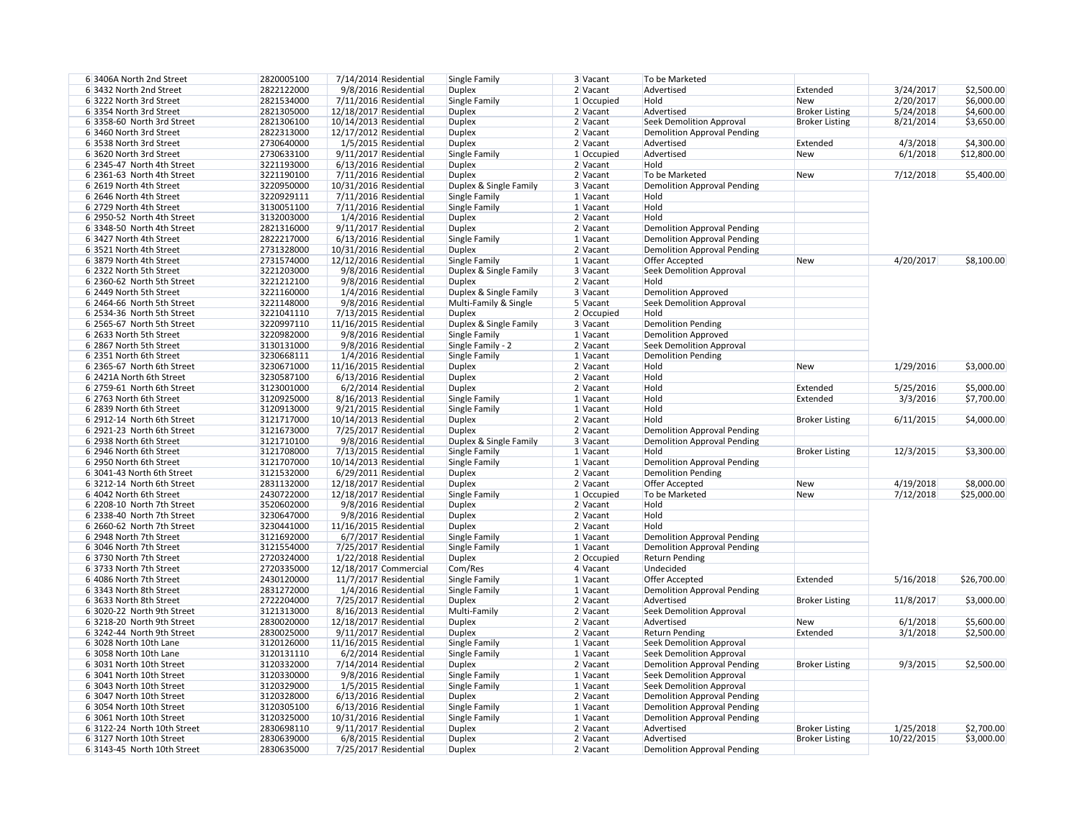| 63406A North 2nd Street                                 | 2820005100               | $7/14/2014$ Residential                       | Single Family                  | 3 Vacant             | To be Marketed                                   |
|---------------------------------------------------------|--------------------------|-----------------------------------------------|--------------------------------|----------------------|--------------------------------------------------|
| 6 3432 North 2nd Street                                 | 2822122000               | 9/8/2016 Residential                          | <b>Duplex</b>                  | 2 Vacant             | Advertised                                       |
| 6 3222 North 3rd Street                                 | 2821534000               | 7/11/2016 Residential                         | Single Family                  | $1$ Occupied         | Hold                                             |
| 6 3354 North 3rd Street                                 | 2821305000               | 12/18/2017 Residential                        | <b>Duplex</b>                  | 2 Vacant             | Advertised                                       |
| 6 3358-60 North 3rd Street                              | 2821306100               | 10/14/2013 Residential                        | <b>Duplex</b>                  | 2 Vacant             | <b>Seek Demolition Approval</b>                  |
| 6 3460 North 3rd Street                                 | 2822313000               | 12/17/2012 Residential                        | <b>Duplex</b>                  | $2$ Vacant           | <b>Demolition Approval Pending</b>               |
| 6 3538 North 3rd Street                                 | 2730640000               | 1/5/2015 Residential                          | <b>Duplex</b>                  | 2 Vacant             | Advertised                                       |
| 6 3620 North 3rd Street                                 | 2730633100               | 9/11/2017 Residential                         | Single Family                  | $1$ Occupied         | Advertised                                       |
| 6 2345-47 North 4th Street                              | 3221193000               | $6/13/2016$ Residential                       | <b>Duplex</b>                  | 2 Vacant             | Hold                                             |
| 6 2361-63 North 4th Street                              | 3221190100               | 7/11/2016 Residential                         | <b>Duplex</b>                  | 2 Vacant             | To be Marketed                                   |
|                                                         |                          |                                               |                                |                      |                                                  |
| 6 2619 North 4th Street                                 | 3220950000               | 10/31/2016 Residential                        | Duplex & Single Family         | 3 Vacant             | <b>Demolition Approval Pending</b>               |
| 6 2646 North 4th Street                                 | 3220929111               | $7/11/2016$ Residential                       | Single Family                  | $1$ Vacant           | Hold                                             |
| 6 2729 North 4th Street                                 | 3130051100               | $7/11/2016$ Residential                       | Single Family                  | 1 Vacant             | Hold                                             |
| 6 2950-52 North 4th Street                              | 3132003000               | $1/4/2016$ Residential                        | <b>Duplex</b>                  | 2 Vacant             | Hold                                             |
| 6 3348-50 North 4th Street                              | 2821316000               | $9/11/2017$ Residential                       | <b>Duplex</b>                  | 2 Vacant             | <b>Demolition Approval Pending</b>               |
| 6 3427 North 4th Street                                 | 2822217000               | 6/13/2016 Residential                         | Single Family                  | 1 Vacant             | <b>Demolition Approval Pending</b>               |
| 6 3521 North 4th Street                                 | 2731328000               | 10/31/2016 Residential                        | <b>Duplex</b>                  | 2 Vacant             | <b>Demolition Approval Pending</b>               |
| 6 3879 North 4th Street                                 | 2731574000               | 12/12/2016 Residential                        | Single Family                  | 1 Vacant             | Offer Accepted                                   |
| 6 2322 North 5th Street                                 | 3221203000               | 9/8/2016 Residential                          | Duplex & Single Family         | 3 Vacant             | <b>Seek Demolition Approval</b>                  |
| 6 2360-62 North 5th Street                              | 3221212100               | 9/8/2016 Residential                          | <b>Duplex</b>                  | 2 Vacant             | Hold                                             |
| 6 2449 North 5th Street                                 | 3221160000               | 1/4/2016 Residential                          | Duplex & Single Family         | 3 Vacant             | <b>Demolition Approved</b>                       |
| 6 2464-66 North 5th Street                              | 3221148000               | 9/8/2016 Residential                          | Multi-Family & Single          | 5 Vacant             | <b>Seek Demolition Approval</b>                  |
|                                                         |                          |                                               |                                |                      |                                                  |
| 6 2534-36 North 5th Street                              | 3221041110               | 7/13/2015 Residential                         | <b>Duplex</b>                  | 2 Occupied           | Hold                                             |
| 6 2565-67 North 5th Street                              | 3220997110               | 11/16/2015 Residential                        | Duplex & Single Family         | 3 Vacant             | <b>Demolition Pending</b>                        |
| 6 2633 North 5th Street                                 | 3220982000               | 9/8/2016 Residential                          | Single Family                  | 1 Vacant             | <b>Demolition Approved</b>                       |
| 6 2867 North 5th Street                                 | 3130131000               | 9/8/2016 Residential                          | Single Family - 2              | 2 Vacant             | <b>Seek Demolition Approval</b>                  |
| 6 2351 North 6th Street                                 | 3230668111               | 1/4/2016 Residential                          | Single Family                  | 1 Vacant             | <b>Demolition Pending</b>                        |
| 6 2365-67 North 6th Street                              | 3230671000               | 11/16/2015 Residential                        | <b>Duplex</b>                  | 2 Vacant             | Hold                                             |
| 6 2421A North 6th Street                                | 3230587100               | 6/13/2016 Residential                         | <b>Duplex</b>                  | 2 Vacant             | Hold                                             |
| 6 2759-61 North 6th Street                              | 3123001000               | $6/2/2014$ Residential                        | <b>Duplex</b>                  | 2 Vacant             | Hold                                             |
| 6 2763 North 6th Street                                 | 3120925000               | 8/16/2013 Residential                         | Single Family                  | 1 Vacant             | Hold                                             |
| 6 2839 North 6th Street                                 | 3120913000               | $9/21/2015$ Residential                       | Single Family                  | 1 Vacant             | Hold                                             |
| 6 2912-14 North 6th Street                              | 3121717000               | 10/14/2013 Residential                        | <b>Duplex</b>                  | $2$ Vacant           | Hold                                             |
| 6 2921-23 North 6th Street                              | 3121673000               | 7/25/2017 Residential                         |                                | 2 Vacant             |                                                  |
|                                                         |                          |                                               | <b>Duplex</b>                  |                      | <b>Demolition Approval Pending</b>               |
| 6 2938 North 6th Street                                 | 3121710100               | 9/8/2016 Residential                          | Duplex & Single Family         | 3 Vacant             | <b>Demolition Approval Pending</b>               |
| 6 2946 North 6th Street                                 | 3121708000               | 7/13/2015 Residential                         | Single Family                  | 1 Vacant             | Hold                                             |
| 6 2950 North 6th Street                                 | 3121707000               | 10/14/2013 Residential                        | Single Family                  | 1 Vacant             | Demolition Approval Pending                      |
| 6 3041-43 North 6th Street                              | 3121532000               | $6/29/2011$ Residential                       | <b>Duplex</b>                  | 2 Vacant             | <b>Demolition Pending</b>                        |
| 63212-14 North 6th Street                               | 2831132000               | 12/18/2017 Residential                        | <b>Duplex</b>                  | 2 Vacant             | Offer Accepted                                   |
| 6 4042 North 6th Street                                 | 2430722000               | 12/18/2017 Residential                        | Single Family                  | $1$ Occupied         | To be Marketed                                   |
| 6 2208-10 North 7th Street                              | 3520602000               | 9/8/2016 Residential                          | <b>Duplex</b>                  | 2 Vacant             | Hold                                             |
| 6 2338-40 North 7th Street                              | 3230647000               | 9/8/2016 Residential                          | <b>Duplex</b>                  | 2 Vacant             | Hold                                             |
| 6 2660-62 North 7th Street                              | 3230441000               | 11/16/2015 Residential                        | <b>Duplex</b>                  | 2 Vacant             | Hold                                             |
| 6 2948 North 7th Street                                 | 3121692000               | 6/7/2017 Residential                          | Single Family                  | 1 Vacant             | <b>Demolition Approval Pending</b>               |
| 6 3046 North 7th Street                                 | 3121554000               | 7/25/2017 Residential                         | Single Family                  | 1 Vacant             | <b>Demolition Approval Pending</b>               |
| 6 3730 North 7th Street                                 | 2720324000               | $1/22/2018$ Residential                       | <b>Duplex</b>                  | 2 Occupied           | <b>Return Pending</b>                            |
| 6 3733 North 7th Street                                 | 2720335000               | 12/18/2017 Commercial                         | Com/Res                        | 4 Vacant             | Undecided                                        |
| 6 4086 North 7th Street                                 | 2430120000               | $11/7/2017$ Residential                       | Single Family                  | 1 Vacant             |                                                  |
|                                                         |                          |                                               |                                |                      | Offer Accepted                                   |
| 6 3343 North 8th Street                                 | 2831272000               | 1/4/2016 Residential                          | Single Family                  | 1 Vacant             | <b>Demolition Approval Pending</b>               |
| 6 3633 North 8th Street                                 | 2722204000               | 7/25/2017 Residential                         | <b>Duplex</b>                  | 2 Vacant             | Advertised                                       |
| 6 3020-22 North 9th Street                              | 3121313000               | 8/16/2013 Residential                         | Multi-Family                   | 2 Vacant             | <b>Seek Demolition Approval</b>                  |
| 6 3218-20 North 9th Street                              | 2830020000               | 12/18/2017 Residential                        | <b>Duplex</b>                  | 2 Vacant             | Advertised                                       |
| 6 3242-44 North 9th Street                              | 2830025000               | $9/11/2017$ Residential                       | <b>Duplex</b>                  | 2 Vacant             | <b>Return Pending</b>                            |
| 6 3028 North 10th Lane                                  | 3120126000               | 11/16/2015 Residential                        | Single Family                  | 1 Vacant             | <b>Seek Demolition Approval</b>                  |
| 6 3058 North 10th Lane                                  | 3120131110               | $6/2/2014$ Residential                        | Single Family                  | 1 Vacant             | <b>Seek Demolition Approval</b>                  |
| 6 3031 North 10th Street                                | 3120332000               | 7/14/2014 Residential                         | <b>Duplex</b>                  | 2 Vacant             | <b>Demolition Approval Pending</b>               |
| 6 3041 North 10th Street                                | 3120330000               | 9/8/2016 Residential                          | Single Family                  | 1 Vacant             | <b>Seek Demolition Approval</b>                  |
| 6 3043 North 10th Street                                | 3120329000               | 1/5/2015 Residential                          | Single Family                  | 1 Vacant             | <b>Seek Demolition Approval</b>                  |
| 6 3047 North 10th Street                                | 3120328000               | $6/13/2016$ Residential                       | <b>Duplex</b>                  | 2 Vacant             | <b>Demolition Approval Pending</b>               |
| 6 3054 North 10th Street                                | 3120305100               | 6/13/2016 Residential                         | Single Family                  | 1 Vacant             | <b>Demolition Approval Pending</b>               |
|                                                         |                          |                                               |                                |                      |                                                  |
| 6 3061 North 10th Street                                | 3120325000               | 10/31/2016 Residential                        | Single Family                  | 1 Vacant             | <b>Demolition Approval Pending</b>               |
| 6 3122-24 North 10th Street                             |                          |                                               |                                |                      |                                                  |
|                                                         | 2830698110               | 9/11/2017 Residential                         | <b>Duplex</b>                  | 2 Vacant             | Advertised                                       |
| 6 3127 North 10th Street<br>6 3143-45 North 10th Street | 2830639000<br>2830635000 | 6/8/2015 Residential<br>7/25/2017 Residential | <b>Duplex</b><br><b>Duplex</b> | 2 Vacant<br>2 Vacant | Advertised<br><b>Demolition Approval Pending</b> |

| 3 Vacant    | To be Marketed                     |                       |            |             |
|-------------|------------------------------------|-----------------------|------------|-------------|
| 2 Vacant    | Advertised                         | Extended              | 3/24/2017  | \$2,500.00  |
| 1 Occupied  | Hold                               | <b>New</b>            | 2/20/2017  | \$6,000.00  |
| 2 Vacant    | Advertised                         | <b>Broker Listing</b> | 5/24/2018  | \$4,600.00  |
| 2 Vacant    | <b>Seek Demolition Approval</b>    | <b>Broker Listing</b> | 8/21/2014  | \$3,650.00  |
| 2 Vacant    | <b>Demolition Approval Pending</b> |                       |            |             |
| 2 Vacant    | Advertised                         | Extended              | 4/3/2018   | \$4,300.00  |
| 1 Occupied  | Advertised                         | <b>New</b>            | 6/1/2018   | \$12,800.00 |
| 2 Vacant    | Hold                               |                       |            |             |
| 2 Vacant    | To be Marketed                     | <b>New</b>            | 7/12/2018  | \$5,400.00  |
| 3 Vacant    | <b>Demolition Approval Pending</b> |                       |            |             |
| 1 Vacant    | Hold                               |                       |            |             |
| 1 Vacant    | Hold                               |                       |            |             |
| 2 Vacant    | Hold                               |                       |            |             |
| 2 Vacant    | <b>Demolition Approval Pending</b> |                       |            |             |
| 1 Vacant    | <b>Demolition Approval Pending</b> |                       |            |             |
| 2 Vacant    | <b>Demolition Approval Pending</b> |                       |            |             |
| 1 Vacant    | Offer Accepted                     | <b>New</b>            | 4/20/2017  | \$8,100.00  |
| 3 Vacant    | <b>Seek Demolition Approval</b>    |                       |            |             |
| 2 Vacant    | Hold                               |                       |            |             |
| 3 Vacant    | <b>Demolition Approved</b>         |                       |            |             |
| 5 Vacant    | <b>Seek Demolition Approval</b>    |                       |            |             |
| 2 Occupied  | Hold                               |                       |            |             |
| 3 Vacant    | <b>Demolition Pending</b>          |                       |            |             |
| 1 Vacant    | <b>Demolition Approved</b>         |                       |            |             |
| 2 Vacant    | <b>Seek Demolition Approval</b>    |                       |            |             |
| 1 Vacant    | <b>Demolition Pending</b>          |                       |            |             |
| 2 Vacant    | Hold                               | <b>New</b>            | 1/29/2016  | \$3,000.00  |
|             | Hold                               |                       |            |             |
| 2 Vacant    |                                    |                       |            |             |
| 2 Vacant    | Hold                               | Extended              | 5/25/2016  | \$5,000.00  |
| 1 Vacant    | Hold                               | Extended              | 3/3/2016   | \$7,700.00  |
| 1 Vacant    | Hold                               |                       |            |             |
| 2 Vacant    | Hold                               | <b>Broker Listing</b> | 6/11/2015  | \$4,000.00  |
| 2 Vacant    | <b>Demolition Approval Pending</b> |                       |            |             |
| 3 Vacant    | <b>Demolition Approval Pending</b> |                       |            |             |
| 1 Vacant    | Hold                               | <b>Broker Listing</b> | 12/3/2015  | \$3,300.00  |
| 1 Vacant    | <b>Demolition Approval Pending</b> |                       |            |             |
| 2 Vacant    | <b>Demolition Pending</b>          |                       |            |             |
| 2 Vacant    | Offer Accepted                     | <b>New</b>            | 4/19/2018  | \$8,000.00  |
| 1 Occupied  | To be Marketed                     | <b>New</b>            | 7/12/2018  | \$25,000.00 |
| 2 Vacant    | Hold                               |                       |            |             |
| 2 Vacant    | Hold                               |                       |            |             |
| 2 Vacant    | Hold                               |                       |            |             |
| 1 Vacant    | <b>Demolition Approval Pending</b> |                       |            |             |
| 1 Vacant    | <b>Demolition Approval Pending</b> |                       |            |             |
| 2 Occupied  | <b>Return Pending</b>              |                       |            |             |
| 4 Vacant    | Undecided                          |                       |            |             |
| 1 Vacant    | Offer Accepted                     | Extended              | 5/16/2018  | \$26,700.00 |
| 1 Vacant    | <b>Demolition Approval Pending</b> |                       |            |             |
| 2 Vacant    | Advertised                         | <b>Broker Listing</b> | 11/8/2017  | \$3,000.00  |
| 2 Vacant    | <b>Seek Demolition Approval</b>    |                       |            |             |
| 2 Vacant    | Advertised                         | <b>New</b>            | 6/1/2018   | \$5,600.00  |
| 2 Vacant    | <b>Return Pending</b>              | Extended              | 3/1/2018   | \$2,500.00  |
| 1 Vacant    | <b>Seek Demolition Approval</b>    |                       |            |             |
| 1 Vacant    | <b>Seek Demolition Approval</b>    |                       |            |             |
| 2 Vacant    | <b>Demolition Approval Pending</b> | <b>Broker Listing</b> | 9/3/2015   | \$2,500.00  |
| 1 Vacant    | <b>Seek Demolition Approval</b>    |                       |            |             |
| 1 Vacant    | <b>Seek Demolition Approval</b>    |                       |            |             |
| 2 Vacant    | <b>Demolition Approval Pending</b> |                       |            |             |
| 1 Vacant    | <b>Demolition Approval Pending</b> |                       |            |             |
| 1 Vacant    | <b>Demolition Approval Pending</b> |                       |            |             |
| 2 Vacant    | Advertised                         | <b>Broker Listing</b> | 1/25/2018  | \$2,700.00  |
| 2 Vacant    | Advertised                         | <b>Broker Listing</b> | 10/22/2015 | \$3,000.00  |
| $2\sqrt{2}$ | Domolition Annroual Donding        |                       |            |             |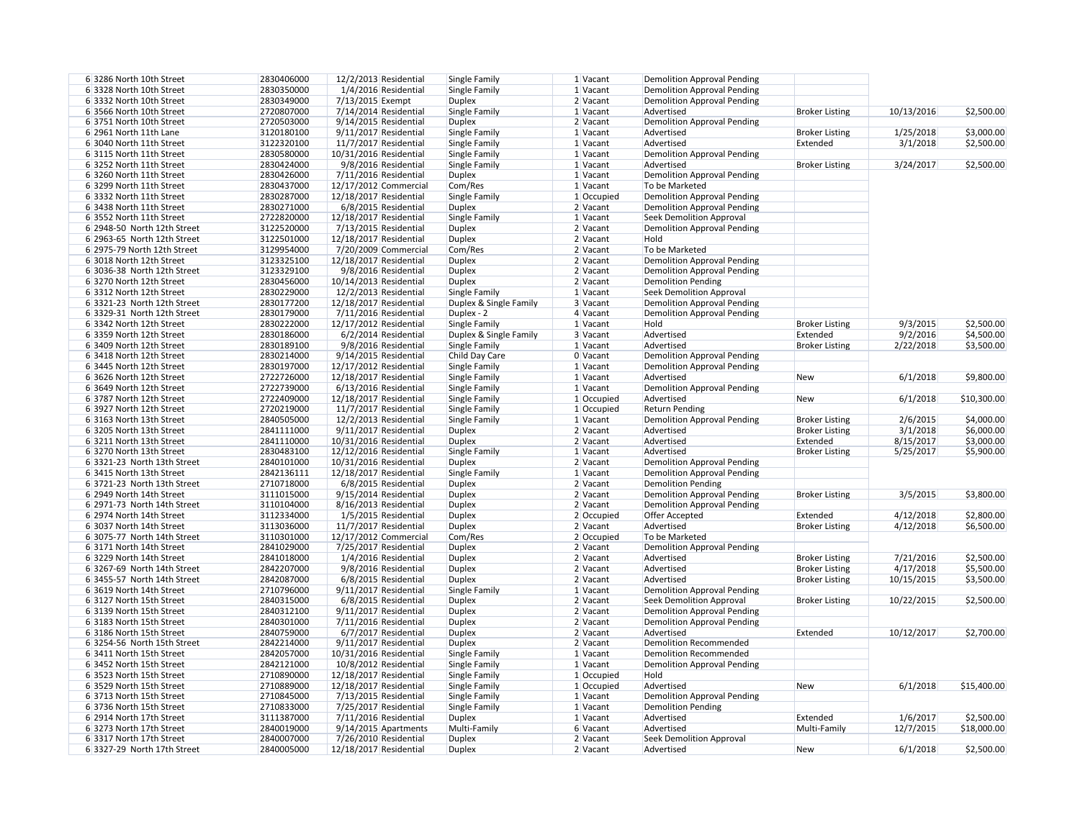| 63286 North 10th Street     | 2830406000 | 12/2/2013 Residential   | Single Family          | $1$ Vacant   | <b>Demolition Approval Pending</b> |
|-----------------------------|------------|-------------------------|------------------------|--------------|------------------------------------|
| 6 3328 North 10th Street    | 2830350000 | 1/4/2016 Residential    | Single Family          | $1$ Vacant   | <b>Demolition Approval Pending</b> |
| 6 3332 North 10th Street    | 2830349000 | 7/13/2015 Exempt        | <b>Duplex</b>          | $2$ Vacant   | <b>Demolition Approval Pending</b> |
| 6 3566 North 10th Street    | 2720807000 | $7/14/2014$ Residential | Single Family          | 1 Vacant     | Advertised                         |
|                             | 2720503000 | $9/14/2015$ Residential |                        |              |                                    |
| 6 3751 North 10th Street    |            |                         | <b>Duplex</b>          | $2$ Vacant   | <b>Demolition Approval Pending</b> |
| 6 2961 North 11th Lane      | 3120180100 | 9/11/2017 Residential   | Single Family          | $1$ Vacant   | Advertised                         |
| 6 3040 North 11th Street    | 3122320100 | $11/7/2017$ Residential | Single Family          | 1 Vacant     | Advertised                         |
| 6 3115 North 11th Street    | 2830580000 | 10/31/2016 Residential  | Single Family          | $1$ Vacant   | <b>Demolition Approval Pending</b> |
| 63252 North 11th Street     | 2830424000 | 9/8/2016 Residential    | Single Family          | 1 Vacant     | Advertised                         |
| 6 3260 North 11th Street    | 2830426000 | $7/11/2016$ Residential | <b>Duplex</b>          | $1$ Vacant   | <b>Demolition Approval Pending</b> |
| 6 3299 North 11th Street    | 2830437000 | 12/17/2012 Commercial   | Com/Res                | $1$ Vacant   | To be Marketed                     |
| 6 3332 North 11th Street    | 2830287000 | 12/18/2017 Residential  | Single Family          | $1$ Occupied | <b>Demolition Approval Pending</b> |
| 6 3438 North 11th Street    | 2830271000 | 6/8/2015 Residential    | <b>Duplex</b>          | 2 Vacant     | <b>Demolition Approval Pending</b> |
| 63552 North 11th Street     | 2722820000 | 12/18/2017 Residential  | Single Family          | $1$ Vacant   | <b>Seek Demolition Approval</b>    |
| 6 2948-50 North 12th Street | 3122520000 | 7/13/2015 Residential   | <b>Duplex</b>          | 2 Vacant     | <b>Demolition Approval Pending</b> |
| 6 2963-65 North 12th Street | 3122501000 | 12/18/2017 Residential  | <b>Duplex</b>          | 2 Vacant     | Hold                               |
| 6 2975-79 North 12th Street |            |                         | Com/Res                |              |                                    |
|                             | 3129954000 | 7/20/2009 Commercial    |                        | 2 Vacant     | To be Marketed                     |
| 6 3018 North 12th Street    | 3123325100 | 12/18/2017 Residential  | <b>Duplex</b>          | 2 Vacant     | <b>Demolition Approval Pending</b> |
| 6 3036-38 North 12th Street | 3123329100 | 9/8/2016 Residential    | <b>Duplex</b>          | 2 Vacant     | <b>Demolition Approval Pending</b> |
| 6 3270 North 12th Street    | 2830456000 | 10/14/2013 Residential  | <b>Duplex</b>          | 2 Vacant     | <b>Demolition Pending</b>          |
| 6 3312 North 12th Street    | 2830229000 | $12/2/2013$ Residential | Single Family          | 1 Vacant     | <b>Seek Demolition Approval</b>    |
| 6 3321-23 North 12th Street | 2830177200 | 12/18/2017 Residential  | Duplex & Single Family | 3 Vacant     | <b>Demolition Approval Pending</b> |
| 6 3329-31 North 12th Street | 2830179000 | 7/11/2016 Residential   | Duplex - 2             | 4 Vacant     | <b>Demolition Approval Pending</b> |
| 6 3342 North 12th Street    | 2830222000 | 12/17/2012 Residential  | Single Family          | $1$ Vacant   | Hold                               |
| 6 3359 North 12th Street    | 2830186000 | $6/2/2014$ Residential  | Duplex & Single Family | 3 Vacant     | Advertised                         |
| 6 3409 North 12th Street    | 2830189100 | 9/8/2016 Residential    | Single Family          | 1 Vacant     | Advertised                         |
| 6 3418 North 12th Street    | 2830214000 | 9/14/2015 Residential   | Child Day Care         | 0 Vacant     | <b>Demolition Approval Pending</b> |
| 6 3445 North 12th Street    | 2830197000 | 12/17/2012 Residential  | Single Family          | 1 Vacant     | <b>Demolition Approval Pending</b> |
|                             |            |                         |                        |              |                                    |
| 6 3626 North 12th Street    | 2722726000 | 12/18/2017 Residential  | Single Family          | $1$ Vacant   | Advertised                         |
| 6 3649 North 12th Street    | 2722739000 | $6/13/2016$ Residential | Single Family          | $1$ Vacant   | <b>Demolition Approval Pending</b> |
| 6 3787 North 12th Street    | 2722409000 | 12/18/2017 Residential  | Single Family          | 1 Occupied   | Advertised                         |
| 6 3927 North 12th Street    | 2720219000 | $11/7/2017$ Residential | Single Family          | $1$ Occupied | <b>Return Pending</b>              |
| 6 3163 North 13th Street    | 2840505000 | 12/2/2013 Residential   | Single Family          | $1$ Vacant   | <b>Demolition Approval Pending</b> |
| 6 3205 North 13th Street    | 2841111000 | 9/11/2017 Residential   | <b>Duplex</b>          | 2 Vacant     | Advertised                         |
| 6 3211 North 13th Street    | 2841110000 | 10/31/2016 Residential  | <b>Duplex</b>          | 2 Vacant     | Advertised                         |
| 6 3270 North 13th Street    | 2830483100 | 12/12/2016 Residential  | Single Family          | $1$ Vacant   | Advertised                         |
| 6 3321-23 North 13th Street | 2840101000 | 10/31/2016 Residential  | <b>Duplex</b>          | 2 Vacant     | <b>Demolition Approval Pending</b> |
| 6 3415 North 13th Street    | 2842136111 | 12/18/2017 Residential  | Single Family          | $1$ Vacant   | <b>Demolition Approval Pending</b> |
| 6 3721-23 North 13th Street | 2710718000 | 6/8/2015 Residential    | <b>Duplex</b>          | $2$ Vacant   | <b>Demolition Pending</b>          |
| 6 2949 North 14th Street    | 3111015000 | 9/15/2014 Residential   | <b>Duplex</b>          | 2 Vacant     | <b>Demolition Approval Pending</b> |
| 6 2971-73 North 14th Street | 3110104000 | 8/16/2013 Residential   | <b>Duplex</b>          | $2$ Vacant   | <b>Demolition Approval Pending</b> |
| 6 2974 North 14th Street    | 3112334000 | 1/5/2015 Residential    | <b>Duplex</b>          | 2 Occupied   | Offer Accepted                     |
|                             |            |                         |                        |              | Advertised                         |
| 6 3037 North 14th Street    | 3113036000 | 11/7/2017 Residential   | <b>Duplex</b>          | 2 Vacant     |                                    |
| 6 3075-77 North 14th Street | 3110301000 | 12/17/2012 Commercial   | Com/Res                | $2$ Occupied | To be Marketed                     |
| 6 3171 North 14th Street    | 2841029000 | 7/25/2017 Residential   | <b>Duplex</b>          | 2 Vacant     | <b>Demolition Approval Pending</b> |
| 6 3229 North 14th Street    | 2841018000 | 1/4/2016 Residential    | <b>Duplex</b>          | 2 Vacant     | Advertised                         |
| 6 3267-69 North 14th Street | 2842207000 | 9/8/2016 Residential    | <b>Duplex</b>          | 2 Vacant     | Advertised                         |
| 6 3455-57 North 14th Street | 2842087000 | 6/8/2015 Residential    | <b>Duplex</b>          | 2 Vacant     | Advertised                         |
| 6 3619 North 14th Street    | 2710796000 | $9/11/2017$ Residential | Single Family          | 1 Vacant     | <b>Demolition Approval Pending</b> |
| 6 3127 North 15th Street    | 2840315000 | 6/8/2015 Residential    | <b>Duplex</b>          | 2 Vacant     | <b>Seek Demolition Approval</b>    |
| 6 3139 North 15th Street    | 2840312100 | 9/11/2017 Residential   | <b>Duplex</b>          | 2 Vacant     | <b>Demolition Approval Pending</b> |
| 6 3183 North 15th Street    | 2840301000 | 7/11/2016 Residential   | <b>Duplex</b>          | 2 Vacant     | <b>Demolition Approval Pending</b> |
| 6 3186 North 15th Street    | 2840759000 | 6/7/2017 Residential    | <b>Duplex</b>          | 2 Vacant     | Advertised                         |
| 6 3254-56 North 15th Street | 2842214000 | 9/11/2017 Residential   | <b>Duplex</b>          | 2 Vacant     | <b>Demolition Recommended</b>      |
| 6 3411 North 15th Street    | 2842057000 | 10/31/2016 Residential  | Single Family          | 1 Vacant     | <b>Demolition Recommended</b>      |
| 6 3452 North 15th Street    | 2842121000 | 10/8/2012 Residential   | Single Family          | 1 Vacant     | <b>Demolition Approval Pending</b> |
| 6 3523 North 15th Street    |            | 12/18/2017 Residential  |                        |              | Hold                               |
|                             | 2710890000 |                         | Single Family          | 1 Occupied   |                                    |
| 6 3529 North 15th Street    | 2710889000 | 12/18/2017 Residential  | Single Family          | 1 Occupied   | Advertised                         |
| 6 3713 North 15th Street    | 2710845000 | 7/13/2015 Residential   | Single Family          | 1 Vacant     | <b>Demolition Approval Pending</b> |
| 6 3736 North 15th Street    | 2710833000 | 7/25/2017 Residential   | Single Family          | 1 Vacant     | <b>Demolition Pending</b>          |
| 6 2914 North 17th Street    | 3111387000 | $7/11/2016$ Residential | <b>Duplex</b>          | $1$ Vacant   | Advertised                         |
| 6 3273 North 17th Street    | 2840019000 | $9/14/2015$ Apartments  | Multi-Family           | 6 Vacant     | Advertised                         |
| 6 3317 North 17th Street    | 2840007000 | 7/26/2010 Residential   | <b>Duplex</b>          | 2 Vacant     | <b>Seek Demolition Approval</b>    |
| 6 3327-29 North 17th Street | 2840005000 | 12/18/2017 Residential  | <b>Duplex</b>          | $2$ Vacant   | Advertised                         |
|                             |            |                         |                        |              |                                    |

| 1 Vacant             | <b>Demolition Approval Pending</b>               |                                                |            |             |
|----------------------|--------------------------------------------------|------------------------------------------------|------------|-------------|
| 1 Vacant             | <b>Demolition Approval Pending</b>               |                                                |            |             |
| 2 Vacant             | <b>Demolition Approval Pending</b>               |                                                |            |             |
| 1 Vacant             | Advertised                                       | <b>Broker Listing</b>                          | 10/13/2016 | \$2,500.00  |
| 2 Vacant             | <b>Demolition Approval Pending</b>               |                                                |            |             |
| 1 Vacant             | Advertised                                       | <b>Broker Listing</b>                          | 1/25/2018  | \$3,000.00  |
| 1 Vacant             | Advertised                                       | Extended                                       | 3/1/2018   | \$2,500.00  |
| 1 Vacant             | <b>Demolition Approval Pending</b>               |                                                |            |             |
| 1 Vacant             | Advertised                                       | <b>Broker Listing</b>                          | 3/24/2017  | \$2,500.00  |
| 1 Vacant             | <b>Demolition Approval Pending</b>               |                                                |            |             |
| 1 Vacant             | To be Marketed                                   |                                                |            |             |
| $1$ Occupied         | <b>Demolition Approval Pending</b>               |                                                |            |             |
| 2 Vacant             | <b>Demolition Approval Pending</b>               |                                                |            |             |
| 1 Vacant             | <b>Seek Demolition Approval</b>                  |                                                |            |             |
| 2 Vacant             | <b>Demolition Approval Pending</b>               |                                                |            |             |
| 2 Vacant             | Hold                                             |                                                |            |             |
| 2 Vacant             | To be Marketed                                   |                                                |            |             |
| 2 Vacant             | <b>Demolition Approval Pending</b>               |                                                |            |             |
| 2 Vacant             | <b>Demolition Approval Pending</b>               |                                                |            |             |
| 2 Vacant             | <b>Demolition Pending</b>                        |                                                |            |             |
| 1 Vacant             | <b>Seek Demolition Approval</b>                  |                                                |            |             |
| 3 Vacant             | <b>Demolition Approval Pending</b>               |                                                |            |             |
| 4 Vacant             | <b>Demolition Approval Pending</b><br>Hold       |                                                |            |             |
| 1 Vacant             | Advertised                                       | <b>Broker Listing</b><br>Extended              | 9/3/2015   | \$2,500.00  |
| 3 Vacant             | Advertised                                       |                                                | 9/2/2016   | \$4,500.00  |
| 1 Vacant             |                                                  | <b>Broker Listing</b>                          | 2/22/2018  | \$3,500.00  |
| 0 Vacant<br>1 Vacant | <b>Demolition Approval Pending</b>               |                                                |            |             |
|                      | <b>Demolition Approval Pending</b><br>Advertised |                                                | 6/1/2018   | \$9,800.00  |
| 1 Vacant<br>1 Vacant | <b>Demolition Approval Pending</b>               | <b>New</b>                                     |            |             |
| 1 Occupied           | Advertised                                       | <b>New</b>                                     | 6/1/2018   | \$10,300.00 |
| $1$ Occupied         | <b>Return Pending</b>                            |                                                |            |             |
| 1 Vacant             | <b>Demolition Approval Pending</b>               |                                                | 2/6/2015   | \$4,000.00  |
| 2 Vacant             | Advertised                                       | <b>Broker Listing</b><br><b>Broker Listing</b> | 3/1/2018   | \$6,000.00  |
| 2 Vacant             | Advertised                                       | Extended                                       | 8/15/2017  | \$3,000.00  |
| 1 Vacant             | Advertised                                       | <b>Broker Listing</b>                          | 5/25/2017  | \$5,900.00  |
| 2 Vacant             | <b>Demolition Approval Pending</b>               |                                                |            |             |
| 1 Vacant             | <b>Demolition Approval Pending</b>               |                                                |            |             |
| 2 Vacant             | <b>Demolition Pending</b>                        |                                                |            |             |
| 2 Vacant             | <b>Demolition Approval Pending</b>               | <b>Broker Listing</b>                          | 3/5/2015   | \$3,800.00  |
| 2 Vacant             | <b>Demolition Approval Pending</b>               |                                                |            |             |
| $2$ Occupied         | Offer Accepted                                   | Extended                                       | 4/12/2018  | \$2,800.00  |
| 2 Vacant             | Advertised                                       | <b>Broker Listing</b>                          | 4/12/2018  | \$6,500.00  |
| 2 Occupied           | To be Marketed                                   |                                                |            |             |
| 2 Vacant             | <b>Demolition Approval Pending</b>               |                                                |            |             |
| 2 Vacant             | Advertised                                       | <b>Broker Listing</b>                          | 7/21/2016  | \$2,500.00  |
| 2 Vacant             | Advertised                                       | <b>Broker Listing</b>                          | 4/17/2018  | \$5,500.00  |
| 2 Vacant             | Advertised                                       | <b>Broker Listing</b>                          | 10/15/2015 | \$3,500.00  |
| 1 Vacant             | <b>Demolition Approval Pending</b>               |                                                |            |             |
| 2 Vacant             | <b>Seek Demolition Approval</b>                  | <b>Broker Listing</b>                          | 10/22/2015 | \$2,500.00  |
| 2 Vacant             | <b>Demolition Approval Pending</b>               |                                                |            |             |
| 2 Vacant             | <b>Demolition Approval Pending</b>               |                                                |            |             |
| 2 Vacant             | Advertised                                       | Extended                                       | 10/12/2017 | \$2,700.00  |
| 2 Vacant             | <b>Demolition Recommended</b>                    |                                                |            |             |
| 1 Vacant             | <b>Demolition Recommended</b>                    |                                                |            |             |
| 1 Vacant             | <b>Demolition Approval Pending</b>               |                                                |            |             |
| 1 Occupied           | Hold                                             |                                                |            |             |
| $1$ Occupied         | Advertised                                       | <b>New</b>                                     | 6/1/2018   | \$15,400.00 |
| 1 Vacant             | <b>Demolition Approval Pending</b>               |                                                |            |             |
| 1 Vacant             | <b>Demolition Pending</b>                        |                                                |            |             |
| 1 Vacant             | Advertised                                       | Extended                                       | 1/6/2017   | \$2,500.00  |
| 6 Vacant             | Advertised                                       | Multi-Family                                   | 12/7/2015  | \$18,000.00 |
| 2 Vacant             | <b>Seek Demolition Approval</b>                  |                                                |            |             |
| 2 Vacant             | Advertised                                       | <b>New</b>                                     | 6/1/2018   | \$2,500.00  |
|                      |                                                  |                                                |            |             |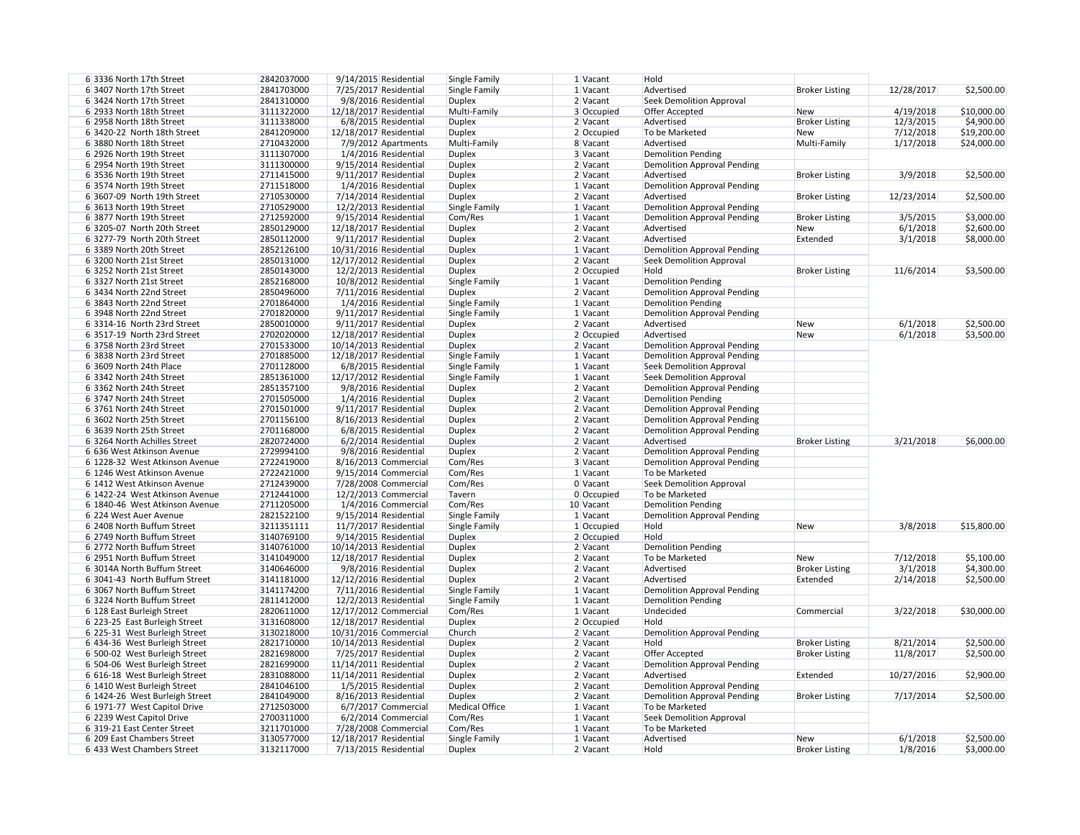| 1 Vacant     | Hold                               |                       |            |             |
|--------------|------------------------------------|-----------------------|------------|-------------|
| 1 Vacant     | Advertised                         | <b>Broker Listing</b> | 12/28/2017 | \$2,500.00  |
| 2 Vacant     | <b>Seek Demolition Approval</b>    |                       |            |             |
| 3 Occupied   | Offer Accepted                     | <b>New</b>            | 4/19/2018  | \$10,000.00 |
| 2 Vacant     | Advertised                         | <b>Broker Listing</b> | 12/3/2015  | \$4,900.00  |
| 2 Occupied   | To be Marketed                     | <b>New</b>            | 7/12/2018  | \$19,200.00 |
| 8 Vacant     | Advertised                         | Multi-Family          | 1/17/2018  | \$24,000.00 |
| 3 Vacant     | <b>Demolition Pending</b>          |                       |            |             |
| 2 Vacant     | <b>Demolition Approval Pending</b> |                       |            |             |
| 2 Vacant     | Advertised                         | <b>Broker Listing</b> | 3/9/2018   | \$2,500.00  |
| 1 Vacant     | <b>Demolition Approval Pending</b> |                       |            |             |
| 2 Vacant     | Advertised                         | <b>Broker Listing</b> | 12/23/2014 | \$2,500.00  |
|              |                                    |                       |            |             |
| 1 Vacant     | <b>Demolition Approval Pending</b> |                       |            |             |
| 1 Vacant     | <b>Demolition Approval Pending</b> | <b>Broker Listing</b> | 3/5/2015   | \$3,000.00  |
| 2 Vacant     | Advertised                         | <b>New</b>            | 6/1/2018   | \$2,600.00  |
| 2 Vacant     | Advertised                         | Extended              | 3/1/2018   | \$8,000.00  |
| 1 Vacant     | <b>Demolition Approval Pending</b> |                       |            |             |
| 2 Vacant     | <b>Seek Demolition Approval</b>    |                       |            |             |
| 2 Occupied   | Hold                               | <b>Broker Listing</b> | 11/6/2014  | \$3,500.00  |
| 1 Vacant     | <b>Demolition Pending</b>          |                       |            |             |
| 2 Vacant     | <b>Demolition Approval Pending</b> |                       |            |             |
| 1 Vacant     | <b>Demolition Pending</b>          |                       |            |             |
| 1 Vacant     | <b>Demolition Approval Pending</b> |                       |            |             |
| 2 Vacant     | Advertised                         | <b>New</b>            | 6/1/2018   | \$2,500.00  |
| 2 Occupied   | Advertised                         | <b>New</b>            | 6/1/2018   | \$3,500.00  |
| 2 Vacant     | <b>Demolition Approval Pending</b> |                       |            |             |
| 1 Vacant     | <b>Demolition Approval Pending</b> |                       |            |             |
| 1 Vacant     | <b>Seek Demolition Approval</b>    |                       |            |             |
| 1 Vacant     | <b>Seek Demolition Approval</b>    |                       |            |             |
| 2 Vacant     | <b>Demolition Approval Pending</b> |                       |            |             |
| 2 Vacant     | <b>Demolition Pending</b>          |                       |            |             |
| 2 Vacant     | <b>Demolition Approval Pending</b> |                       |            |             |
|              |                                    |                       |            |             |
| 2 Vacant     | <b>Demolition Approval Pending</b> |                       |            |             |
| 2 Vacant     | <b>Demolition Approval Pending</b> |                       |            |             |
| 2 Vacant     | Advertised                         | <b>Broker Listing</b> | 3/21/2018  | \$6,000.00  |
| 2 Vacant     | <b>Demolition Approval Pending</b> |                       |            |             |
| 3 Vacant     | <b>Demolition Approval Pending</b> |                       |            |             |
| 1 Vacant     | To be Marketed                     |                       |            |             |
| 0 Vacant     | <b>Seek Demolition Approval</b>    |                       |            |             |
| 0 Occupied   | To be Marketed                     |                       |            |             |
| 0 Vacant     | <b>Demolition Pending</b>          |                       |            |             |
| 1 Vacant     | <b>Demolition Approval Pending</b> |                       |            |             |
| $1$ Occupied | Hold                               | <b>New</b>            | 3/8/2018   | \$15,800.00 |
| 2 Occupied   | Hold                               |                       |            |             |
| 2 Vacant     | <b>Demolition Pending</b>          |                       |            |             |
| 2 Vacant     | To be Marketed                     | <b>New</b>            | 7/12/2018  | \$5,100.00  |
| 2 Vacant     | Advertised                         | <b>Broker Listing</b> | 3/1/2018   | \$4,300.00  |
| 2 Vacant     | Advertised                         | Extended              | 2/14/2018  | \$2,500.00  |
| 1 Vacant     | <b>Demolition Approval Pending</b> |                       |            |             |
| 1 Vacant     | <b>Demolition Pending</b>          |                       |            |             |
| 1 Vacant     | Undecided                          | Commercial            | 3/22/2018  | \$30,000.00 |
|              | Hold                               |                       |            |             |
| 2 Occupied   |                                    |                       |            |             |
| 2 Vacant     | <b>Demolition Approval Pending</b> |                       |            |             |
| 2 Vacant     | Hold                               | <b>Broker Listing</b> | 8/21/2014  | \$2,500.00  |
| 2 Vacant     | Offer Accepted                     | <b>Broker Listing</b> | 11/8/2017  | \$2,500.00  |
| 2 Vacant     | <b>Demolition Approval Pending</b> |                       |            |             |
| 2 Vacant     | Advertised                         | Extended              | 10/27/2016 | \$2,900.00  |
| 2 Vacant     | <b>Demolition Approval Pending</b> |                       |            |             |
| 2 Vacant     | <b>Demolition Approval Pending</b> | <b>Broker Listing</b> | 7/17/2014  | \$2,500.00  |
| 1 Vacant     | To be Marketed                     |                       |            |             |
| 1 Vacant     | <b>Seek Demolition Approval</b>    |                       |            |             |
| 1 Vacant     | To be Marketed                     |                       |            |             |
| 1 Vacant     | Advertised                         | <b>New</b>            | 6/1/2018   | \$2,500.00  |
| 2 Vacant     | Hold                               | <b>Broker Listing</b> | 1/8/2016   | \$3,000.00  |
|              |                                    |                       |            |             |

| 63336 North 17th Street        | 2842037000 | $9/14/2015$ Residential  | Single Family         | 1 Vacant   | Hold                               |                       |            |             |
|--------------------------------|------------|--------------------------|-----------------------|------------|------------------------------------|-----------------------|------------|-------------|
| 6 3407 North 17th Street       | 2841703000 | 7/25/2017 Residential    | Single Family         | 1 Vacant   | Advertised                         | <b>Broker Listing</b> | 12/28/2017 | \$2,500.00  |
| 6 3424 North 17th Street       | 2841310000 | 9/8/2016 Residential     | <b>Duplex</b>         | 2 Vacant   | <b>Seek Demolition Approval</b>    |                       |            |             |
| 6 2933 North 18th Street       | 3111322000 | 12/18/2017 Residential   | Multi-Family          | 3 Occupied | <b>Offer Accepted</b>              | <b>New</b>            | 4/19/2018  | \$10,000.00 |
| 6 2958 North 18th Street       | 3111338000 | 6/8/2015 Residential     | <b>Duplex</b>         | $2$ Vacant | Advertised                         | <b>Broker Listing</b> | 12/3/2015  | \$4,900.00  |
|                                |            |                          |                       |            |                                    |                       |            |             |
| 6 3420-22 North 18th Street    | 2841209000 | 12/18/2017 Residential   | <b>Duplex</b>         | 2 Occupied | To be Marketed                     | New                   | 7/12/2018  | \$19,200.00 |
| 6 3880 North 18th Street       | 2710432000 | 7/9/2012 Apartments      | Multi-Family          | 8 Vacant   | Advertised                         | Multi-Family          | 1/17/2018  | \$24,000.00 |
| 6 2926 North 19th Street       | 3111307000 | 1/4/2016 Residential     | <b>Duplex</b>         | 3 Vacant   | <b>Demolition Pending</b>          |                       |            |             |
| 6 2954 North 19th Street       | 3111300000 | 9/15/2014 Residential    | <b>Duplex</b>         | $2$ Vacant | <b>Demolition Approval Pending</b> |                       |            |             |
| 6 3536 North 19th Street       | 2711415000 | 9/11/2017 Residential    | <b>Duplex</b>         | 2 Vacant   | Advertised                         | <b>Broker Listing</b> | 3/9/2018   | \$2,500.00  |
| 6 3574 North 19th Street       | 2711518000 | 1/4/2016 Residential     | <b>Duplex</b>         | 1 Vacant   | <b>Demolition Approval Pending</b> |                       |            |             |
| 6 3607-09 North 19th Street    | 2710530000 | 7/14/2014 Residential    | <b>Duplex</b>         | 2 Vacant   | Advertised                         | <b>Broker Listing</b> | 12/23/2014 | \$2,500.00  |
| 6 3613 North 19th Street       | 2710529000 | $12/2/2013$ Residential  | Single Family         | 1 Vacant   | <b>Demolition Approval Pending</b> |                       |            |             |
| 6 3877 North 19th Street       | 2712592000 | $9/15/2014$ Residential  | Com/Res               | 1 Vacant   | <b>Demolition Approval Pending</b> | <b>Broker Listing</b> | 3/5/2015   | \$3,000.00  |
| 6 3205-07 North 20th Street    | 2850129000 | 12/18/2017 Residential   | <b>Duplex</b>         | 2 Vacant   | Advertised                         | <b>New</b>            | 6/1/2018   | \$2,600.00  |
| 63277-79 North 20th Street     | 2850112000 | 9/11/2017 Residential    | <b>Duplex</b>         | 2 Vacant   | Advertised                         | Extended              | 3/1/2018   | \$8,000.00  |
| 6 3389 North 20th Street       | 2852126100 | 10/31/2016 Residential   | <b>Duplex</b>         | 1 Vacant   | <b>Demolition Approval Pending</b> |                       |            |             |
| 6 3200 North 21st Street       | 2850131000 | 12/17/2012 Residential   | <b>Duplex</b>         | $2$ Vacant | <b>Seek Demolition Approval</b>    |                       |            |             |
| 6 3252 North 21st Street       | 2850143000 | $12/2/2013$ Residential  | <b>Duplex</b>         | 2 Occupied | Hold                               | <b>Broker Listing</b> | 11/6/2014  | \$3,500.00  |
| 6 3327 North 21st Street       | 2852168000 |                          |                       |            | <b>Demolition Pending</b>          |                       |            |             |
|                                |            | 10/8/2012 Residential    | Single Family         | 1 Vacant   |                                    |                       |            |             |
| 6 3434 North 22nd Street       | 2850496000 | $7/11/2016$ Residential  | <b>Duplex</b>         | $2$ Vacant | <b>Demolition Approval Pending</b> |                       |            |             |
| 6 3843 North 22nd Street       | 2701864000 | 1/4/2016 Residential     | Single Family         | 1 Vacant   | <b>Demolition Pending</b>          |                       |            |             |
| 6 3948 North 22nd Street       | 2701820000 | $9/11/2017$ Residential  | Single Family         | 1 Vacant   | <b>Demolition Approval Pending</b> |                       |            |             |
| 6 3314-16 North 23rd Street    | 2850010000 | 9/11/2017 Residential    | <b>Duplex</b>         | 2 Vacant   | Advertised                         | New                   | 6/1/2018   | \$2,500.00  |
| 6 3517-19 North 23rd Street    | 2702020000 | 12/18/2017 Residential   | <b>Duplex</b>         | 2 Occupied | Advertised                         | New                   | 6/1/2018   | \$3,500.00  |
| 6 3758 North 23rd Street       | 2701533000 | 10/14/2013 Residential   | <b>Duplex</b>         | 2 Vacant   | <b>Demolition Approval Pending</b> |                       |            |             |
| 6 3838 North 23rd Street       | 2701885000 | 12/18/2017 Residential   | Single Family         | 1 Vacant   | <b>Demolition Approval Pending</b> |                       |            |             |
| 6 3609 North 24th Place        | 2701128000 | 6/8/2015 Residential     | Single Family         | 1 Vacant   | <b>Seek Demolition Approval</b>    |                       |            |             |
| 6 3342 North 24th Street       | 2851361000 | 12/17/2012 Residential   | Single Family         | $1$ Vacant | <b>Seek Demolition Approval</b>    |                       |            |             |
| 6 3362 North 24th Street       | 2851357100 | 9/8/2016 Residential     | <b>Duplex</b>         | 2 Vacant   | <b>Demolition Approval Pending</b> |                       |            |             |
| 6 3747 North 24th Street       | 2701505000 | 1/4/2016 Residential     | <b>Duplex</b>         | 2 Vacant   | <b>Demolition Pending</b>          |                       |            |             |
| 6 3761 North 24th Street       | 2701501000 | $9/11/2017$ Residential  | <b>Duplex</b>         | 2 Vacant   | <b>Demolition Approval Pending</b> |                       |            |             |
| 6 3602 North 25th Street       | 2701156100 | 8/16/2013 Residential    | <b>Duplex</b>         | 2 Vacant   | <b>Demolition Approval Pending</b> |                       |            |             |
| 6 3639 North 25th Street       | 2701168000 | $6/8/2015$ Residential   | <b>Duplex</b>         | 2 Vacant   | <b>Demolition Approval Pending</b> |                       |            |             |
| 6 3264 North Achilles Street   | 2820724000 | $6/2/2014$ Residential   | <b>Duplex</b>         | 2 Vacant   | Advertised                         | <b>Broker Listing</b> | 3/21/2018  | \$6,000.00  |
| 6 636 West Atkinson Avenue     | 2729994100 | 9/8/2016 Residential     | <b>Duplex</b>         | 2 Vacant   | <b>Demolition Approval Pending</b> |                       |            |             |
| 6 1228-32 West Atkinson Avenue | 2722419000 | 8/16/2013 Commercial     | Com/Res               | 3 Vacant   | Demolition Approval Pending        |                       |            |             |
| 6 1246 West Atkinson Avenue    | 2722421000 | $9/15/2014$ Commercial   | Com/Res               | 1 Vacant   | To be Marketed                     |                       |            |             |
| 6 1412 West Atkinson Avenue    | 2712439000 | 7/28/2008 Commercial     | Com/Res               | 0 Vacant   | <b>Seek Demolition Approval</b>    |                       |            |             |
| 6 1422-24 West Atkinson Avenue | 2712441000 | 12/2/2013 Commercial     | Tavern                | 0 Occupied | To be Marketed                     |                       |            |             |
| 6 1840-46 West Atkinson Avenue | 2711205000 | 1/4/2016 Commercial      | Com/Res               | 10 Vacant  | <b>Demolition Pending</b>          |                       |            |             |
| 6 224 West Auer Avenue         | 2821522100 | 9/15/2014 Residential    | Single Family         | 1 Vacant   | <b>Demolition Approval Pending</b> |                       |            |             |
| 6 2408 North Buffum Street     | 3211351111 | 11/7/2017 Residential    | Single Family         | 1 Occupied | Hold                               | <b>New</b>            | 3/8/2018   | \$15,800.00 |
| 6 2749 North Buffum Street     | 3140769100 | $9/14/2015$ Residential  | <b>Duplex</b>         | 2 Occupied | Hold                               |                       |            |             |
| 6 2772 North Buffum Street     | 3140761000 | 10/14/2013 Residential   | <b>Duplex</b>         | 2 Vacant   | <b>Demolition Pending</b>          |                       |            |             |
| 6 2951 North Buffum Street     | 3141049000 | 12/18/2017 Residential   | <b>Duplex</b>         | 2 Vacant   | To be Marketed                     | <b>New</b>            | 7/12/2018  | \$5,100.00  |
| 6 3014A North Buffum Street    | 3140646000 | 9/8/2016 Residential     | <b>Duplex</b>         | 2 Vacant   | Advertised                         | <b>Broker Listing</b> | 3/1/2018   | \$4,300.00  |
| 6 3041-43 North Buffum Street  | 3141181000 | 12/12/2016 Residential   | <b>Duplex</b>         | 2 Vacant   | Advertised                         | Extended              | 2/14/2018  | \$2,500.00  |
| 6 3067 North Buffum Street     | 3141174200 | 7/11/2016 Residential    | Single Family         | 1 Vacant   | <b>Demolition Approval Pending</b> |                       |            |             |
| 6 3224 North Buffum Street     | 2811412000 | $12/2/2013$ Residential  | Single Family         | 1 Vacant   | <b>Demolition Pending</b>          |                       |            |             |
|                                |            |                          |                       | $1$ Vacant |                                    |                       |            |             |
| 6 128 East Burleigh Street     | 2820611000 | 12/17/2012 Commercial    | Com/Res               |            | Undecided<br>Hold                  | Commercial            | 3/22/2018  | \$30,000.00 |
| 6 223-25 East Burleigh Street  | 3131608000 | 12/18/2017 Residential   | <b>Duplex</b>         | 2 Occupied |                                    |                       |            |             |
| 6 225-31 West Burleigh Street  | 3130218000 | 10/31/2016 Commercial    | Church                | 2 Vacant   | <b>Demolition Approval Pending</b> |                       |            |             |
| 6 434-36 West Burleigh Street  | 2821710000 | 10/14/2013 Residential   | <b>Duplex</b>         | 2 Vacant   | Hold                               | <b>Broker Listing</b> | 8/21/2014  | \$2,500.00  |
| 6 500-02 West Burleigh Street  | 2821698000 | 7/25/2017 Residential    | <b>Duplex</b>         | 2 Vacant   | Offer Accepted                     | <b>Broker Listing</b> | 11/8/2017  | \$2,500.00  |
| 6 504-06 West Burleigh Street  | 2821699000 | $11/14/2011$ Residential | <b>Duplex</b>         | 2 Vacant   | <b>Demolition Approval Pending</b> |                       |            |             |
| 6 616-18 West Burleigh Street  | 2831088000 | $11/14/2011$ Residential | <b>Duplex</b>         | $2$ Vacant | Advertised                         | Extended              | 10/27/2016 | \$2,900.00  |
| 6 1410 West Burleigh Street    | 2841046100 | 1/5/2015 Residential     | <b>Duplex</b>         | $2$ Vacant | <b>Demolition Approval Pending</b> |                       |            |             |
| 6 1424-26 West Burleigh Street | 2841049000 | 8/16/2013 Residential    | <b>Duplex</b>         | $2$ Vacant | <b>Demolition Approval Pending</b> | <b>Broker Listing</b> | 7/17/2014  | \$2,500.00  |
| 6 1971-77 West Capitol Drive   | 2712503000 | 6/7/2017 Commercial      | <b>Medical Office</b> | $1$ Vacant | To be Marketed                     |                       |            |             |
| 6 2239 West Capitol Drive      | 2700311000 | 6/2/2014 Commercial      | Com/Res               | $1$ Vacant | <b>Seek Demolition Approval</b>    |                       |            |             |
| 6 319-21 East Center Street    | 3211701000 | 7/28/2008 Commercial     | Com/Res               | 1 Vacant   | To be Marketed                     |                       |            |             |
| 6 209 East Chambers Street     | 3130577000 | 12/18/2017 Residential   | Single Family         | 1 Vacant   | Advertised                         | New                   | 6/1/2018   | \$2,500.00  |
| 6 433 West Chambers Street     | 3132117000 | 7/13/2015 Residential    | <b>Duplex</b>         | $2$ Vacant | Hold                               | <b>Broker Listing</b> | 1/8/2016   | \$3,000.00  |
|                                |            |                          |                       |            |                                    |                       |            |             |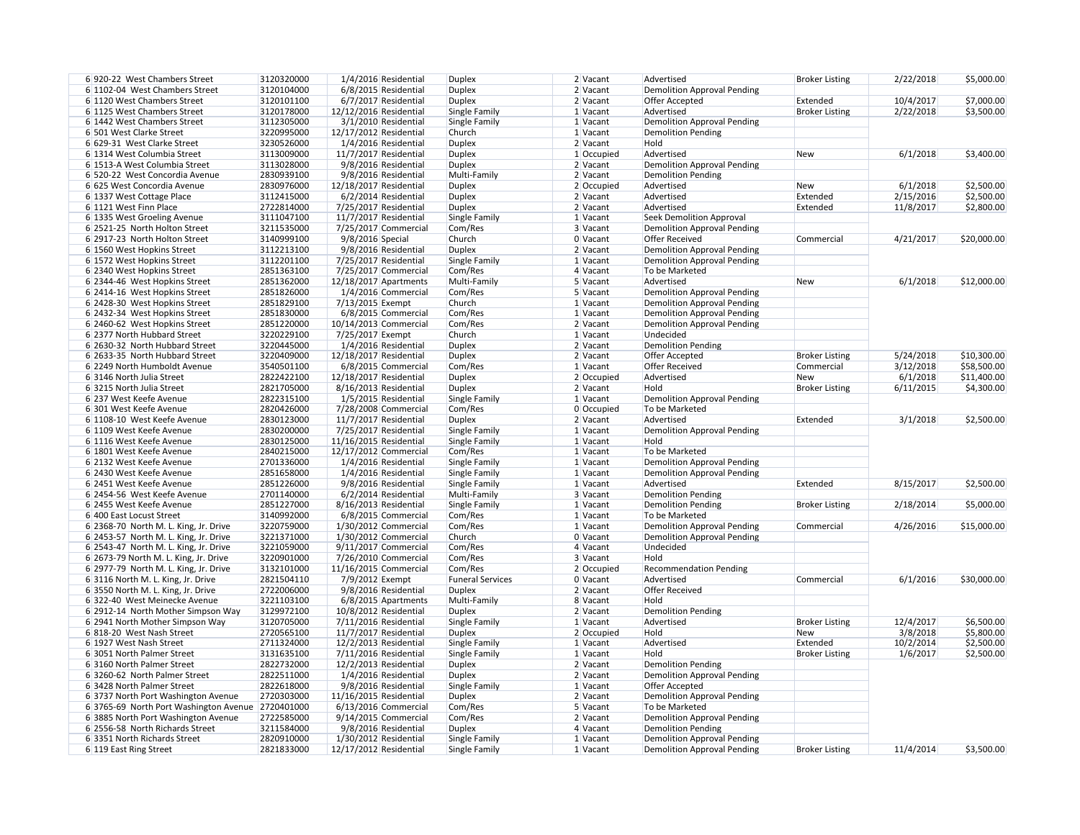| 6 920-22 West Chambers Street          | 3120320000               | 1/4/2016 Residential    | <b>Duplex</b>           | 2 Vacant             | Advertised                         |
|----------------------------------------|--------------------------|-------------------------|-------------------------|----------------------|------------------------------------|
| 6 1102-04 West Chambers Street         | 3120104000               | 6/8/2015 Residential    | <b>Duplex</b>           | 2 Vacant             | <b>Demolition Approval Pending</b> |
| 6 1120 West Chambers Street            | 3120101100               | 6/7/2017 Residential    | <b>Duplex</b>           | 2 Vacant             | Offer Accepted                     |
| 6 1125 West Chambers Street            | 3120178000               | 12/12/2016 Residential  | Single Family           | 1 Vacant             | Advertised                         |
| 6 1442 West Chambers Street            | 3112305000               | 3/1/2010 Residential    | Single Family           | 1 Vacant             | <b>Demolition Approval Pending</b> |
| 6 501 West Clarke Street               | 3220995000               | 12/17/2012 Residential  | Church                  | 1 Vacant             | <b>Demolition Pending</b>          |
| 6 629-31 West Clarke Street            | 3230526000               | 1/4/2016 Residential    | <b>Duplex</b>           | $2$ Vacant           | Hold                               |
| 6 1314 West Columbia Street            | 3113009000               | $11/7/2017$ Residential | <b>Duplex</b>           | $1$ Occupied         | Advertised                         |
| 6 1513-A West Columbia Street          | 3113028000               | 9/8/2016 Residential    | <b>Duplex</b>           | $2$ Vacant           | <b>Demolition Approval Pending</b> |
| 6 520-22 West Concordia Avenue         | 2830939100               | 9/8/2016 Residential    | Multi-Family            | 2 Vacant             | <b>Demolition Pending</b>          |
| 6 625 West Concordia Avenue            | 2830976000               | 12/18/2017 Residential  | <b>Duplex</b>           | 2 Occupied           | Advertised                         |
| 6 1337 West Cottage Place              | 3112415000               | 6/2/2014 Residential    | <b>Duplex</b>           | $2$ Vacant           | Advertised                         |
| 6 1121 West Finn Place                 | 2722814000               | 7/25/2017 Residential   | <b>Duplex</b>           | 2 Vacant             | Advertised                         |
| 6 1335 West Groeling Avenue            | 3111047100               | 11/7/2017 Residential   | Single Family           | 1 Vacant             | Seek Demolition Approval           |
| 6 2521-25 North Holton Street          | 3211535000               | 7/25/2017 Commercial    | Com/Res                 | 3 Vacant             | <b>Demolition Approval Pending</b> |
| 6 2917-23 North Holton Street          | 3140999100               | 9/8/2016 Special        | Church                  | 0 Vacant             | <b>Offer Received</b>              |
| 6 1560 West Hopkins Street             | 3112213100               | 9/8/2016 Residential    | <b>Duplex</b>           | 2 Vacant             | <b>Demolition Approval Pending</b> |
| 6 1572 West Hopkins Street             | 3112201100               | 7/25/2017 Residential   | Single Family           | 1 Vacant             | <b>Demolition Approval Pending</b> |
| 6 2340 West Hopkins Street             | 2851363100               | 7/25/2017 Commercial    | Com/Res                 | 4 Vacant             | To be Marketed                     |
| 6 2344-46 West Hopkins Street          | 2851362000               | 12/18/2017 Apartments   | Multi-Family            | 5 Vacant             | Advertised                         |
| 6 2414-16 West Hopkins Street          | 2851826000               | 1/4/2016 Commercial     | Com/Res                 | 5 Vacant             | <b>Demolition Approval Pending</b> |
| 6 2428-30 West Hopkins Street          | 2851829100               | 7/13/2015 Exempt        | Church                  | 1 Vacant             | <b>Demolition Approval Pending</b> |
| 6 2432-34 West Hopkins Street          | 2851830000               | 6/8/2015 Commercial     | Com/Res                 | 1 Vacant             | <b>Demolition Approval Pending</b> |
| 6 2460-62 West Hopkins Street          | 2851220000               | 10/14/2013 Commercial   | Com/Res                 | 2 Vacant             | <b>Demolition Approval Pending</b> |
| 6 2377 North Hubbard Street            | 3220229100               | 7/25/2017 Exempt        | Church                  | 1 Vacant             | Undecided                          |
| 6 2630-32 North Hubbard Street         | 3220445000               | 1/4/2016 Residential    | <b>Duplex</b>           | 2 Vacant             | <b>Demolition Pending</b>          |
| 6 2633-35 North Hubbard Street         | 3220409000               | 12/18/2017 Residential  | <b>Duplex</b>           | 2 Vacant             | Offer Accepted                     |
| 6 2249 North Humboldt Avenue           | 3540501100               | 6/8/2015 Commercial     | Com/Res                 | 1 Vacant             | <b>Offer Received</b>              |
| 6 3146 North Julia Street              | 2822422100               | 12/18/2017 Residential  | <b>Duplex</b>           | 2 Occupied           | Advertised                         |
| 6 3215 North Julia Street              | 2821705000               | 8/16/2013 Residential   | <b>Duplex</b>           | $2$ Vacant           | Hold                               |
| 6 237 West Keefe Avenue                | 2822315100               | 1/5/2015 Residential    | Single Family           | 1 Vacant             | <b>Demolition Approval Pending</b> |
| 6 301 West Keefe Avenue                | 2820426000               | 7/28/2008 Commercial    | Com/Res                 | $0$ Occupied         | To be Marketed                     |
| 6 1108-10 West Keefe Avenue            | 2830123000               | 11/7/2017 Residential   | <b>Duplex</b>           | 2 Vacant             | Advertised                         |
| 6 1109 West Keefe Avenue               | 2830200000               | 7/25/2017 Residential   | Single Family           | 1 Vacant             | <b>Demolition Approval Pending</b> |
| 6 1116 West Keefe Avenue               | 2830125000               | 11/16/2015 Residential  | Single Family           | 1 Vacant             | Hold                               |
| 6 1801 West Keefe Avenue               | 2840215000               | 12/17/2012 Commercial   | Com/Res                 | 1 Vacant             | To be Marketed                     |
| 6 2132 West Keefe Avenue               | 2701336000               | 1/4/2016 Residential    | Single Family           | 1 Vacant             | Demolition Approval Pending        |
| 6 2430 West Keefe Avenue               | 2851658000               | 1/4/2016 Residential    | Single Family           | 1 Vacant             | <b>Demolition Approval Pending</b> |
| 6 2451 West Keefe Avenue               | 2851226000               | 9/8/2016 Residential    | Single Family           | 1 Vacant             | Advertised                         |
| 6 2454-56 West Keefe Avenue            | 2701140000               | $6/2/2014$ Residential  | Multi-Family            | 3 Vacant             | <b>Demolition Pending</b>          |
| 6 2455 West Keefe Avenue               | 2851227000               | 8/16/2013 Residential   | Single Family           | 1 Vacant             | <b>Demolition Pending</b>          |
| 6 400 East Locust Street               | 3140992000               | 6/8/2015 Commercial     | Com/Res                 | 1 Vacant             | To be Marketed                     |
| 6 2368-70 North M. L. King, Jr. Drive  | 3220759000               | $1/30/2012$ Commercial  | Com/Res                 | 1 Vacant             | <b>Demolition Approval Pending</b> |
| 6 2453-57 North M. L. King, Jr. Drive  | 3221371000               | $1/30/2012$ Commercial  | Church                  | 0 Vacant             | <b>Demolition Approval Pending</b> |
| 6 2543-47 North M. L. King, Jr. Drive  | 3221059000               | $9/11/2017$ Commercial  | Com/Res                 | 4 Vacant             | Undecided                          |
| 6 2673-79 North M. L. King, Jr. Drive  | 3220901000               | 7/26/2010 Commercial    | Com/Res                 | 3 Vacant             | Hold                               |
| 6 2977-79 North M. L. King, Jr. Drive  | 3132101000               | 11/16/2015 Commercial   | Com/Res                 | 2 Occupied           | <b>Recommendation Pending</b>      |
| 6 3116 North M. L. King, Jr. Drive     | 2821504110               | 7/9/2012 Exempt         | <b>Funeral Services</b> | 0 Vacant             | Advertised                         |
| 6 3550 North M. L. King, Jr. Drive     | 2722006000               | 9/8/2016 Residential    | <b>Duplex</b>           | 2 Vacant             | <b>Offer Received</b>              |
| 6322-40 West Meinecke Avenue           | 3221103100               | $6/8/2015$ Apartments   | Multi-Family            | 8 Vacant             | Hold                               |
| 6 2912-14 North Mother Simpson Way     | 3129972100               | 10/8/2012 Residential   | <b>Duplex</b>           | 2 Vacant             | <b>Demolition Pending</b>          |
| 6 2941 North Mother Simpson Way        | 3120705000               | 7/11/2016 Residential   | Single Family           | 1 Vacant             | Advertised                         |
| 6 818-20 West Nash Street              | 2720565100               | 11/7/2017 Residential   | <b>Duplex</b>           | 2 Occupied           | Hold                               |
| 6 1927 West Nash Street                | 2711324000               | $12/2/2013$ Residential | Single Family           | 1 Vacant             | Advertised                         |
| 6 3051 North Palmer Street             | 3131635100               | 7/11/2016 Residential   | Single Family           | 1 Vacant             | Hold                               |
| 6 3160 North Palmer Street             | 2822732000               | $12/2/2013$ Residential | <b>Duplex</b>           | 2 Vacant             | <b>Demolition Pending</b>          |
| 6 3260-62 North Palmer Street          | 2822511000               | 1/4/2016 Residential    | <b>Duplex</b>           | 2 Vacant             | <b>Demolition Approval Pending</b> |
| 6 3428 North Palmer Street             | 2822618000               | 9/8/2016 Residential    | Single Family           | 1 Vacant             | Offer Accepted                     |
| 6 3737 North Port Washington Avenue    | 2720303000               | 11/16/2015 Residential  | <b>Duplex</b>           | $2$ Vacant           | <b>Demolition Approval Pending</b> |
| 6 3765-69 North Port Washington Avenue | 2720401000               | 6/13/2016 Commercial    | Com/Res                 | 5 Vacant             | To be Marketed                     |
| 6 3885 North Port Washington Avenue    | 2722585000               | 9/14/2015 Commercial    | Com/Res                 | 2 Vacant             | <b>Demolition Approval Pending</b> |
| 6 2556-58 North Richards Street        | 3211584000               | 9/8/2016 Residential    | <b>Duplex</b>           | 4 Vacant             | <b>Demolition Pending</b>          |
| 6 3351 North Richards Street           | 2820910000<br>2821833000 | $1/30/2012$ Residential | Single Family           | 1 Vacant<br>1 Vacant | <b>Demolition Approval Pending</b> |
| 6 119 East Ring Street                 |                          | 12/17/2012 Residential  | Single Family           |                      | <b>Demolition Approval Pending</b> |

| 2 Vacant     | Advertised                                           | <b>Broker Listing</b> | 2/22/2018 | \$5,000.00  |
|--------------|------------------------------------------------------|-----------------------|-----------|-------------|
| 2 Vacant     | <b>Demolition Approval Pending</b>                   |                       |           |             |
| 2 Vacant     | <b>Offer Accepted</b>                                | Extended              | 10/4/2017 | \$7,000.00  |
| 1 Vacant     | Advertised                                           | <b>Broker Listing</b> | 2/22/2018 | \$3,500.00  |
| 1 Vacant     | <b>Demolition Approval Pending</b>                   |                       |           |             |
| 1 Vacant     | <b>Demolition Pending</b>                            |                       |           |             |
| 2 Vacant     | Hold                                                 |                       |           |             |
| $1$ Occupied | Advertised                                           | <b>New</b>            | 6/1/2018  | \$3,400.00  |
| 2 Vacant     | <b>Demolition Approval Pending</b>                   |                       |           |             |
| 2 Vacant     | <b>Demolition Pending</b>                            |                       |           |             |
| 2 Occupied   | Advertised                                           | <b>New</b>            | 6/1/2018  | \$2,500.00  |
| 2 Vacant     | Advertised                                           | Extended              | 2/15/2016 | \$2,500.00  |
| 2 Vacant     | Advertised                                           | Extended              | 11/8/2017 | \$2,800.00  |
| 1 Vacant     | <b>Seek Demolition Approval</b>                      |                       |           |             |
| 3 Vacant     | <b>Demolition Approval Pending</b>                   |                       |           |             |
| 0 Vacant     | <b>Offer Received</b>                                | Commercial            | 4/21/2017 | \$20,000.00 |
| 2 Vacant     | <b>Demolition Approval Pending</b>                   |                       |           |             |
| 1 Vacant     | <b>Demolition Approval Pending</b>                   |                       |           |             |
| 4 Vacant     | To be Marketed                                       |                       |           |             |
| 5 Vacant     | Advertised                                           | <b>New</b>            | 6/1/2018  | \$12,000.00 |
| 5 Vacant     | <b>Demolition Approval Pending</b>                   |                       |           |             |
| 1 Vacant     | <b>Demolition Approval Pending</b>                   |                       |           |             |
| 1 Vacant     | <b>Demolition Approval Pending</b>                   |                       |           |             |
| 2 Vacant     | <b>Demolition Approval Pending</b>                   |                       |           |             |
| 1 Vacant     | Undecided                                            |                       |           |             |
| 2 Vacant     | <b>Demolition Pending</b>                            |                       |           |             |
| 2 Vacant     | <b>Offer Accepted</b>                                | <b>Broker Listing</b> | 5/24/2018 | \$10,300.00 |
| 1 Vacant     | <b>Offer Received</b>                                | Commercial            | 3/12/2018 | \$58,500.00 |
| 2 Occupied   | Advertised                                           | <b>New</b>            | 6/1/2018  | \$11,400.00 |
| 2 Vacant     | Hold                                                 | <b>Broker Listing</b> | 6/11/2015 | \$4,300.00  |
| 1 Vacant     |                                                      |                       |           |             |
|              | <b>Demolition Approval Pending</b><br>To be Marketed |                       |           |             |
| 0 Occupied   |                                                      |                       |           |             |
| 2 Vacant     | Advertised                                           | Extended              | 3/1/2018  | \$2,500.00  |
| 1 Vacant     | <b>Demolition Approval Pending</b>                   |                       |           |             |
| 1 Vacant     | Hold                                                 |                       |           |             |
| 1 Vacant     | To be Marketed                                       |                       |           |             |
| 1 Vacant     | <b>Demolition Approval Pending</b>                   |                       |           |             |
| 1 Vacant     | <b>Demolition Approval Pending</b>                   |                       |           |             |
| 1 Vacant     | Advertised                                           | Extended              | 8/15/2017 | \$2,500.00  |
| 3 Vacant     | <b>Demolition Pending</b>                            |                       |           |             |
| 1 Vacant     | <b>Demolition Pending</b>                            | <b>Broker Listing</b> | 2/18/2014 | \$5,000.00  |
| 1 Vacant     | To be Marketed                                       |                       |           |             |
| 1 Vacant     | <b>Demolition Approval Pending</b>                   | Commercial            | 4/26/2016 | \$15,000.00 |
| 0 Vacant     | <b>Demolition Approval Pending</b>                   |                       |           |             |
| 4 Vacant     | Undecided                                            |                       |           |             |
| 3 Vacant     | Hold                                                 |                       |           |             |
| $2$ Occupied | <b>Recommendation Pending</b>                        |                       |           |             |
| 0 Vacant     | Advertised                                           | Commercial            | 6/1/2016  | \$30,000.00 |
| 2 Vacant     | <b>Offer Received</b>                                |                       |           |             |
| 8 Vacant     | Hold                                                 |                       |           |             |
| 2 Vacant     | <b>Demolition Pending</b>                            |                       |           |             |
| 1 Vacant     | Advertised                                           | <b>Broker Listing</b> | 12/4/2017 | \$6,500.00  |
| 2 Occupied   | Hold                                                 | <b>New</b>            | 3/8/2018  | \$5,800.00  |
| 1 Vacant     | Advertised                                           | Extended              | 10/2/2014 | \$2,500.00  |
| 1 Vacant     | Hold                                                 | <b>Broker Listing</b> | 1/6/2017  | \$2,500.00  |
| 2 Vacant     | <b>Demolition Pending</b>                            |                       |           |             |
| 2 Vacant     | <b>Demolition Approval Pending</b>                   |                       |           |             |
| 1 Vacant     | <b>Offer Accepted</b>                                |                       |           |             |
| 2 Vacant     | <b>Demolition Approval Pending</b>                   |                       |           |             |
|              |                                                      |                       |           |             |
| 5 Vacant     | To be Marketed                                       |                       |           |             |
| 2 Vacant     | <b>Demolition Approval Pending</b>                   |                       |           |             |
| 4 Vacant     | <b>Demolition Pending</b>                            |                       |           |             |
| 1 Vacant     | <b>Demolition Approval Pending</b>                   |                       |           |             |
| 1 Vacant     | <b>Demolition Approval Pending</b>                   | <b>Broker Listing</b> | 11/4/2014 | \$3,500.00  |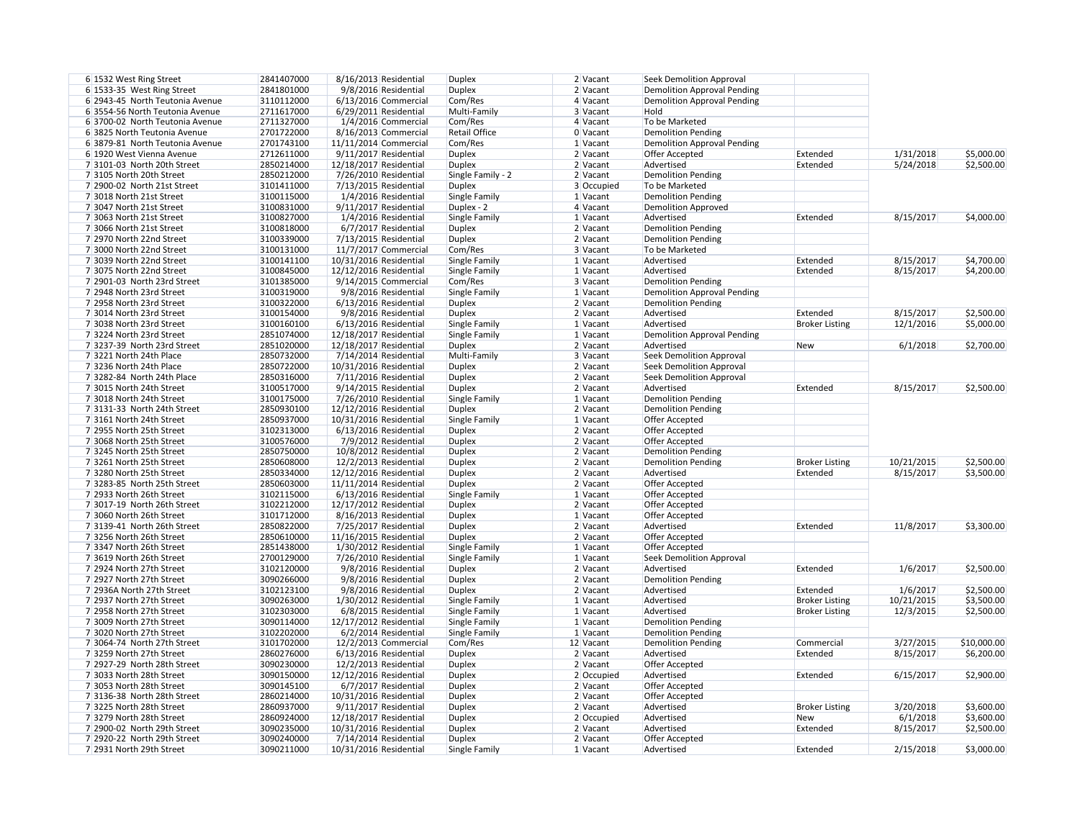| 2 Vacant     | Seek Demolition Approval           |                       |            |             |
|--------------|------------------------------------|-----------------------|------------|-------------|
| 2 Vacant     | <b>Demolition Approval Pending</b> |                       |            |             |
| 4 Vacant     | <b>Demolition Approval Pending</b> |                       |            |             |
| 3 Vacant     | Hold                               |                       |            |             |
| 4 Vacant     | To be Marketed                     |                       |            |             |
| 0 Vacant     | <b>Demolition Pending</b>          |                       |            |             |
| 1 Vacant     | <b>Demolition Approval Pending</b> |                       |            |             |
| 2 Vacant     | <b>Offer Accepted</b>              | Extended              | 1/31/2018  | \$5,000.00  |
| 2 Vacant     | Advertised                         | Extended              | 5/24/2018  | \$2,500.00  |
| 2 Vacant     | <b>Demolition Pending</b>          |                       |            |             |
| 3 Occupied   | To be Marketed                     |                       |            |             |
| 1 Vacant     | <b>Demolition Pending</b>          |                       |            |             |
| 4 Vacant     | <b>Demolition Approved</b>         |                       |            |             |
| 1 Vacant     | Advertised                         | Extended              | 8/15/2017  | \$4,000.00  |
| 2 Vacant     | <b>Demolition Pending</b>          |                       |            |             |
| 2 Vacant     | <b>Demolition Pending</b>          |                       |            |             |
| 3 Vacant     | To be Marketed                     |                       |            |             |
|              |                                    |                       |            |             |
| 1 Vacant     | Advertised                         | Extended              | 8/15/2017  | \$4,700.00  |
| 1 Vacant     | Advertised                         | Extended              | 8/15/2017  | \$4,200.00  |
| 3 Vacant     | <b>Demolition Pending</b>          |                       |            |             |
| 1 Vacant     | <b>Demolition Approval Pending</b> |                       |            |             |
| 2 Vacant     | <b>Demolition Pending</b>          |                       |            |             |
| 2 Vacant     | Advertised                         | Extended              | 8/15/2017  | \$2,500.00  |
| 1 Vacant     | Advertised                         | <b>Broker Listing</b> | 12/1/2016  | \$5,000.00  |
| 1 Vacant     | <b>Demolition Approval Pending</b> |                       |            |             |
| 2 Vacant     | Advertised                         | <b>New</b>            | 6/1/2018   | \$2,700.00  |
| 3 Vacant     | <b>Seek Demolition Approval</b>    |                       |            |             |
| 2 Vacant     | <b>Seek Demolition Approval</b>    |                       |            |             |
| 2 Vacant     | <b>Seek Demolition Approval</b>    |                       |            |             |
| 2 Vacant     | Advertised                         | Extended              | 8/15/2017  | \$2,500.00  |
| 1 Vacant     | <b>Demolition Pending</b>          |                       |            |             |
| 2 Vacant     | <b>Demolition Pending</b>          |                       |            |             |
| 1 Vacant     | <b>Offer Accepted</b>              |                       |            |             |
| 2 Vacant     | Offer Accepted                     |                       |            |             |
| 2 Vacant     | Offer Accepted                     |                       |            |             |
| 2 Vacant     | <b>Demolition Pending</b>          |                       |            |             |
| 2 Vacant     | <b>Demolition Pending</b>          | <b>Broker Listing</b> | 10/21/2015 | \$2,500.00  |
| 2 Vacant     | Advertised                         | Extended              | 8/15/2017  | \$3,500.00  |
| 2 Vacant     | Offer Accepted                     |                       |            |             |
| 1 Vacant     | Offer Accepted                     |                       |            |             |
| 2 Vacant     | Offer Accepted                     |                       |            |             |
|              | <b>Offer Accepted</b>              |                       |            |             |
| 1 Vacant     |                                    |                       |            |             |
| 2 Vacant     | Advertised                         | Extended              | 11/8/2017  | \$3,300.00  |
| 2 Vacant     | Offer Accepted                     |                       |            |             |
| 1 Vacant     | Offer Accepted                     |                       |            |             |
| 1 Vacant     | <b>Seek Demolition Approval</b>    |                       |            |             |
| 2 Vacant     | Advertised                         | Extended              | 1/6/2017   | \$2,500.00  |
| 2 Vacant     | <b>Demolition Pending</b>          |                       |            |             |
| 2 Vacant     | Advertised                         | Extended              | 1/6/2017   | \$2,500.00  |
| 1 Vacant     | Advertised                         | <b>Broker Listing</b> | 10/21/2015 | \$3,500.00  |
| 1 Vacant     | Advertised                         | <b>Broker Listing</b> | 12/3/2015  | \$2,500.00  |
| 1 Vacant     | <b>Demolition Pending</b>          |                       |            |             |
| 1 Vacant     | <b>Demolition Pending</b>          |                       |            |             |
| 2 Vacant     | <b>Demolition Pending</b>          | Commercial            | 3/27/2015  | \$10,000.00 |
| 2 Vacant     | Advertised                         | Extended              | 8/15/2017  | \$6,200.00  |
| 2 Vacant     | Offer Accepted                     |                       |            |             |
| 2 Occupied   | Advertised                         | Extended              | 6/15/2017  | \$2,900.00  |
| 2 Vacant     | Offer Accepted                     |                       |            |             |
| 2 Vacant     | <b>Offer Accepted</b>              |                       |            |             |
| 2 Vacant     | Advertised                         | <b>Broker Listing</b> | 3/20/2018  | \$3,600.00  |
| $2$ Occupied | Advertised                         | <b>New</b>            | 6/1/2018   | \$3,600.00  |
| 2 Vacant     | Advertised                         | Extended              | 8/15/2017  | \$2,500.00  |
| 2 Vacant     | Offer Accepted                     |                       |            |             |
| 1 Vacant     | Advertised                         | Extended              | 2/15/2018  | \$3,000.00  |
|              |                                    |                       |            |             |

| 6 1532 West Ring Street         | 2841407000 | 8/16/2013 Residential    | <b>Duplex</b>        | 2 Vacant   | <b>Seek Demolition Approval</b>    |                       |            |             |
|---------------------------------|------------|--------------------------|----------------------|------------|------------------------------------|-----------------------|------------|-------------|
| 6 1533-35 West Ring Street      | 2841801000 | 9/8/2016 Residential     | <b>Duplex</b>        | 2 Vacant   | <b>Demolition Approval Pending</b> |                       |            |             |
| 6 2943-45 North Teutonia Avenue | 3110112000 | $6/13/2016$ Commercial   | Com/Res              | 4 Vacant   | <b>Demolition Approval Pending</b> |                       |            |             |
| 6 3554-56 North Teutonia Avenue | 2711617000 | $6/29/2011$ Residential  | Multi-Family         | 3 Vacant   | Hold                               |                       |            |             |
| 63700-02 North Teutonia Avenue  | 2711327000 | 1/4/2016 Commercial      | Com/Res              | 4 Vacant   | To be Marketed                     |                       |            |             |
| 6 3825 North Teutonia Avenue    | 2701722000 | 8/16/2013 Commercial     | <b>Retail Office</b> | $0$ Vacant | Demolition Pending                 |                       |            |             |
| 6 3879-81 North Teutonia Avenue | 2701743100 | 11/11/2014 Commercial    | Com/Res              | $1$ Vacant | Demolition Approval Pending        |                       |            |             |
| 6 1920 West Vienna Avenue       | 2712611000 | $9/11/2017$ Residential  | <b>Duplex</b>        | $2$ Vacant | Offer Accepted                     | Extended              | 1/31/2018  | \$5,000.00  |
| 7 3101-03 North 20th Street     | 2850214000 | 12/18/2017 Residential   | <b>Duplex</b>        | $2$ Vacant | Advertised                         | Extended              | 5/24/2018  | \$2,500.00  |
| 73105 North 20th Street         | 2850212000 | 7/26/2010 Residential    | Single Family - 2    | $2$ Vacant | <b>Demolition Pending</b>          |                       |            |             |
| 7 2900-02 North 21st Street     | 3101411000 | 7/13/2015 Residential    | <b>Duplex</b>        | 3 Occupied | To be Marketed                     |                       |            |             |
| 7 3018 North 21st Street        | 3100115000 | 1/4/2016 Residential     | Single Family        | 1 Vacant   | <b>Demolition Pending</b>          |                       |            |             |
| 7 3047 North 21st Street        | 3100831000 | $9/11/2017$ Residential  | Duplex - 2           | 4 Vacant   | <b>Demolition Approved</b>         |                       |            |             |
| 7 3063 North 21st Street        | 3100827000 | 1/4/2016 Residential     | Single Family        | $1$ Vacant | Advertised                         | Extended              | 8/15/2017  | \$4,000.00  |
| 7 3066 North 21st Street        | 3100818000 | 6/7/2017 Residential     | <b>Duplex</b>        | 2 Vacant   | <b>Demolition Pending</b>          |                       |            |             |
| 7 2970 North 22nd Street        | 3100339000 | 7/13/2015 Residential    | <b>Duplex</b>        | 2 Vacant   | <b>Demolition Pending</b>          |                       |            |             |
| 7 3000 North 22nd Street        | 3100131000 | 11/7/2017 Commercial     | Com/Res              | 3 Vacant   | To be Marketed                     |                       |            |             |
| 7 3039 North 22nd Street        | 3100141100 | 10/31/2016 Residential   | Single Family        | 1 Vacant   | Advertised                         | Extended              | 8/15/2017  | \$4,700.00  |
| 7 3075 North 22nd Street        | 3100845000 | 12/12/2016 Residential   | Single Family        | 1 Vacant   | Advertised                         | Extended              | 8/15/2017  | \$4,200.00  |
| 7 2901-03 North 23rd Street     | 3101385000 | $9/14/2015$ Commercial   | Com/Res              | 3 Vacant   | <b>Demolition Pending</b>          |                       |            |             |
| 7 2948 North 23rd Street        | 3100319000 | 9/8/2016 Residential     | Single Family        | 1 Vacant   | <b>Demolition Approval Pending</b> |                       |            |             |
| 7 2958 North 23rd Street        | 3100322000 | $6/13/2016$ Residential  | <b>Duplex</b>        | 2 Vacant   | <b>Demolition Pending</b>          |                       |            |             |
| 7 3014 North 23rd Street        | 3100154000 | 9/8/2016 Residential     | <b>Duplex</b>        | 2 Vacant   | Advertised                         | Extended              | 8/15/2017  | \$2,500.00  |
| 7 3038 North 23rd Street        | 3100160100 | $6/13/2016$ Residential  | Single Family        | 1 Vacant   | Advertised                         | <b>Broker Listing</b> | 12/1/2016  | \$5,000.00  |
| 73224 North 23rd Street         | 2851074000 |                          |                      | 1 Vacant   | <b>Demolition Approval Pending</b> |                       |            |             |
| 7 3237-39 North 23rd Street     |            | 12/18/2017 Residential   | <b>Single Family</b> |            | Advertised                         |                       | 6/1/2018   | \$2,700.00  |
|                                 | 2851020000 | 12/18/2017 Residential   | <b>Duplex</b>        | 2 Vacant   |                                    | New                   |            |             |
| 73221 North 24th Place          | 2850732000 | 7/14/2014 Residential    | Multi-Family         | 3 Vacant   | <b>Seek Demolition Approval</b>    |                       |            |             |
| 7 3236 North 24th Place         | 2850722000 | 10/31/2016 Residential   | <b>Duplex</b>        | $2$ Vacant | Seek Demolition Approval           |                       |            |             |
| 7 3282-84 North 24th Place      | 2850316000 | 7/11/2016 Residential    | <b>Duplex</b>        | 2 Vacant   | <b>Seek Demolition Approval</b>    |                       |            |             |
| 7 3015 North 24th Street        | 3100517000 | $9/14/2015$ Residential  | <b>Duplex</b>        | 2 Vacant   | Advertised                         | Extended              | 8/15/2017  | \$2,500.00  |
| 7 3018 North 24th Street        | 3100175000 | 7/26/2010 Residential    | Single Family        | 1 Vacant   | <b>Demolition Pending</b>          |                       |            |             |
| 7 3131-33 North 24th Street     | 2850930100 | 12/12/2016 Residential   | <b>Duplex</b>        | 2 Vacant   | <b>Demolition Pending</b>          |                       |            |             |
| 7 3161 North 24th Street        | 2850937000 | 10/31/2016 Residential   | Single Family        | $1$ Vacant | Offer Accepted                     |                       |            |             |
| 7 2955 North 25th Street        | 3102313000 | $6/13/2016$ Residential  | <b>Duplex</b>        | 2 Vacant   | Offer Accepted                     |                       |            |             |
| 7 3068 North 25th Street        | 3100576000 | 7/9/2012 Residential     | <b>Duplex</b>        | 2 Vacant   | Offer Accepted                     |                       |            |             |
| 73245 North 25th Street         | 2850750000 | 10/8/2012 Residential    | <b>Duplex</b>        | 2 Vacant   | <b>Demolition Pending</b>          |                       |            |             |
| 73261 North 25th Street         | 2850608000 | $12/2/2013$ Residential  | <b>Duplex</b>        | 2 Vacant   | Demolition Pending                 | <b>Broker Listing</b> | 10/21/2015 | \$2,500.00  |
| 73280 North 25th Street         | 2850334000 | 12/12/2016 Residential   | <b>Duplex</b>        | 2 Vacant   | Advertised                         | Extended              | 8/15/2017  | \$3,500.00  |
| 7 3283-85 North 25th Street     | 2850603000 | $11/11/2014$ Residential | <b>Duplex</b>        | $2$ Vacant | Offer Accepted                     |                       |            |             |
| 7 2933 North 26th Street        | 3102115000 | $6/13/2016$ Residential  | Single Family        | $1$ Vacant | Offer Accepted                     |                       |            |             |
| 7 3017-19 North 26th Street     | 3102212000 | 12/17/2012 Residential   | <b>Duplex</b>        | $2$ Vacant | Offer Accepted                     |                       |            |             |
| 7 3060 North 26th Street        | 3101712000 | 8/16/2013 Residential    | <b>Duplex</b>        | 1 Vacant   | Offer Accepted                     |                       |            |             |
| 7 3139-41 North 26th Street     | 2850822000 | 7/25/2017 Residential    | <b>Duplex</b>        | $2$ Vacant | Advertised                         | Extended              | 11/8/2017  | \$3,300.00  |
| 73256 North 26th Street         | 2850610000 | 11/16/2015 Residential   | <b>Duplex</b>        | 2 Vacant   | Offer Accepted                     |                       |            |             |
| 7 3347 North 26th Street        | 2851438000 | $1/30/2012$ Residential  | Single Family        | $1$ Vacant | Offer Accepted                     |                       |            |             |
| 7 3619 North 26th Street        | 2700129000 | 7/26/2010 Residential    | Single Family        | $1$ Vacant | <b>Seek Demolition Approval</b>    |                       |            |             |
| 7 2924 North 27th Street        | 3102120000 | 9/8/2016 Residential     | <b>Duplex</b>        | 2 Vacant   | Advertised                         | Extended              | 1/6/2017   | \$2,500.00  |
| 7 2927 North 27th Street        | 3090266000 | 9/8/2016 Residential     | <b>Duplex</b>        | 2 Vacant   | <b>Demolition Pending</b>          |                       |            |             |
| 7 2936A North 27th Street       | 3102123100 | 9/8/2016 Residential     | <b>Duplex</b>        | 2 Vacant   | Advertised                         | Extended              | 1/6/2017   | \$2,500.00  |
| 7 2937 North 27th Street        | 3090263000 | $1/30/2012$ Residential  | Single Family        | 1 Vacant   | Advertised                         | <b>Broker Listing</b> | 10/21/2015 | \$3,500.00  |
| 7 2958 North 27th Street        | 3102303000 | 6/8/2015 Residential     | Single Family        | $1$ Vacant | Advertised                         | <b>Broker Listing</b> | 12/3/2015  | \$2,500.00  |
| 7 3009 North 27th Street        | 3090114000 | 12/17/2012 Residential   | Single Family        | 1 Vacant   | <b>Demolition Pending</b>          |                       |            |             |
| 73020 North 27th Street         | 3102202000 | $6/2/2014$ Residential   | Single Family        | 1 Vacant   | <b>Demolition Pending</b>          |                       |            |             |
| 7 3064-74 North 27th Street     | 3101702000 | 12/2/2013 Commercial     | Com/Res              | 12 Vacant  | <b>Demolition Pending</b>          | Commercial            | 3/27/2015  | \$10,000.00 |
| 7 3259 North 27th Street        | 2860276000 | $6/13/2016$ Residential  | <b>Duplex</b>        | 2 Vacant   | Advertised                         | Extended              | 8/15/2017  | \$6,200.00  |
| 7 2927-29 North 28th Street     | 3090230000 | 12/2/2013 Residential    | <b>Duplex</b>        | 2 Vacant   | Offer Accepted                     |                       |            |             |
| 7 3033 North 28th Street        | 3090150000 | 12/12/2016 Residential   | <b>Duplex</b>        | 2 Occupied | Advertised                         | Extended              | 6/15/2017  | \$2,900.00  |
| 7 3053 North 28th Street        | 3090145100 | 6/7/2017 Residential     | <b>Duplex</b>        | 2 Vacant   | Offer Accepted                     |                       |            |             |
| 7 3136-38 North 28th Street     | 2860214000 | 10/31/2016 Residential   | <b>Duplex</b>        | $2$ Vacant | Offer Accepted                     |                       |            |             |
| 7 3225 North 28th Street        | 2860937000 | $9/11/2017$ Residential  | <b>Duplex</b>        | 2 Vacant   | Advertised                         | <b>Broker Listing</b> | 3/20/2018  | \$3,600.00  |
| 7 3279 North 28th Street        | 2860924000 | 12/18/2017 Residential   | <b>Duplex</b>        | 2 Occupied | Advertised                         | <b>New</b>            | 6/1/2018   | \$3,600.00  |
| 7 2900-02 North 29th Street     | 3090235000 | 10/31/2016 Residential   | <b>Duplex</b>        | 2 Vacant   | Advertised                         | Extended              | 8/15/2017  | \$2,500.00  |
| 7 2920-22 North 29th Street     | 3090240000 | 7/14/2014 Residential    | <b>Duplex</b>        | 2 Vacant   | Offer Accepted                     |                       |            |             |
| 7 2931 North 29th Street        | 3090211000 | 10/31/2016 Residential   | Single Family        | $1$ Vacant | Advertised                         | Extended              | 2/15/2018  | \$3,000.00  |
|                                 |            |                          |                      |            |                                    |                       |            |             |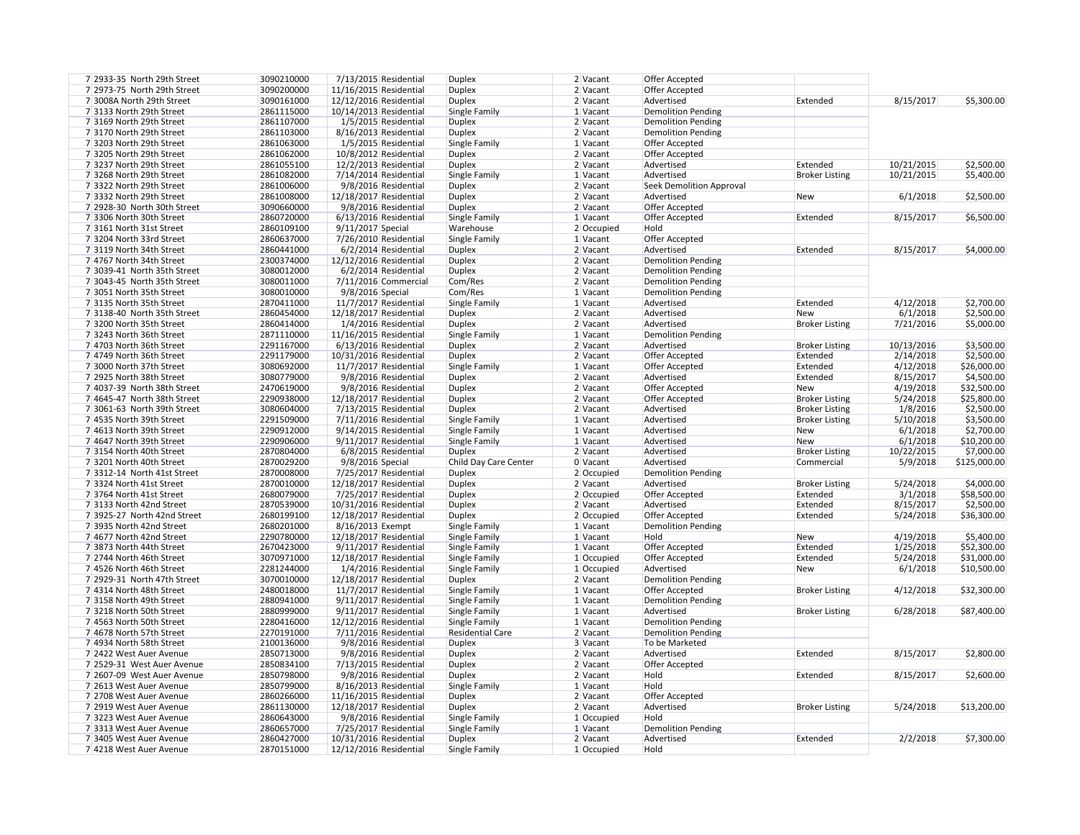| 7 2933-35 North 29th Street | 3090210000 |                        | 7/13/2015 Residential   | <b>Duplex</b>           | 2 Vacant     | Offer Accepted                  |
|-----------------------------|------------|------------------------|-------------------------|-------------------------|--------------|---------------------------------|
| 7 2973-75 North 29th Street | 3090200000 | 11/16/2015 Residential |                         | <b>Duplex</b>           | $2$ Vacant   | Offer Accepted                  |
| 7 3008A North 29th Street   | 3090161000 | 12/12/2016 Residential |                         | <b>Duplex</b>           | 2 Vacant     | Advertised                      |
| 73133 North 29th Street     | 2861115000 | 10/14/2013 Residential |                         | Single Family           | $1$ Vacant   | <b>Demolition Pending</b>       |
| 7 3169 North 29th Street    | 2861107000 |                        | 1/5/2015 Residential    | <b>Duplex</b>           | 2 Vacant     | <b>Demolition Pending</b>       |
| 73170 North 29th Street     | 2861103000 |                        | 8/16/2013 Residential   | <b>Duplex</b>           | 2 Vacant     | <b>Demolition Pending</b>       |
|                             |            |                        |                         |                         |              |                                 |
| 73203 North 29th Street     | 2861063000 |                        | 1/5/2015 Residential    | Single Family           | $1$ Vacant   | Offer Accepted                  |
| 73205 North 29th Street     | 2861062000 |                        | 10/8/2012 Residential   | <b>Duplex</b>           | 2 Vacant     | Offer Accepted                  |
| 73237 North 29th Street     | 2861055100 |                        | 12/2/2013 Residential   | <b>Duplex</b>           | 2 Vacant     | Advertised                      |
| 73268 North 29th Street     | 2861082000 |                        | $7/14/2014$ Residential | Single Family           | $1$ Vacant   | Advertised                      |
| 73322 North 29th Street     | 2861006000 |                        | 9/8/2016 Residential    | <b>Duplex</b>           | 2 Vacant     | <b>Seek Demolition Approval</b> |
| 73332 North 29th Street     | 2861008000 | 12/18/2017 Residential |                         | <b>Duplex</b>           | 2 Vacant     | Advertised                      |
| 7 2928-30 North 30th Street | 3090660000 |                        | 9/8/2016 Residential    | <b>Duplex</b>           | 2 Vacant     | Offer Accepted                  |
|                             |            |                        |                         |                         |              |                                 |
| 73306 North 30th Street     | 2860720000 |                        | $6/13/2016$ Residential | Single Family           | $1$ Vacant   | Offer Accepted                  |
| 73161 North 31st Street     | 2860109100 | 9/11/2017 Special      |                         | Warehouse               | 2 Occupied   | Hold                            |
| 73204 North 33rd Street     | 2860637000 |                        | 7/26/2010 Residential   | Single Family           | $1$ Vacant   | Offer Accepted                  |
| 73119 North 34th Street     | 2860441000 |                        | 6/2/2014 Residential    | <b>Duplex</b>           | 2 Vacant     | Advertised                      |
| 7 4767 North 34th Street    | 2300374000 | 12/12/2016 Residential |                         | <b>Duplex</b>           | 2 Vacant     | <b>Demolition Pending</b>       |
| 7 3039-41 North 35th Street | 3080012000 |                        | 6/2/2014 Residential    | <b>Duplex</b>           | 2 Vacant     | <b>Demolition Pending</b>       |
| 7 3043-45 North 35th Street | 3080011000 |                        | 7/11/2016 Commercial    | Com/Res                 | 2 Vacant     | <b>Demolition Pending</b>       |
| 7 3051 North 35th Street    | 3080010000 | 9/8/2016 Special       |                         | Com/Res                 | $1$ Vacant   | <b>Demolition Pending</b>       |
|                             |            |                        |                         |                         |              |                                 |
| 73135 North 35th Street     | 2870411000 |                        | 11/7/2017 Residential   | Single Family           | $1$ Vacant   | Advertised                      |
| 7 3138-40 North 35th Street | 2860454000 | 12/18/2017 Residential |                         | <b>Duplex</b>           | 2 Vacant     | Advertised                      |
| 73200 North 35th Street     | 2860414000 |                        | 1/4/2016 Residential    | <b>Duplex</b>           | 2 Vacant     | Advertised                      |
| 73243 North 36th Street     | 2871110000 | 11/16/2015 Residential |                         | Single Family           | $1$ Vacant   | <b>Demolition Pending</b>       |
| 7 4703 North 36th Street    | 2291167000 |                        | 6/13/2016 Residential   | <b>Duplex</b>           | $2$ Vacant   | Advertised                      |
| 7 4749 North 36th Street    | 2291179000 | 10/31/2016 Residential |                         | <b>Duplex</b>           | $2$ Vacant   | Offer Accepted                  |
| 7 3000 North 37th Street    | 3080692000 |                        | 11/7/2017 Residential   | Single Family           | $1$ Vacant   | Offer Accepted                  |
| 7 2925 North 38th Street    | 3080779000 |                        | 9/8/2016 Residential    | <b>Duplex</b>           | 2 Vacant     | Advertised                      |
| 7 4037-39 North 38th Street | 2470619000 |                        |                         |                         |              |                                 |
|                             |            |                        | 9/8/2016 Residential    | <b>Duplex</b>           | 2 Vacant     | Offer Accepted                  |
| 7 4645-47 North 38th Street | 2290938000 | 12/18/2017 Residential |                         | <b>Duplex</b>           | 2 Vacant     | Offer Accepted                  |
| 7 3061-63 North 39th Street | 3080604000 |                        | 7/13/2015 Residential   | <b>Duplex</b>           | 2 Vacant     | Advertised                      |
| 7 4535 North 39th Street    | 2291509000 |                        | 7/11/2016 Residential   | Single Family           | $1$ Vacant   | Advertised                      |
| 7 4613 North 39th Street    | 2290912000 |                        | 9/14/2015 Residential   | Single Family           | $1$ Vacant   | Advertised                      |
| 7 4647 North 39th Street    | 2290906000 |                        | $9/11/2017$ Residential | Single Family           | $1$ Vacant   | Advertised                      |
| 73154 North 40th Street     | 2870804000 |                        | 6/8/2015 Residential    | <b>Duplex</b>           | 2 Vacant     | Advertised                      |
| 73201 North 40th Street     | 2870029200 | 9/8/2016 Special       |                         | Child Day Care Center   | 0 Vacant     | Advertised                      |
| 73312-14 North 41st Street  | 2870008000 |                        | 7/25/2017 Residential   | <b>Duplex</b>           | 2 Occupied   | <b>Demolition Pending</b>       |
| 73324 North 41st Street     | 2870010000 | 12/18/2017 Residential |                         | <b>Duplex</b>           | 2 Vacant     | Advertised                      |
|                             |            |                        |                         |                         |              |                                 |
| 73764 North 41st Street     | 2680079000 |                        | 7/25/2017 Residential   | <b>Duplex</b>           | 2 Occupied   | Offer Accepted                  |
| 73133 North 42nd Street     | 2870539000 | 10/31/2016 Residential |                         | <b>Duplex</b>           | $2$ Vacant   | Advertised                      |
| 7 3925-27 North 42nd Street | 2680199100 | 12/18/2017 Residential |                         | <b>Duplex</b>           | 2 Occupied   | Offer Accepted                  |
| 7 3935 North 42nd Street    | 2680201000 | 8/16/2013 Exempt       |                         | Single Family           | $1$ Vacant   | <b>Demolition Pending</b>       |
| 7 4677 North 42nd Street    | 2290780000 | 12/18/2017 Residential |                         | Single Family           | $1$ Vacant   | Hold                            |
| 73873 North 44th Street     | 2670423000 |                        | 9/11/2017 Residential   | Single Family           | 1 Vacant     | Offer Accepted                  |
| 7 2744 North 46th Street    | 3070971000 | 12/18/2017 Residential |                         | Single Family           | $1$ Occupied | Offer Accepted                  |
| 7 4526 North 46th Street    | 2281244000 |                        | 1/4/2016 Residential    | Single Family           | $1$ Occupied | Advertised                      |
| 7 2929-31 North 47th Street | 3070010000 | 12/18/2017 Residential |                         | <b>Duplex</b>           | 2 Vacant     | <b>Demolition Pending</b>       |
| 7 4314 North 48th Street    | 2480018000 |                        | 11/7/2017 Residential   | Single Family           | 1 Vacant     | Offer Accepted                  |
|                             |            |                        |                         |                         |              |                                 |
| 73158 North 49th Street     | 2880941000 |                        | 9/11/2017 Residential   | Single Family           | $1$ Vacant   | <b>Demolition Pending</b>       |
| 73218 North 50th Street     | 2880999000 |                        | 9/11/2017 Residential   | Single Family           | $1$ Vacant   | Advertised                      |
| 7 4563 North 50th Street    | 2280416000 | 12/12/2016 Residential |                         | Single Family           | $1$ Vacant   | <b>Demolition Pending</b>       |
| 7 4678 North 57th Street    | 2270191000 |                        | 7/11/2016 Residential   | <b>Residential Care</b> | 2 Vacant     | <b>Demolition Pending</b>       |
| 7 4934 North 58th Street    | 2100136000 |                        | 9/8/2016 Residential    | <b>Duplex</b>           | 3 Vacant     | To be Marketed                  |
| 7 2422 West Auer Avenue     | 2850713000 |                        | 9/8/2016 Residential    | <b>Duplex</b>           | $2$ Vacant   | Advertised                      |
| 7 2529-31 West Auer Avenue  | 2850834100 |                        | 7/13/2015 Residential   | <b>Duplex</b>           | 2 Vacant     | Offer Accepted                  |
| 7 2607-09 West Auer Avenue  | 2850798000 |                        | 9/8/2016 Residential    | <b>Duplex</b>           | 2 Vacant     | Hold                            |
| 7 2613 West Auer Avenue     | 2850799000 |                        | 8/16/2013 Residential   | Single Family           | $1$ Vacant   | Hold                            |
|                             |            |                        |                         |                         |              |                                 |
| 7 2708 West Auer Avenue     | 2860266000 | 11/16/2015 Residential |                         | <b>Duplex</b>           | $2$ Vacant   | Offer Accepted                  |
| 7 2919 West Auer Avenue     | 2861130000 | 12/18/2017 Residential |                         | <b>Duplex</b>           | $2$ Vacant   | Advertised                      |
| 73223 West Auer Avenue      | 2860643000 |                        | 9/8/2016 Residential    | Single Family           | $1$ Occupied | Hold                            |
| 73313 West Auer Avenue      | 2860657000 |                        | 7/25/2017 Residential   | Single Family           | $1$ Vacant   | <b>Demolition Pending</b>       |
| 7 3405 West Auer Avenue     | 2860427000 | 10/31/2016 Residential |                         | <b>Duplex</b>           | 2 Vacant     | Advertised                      |
| 7 4218 West Auer Avenue     | 2870151000 | 12/12/2016 Residential |                         | Single Family           | $1$ Occupied | Hold                            |
|                             |            |                        |                         |                         |              |                                 |

| 2 Vacant     | Offer Accepted                  |                       |            |              |
|--------------|---------------------------------|-----------------------|------------|--------------|
| 2 Vacant     | Offer Accepted                  |                       |            |              |
| 2 Vacant     | Advertised                      | Extended              | 8/15/2017  | \$5,300.00   |
| 1 Vacant     | <b>Demolition Pending</b>       |                       |            |              |
| 2 Vacant     | <b>Demolition Pending</b>       |                       |            |              |
| 2 Vacant     | <b>Demolition Pending</b>       |                       |            |              |
| 1 Vacant     | Offer Accepted                  |                       |            |              |
| 2 Vacant     | Offer Accepted                  |                       |            |              |
| 2 Vacant     | Advertised                      | Extended              | 10/21/2015 | \$2,500.00   |
| 1 Vacant     | Advertised                      | <b>Broker Listing</b> | 10/21/2015 | \$5,400.00   |
| 2 Vacant     | <b>Seek Demolition Approval</b> |                       |            |              |
| 2 Vacant     | Advertised                      | <b>New</b>            | 6/1/2018   | \$2,500.00   |
| 2 Vacant     | Offer Accepted                  |                       |            |              |
| 1 Vacant     | Offer Accepted                  | Extended              | 8/15/2017  | \$6,500.00   |
| 2 Occupied   | Hold                            |                       |            |              |
| 1 Vacant     | <b>Offer Accepted</b>           |                       |            |              |
| 2 Vacant     | Advertised                      | Extended              | 8/15/2017  | \$4,000.00   |
| 2 Vacant     | <b>Demolition Pending</b>       |                       |            |              |
| 2 Vacant     | <b>Demolition Pending</b>       |                       |            |              |
| 2 Vacant     | <b>Demolition Pending</b>       |                       |            |              |
| 1 Vacant     | <b>Demolition Pending</b>       |                       |            |              |
| 1 Vacant     | Advertised                      | Extended              | 4/12/2018  | \$2,700.00   |
| 2 Vacant     | Advertised                      | <b>New</b>            | 6/1/2018   | \$2,500.00   |
| 2 Vacant     | Advertised                      | <b>Broker Listing</b> | 7/21/2016  | \$5,000.00   |
| 1 Vacant     | <b>Demolition Pending</b>       |                       |            |              |
| 2 Vacant     | Advertised                      | <b>Broker Listing</b> | 10/13/2016 | \$3,500.00   |
| 2 Vacant     | Offer Accepted                  | Extended              | 2/14/2018  | \$2,500.00   |
| 1 Vacant     | Offer Accepted                  | Extended              | 4/12/2018  | \$26,000.00  |
| 2 Vacant     | Advertised                      | Extended              | 8/15/2017  | \$4,500.00   |
| 2 Vacant     | Offer Accepted                  | <b>New</b>            | 4/19/2018  | \$32,500.00  |
| 2 Vacant     | Offer Accepted                  | <b>Broker Listing</b> | 5/24/2018  | \$25,800.00  |
| 2 Vacant     | Advertised                      | <b>Broker Listing</b> | 1/8/2016   | \$2,500.00   |
| 1 Vacant     | Advertised                      | <b>Broker Listing</b> | 5/10/2018  | \$3,500.00   |
| 1 Vacant     | Advertised                      | <b>New</b>            | 6/1/2018   | \$2,700.00   |
| 1 Vacant     | Advertised                      | <b>New</b>            | 6/1/2018   | \$10,200.00  |
| 2 Vacant     | Advertised                      | <b>Broker Listing</b> | 10/22/2015 | \$7,000.00   |
| 0 Vacant     | Advertised                      | Commercial            | 5/9/2018   | \$125,000.00 |
| 2 Occupied   | <b>Demolition Pending</b>       |                       |            |              |
| 2 Vacant     | Advertised                      | <b>Broker Listing</b> | 5/24/2018  | \$4,000.00   |
| $2$ Occupied | Offer Accepted                  | Extended              | 3/1/2018   | \$58,500.00  |
| 2 Vacant     | Advertised                      | Extended              | 8/15/2017  | \$2,500.00   |
| 2 Occupied   | Offer Accepted                  | Extended              | 5/24/2018  | \$36,300.00  |
| 1 Vacant     | <b>Demolition Pending</b>       |                       |            |              |
| 1 Vacant     | Hold                            | <b>New</b>            | 4/19/2018  | \$5,400.00   |
| 1 Vacant     | Offer Accepted                  | Extended              | 1/25/2018  | \$52,300.00  |
| $1$ Occupied | Offer Accepted                  | Extended              | 5/24/2018  | \$31,000.00  |
| 1 Occupied   | Advertised                      | <b>New</b>            | 6/1/2018   | \$10,500.00  |
| 2 Vacant     | <b>Demolition Pending</b>       |                       |            |              |
| 1 Vacant     | Offer Accepted                  | <b>Broker Listing</b> | 4/12/2018  | \$32,300.00  |
| 1 Vacant     | <b>Demolition Pending</b>       |                       |            |              |
| 1 Vacant     | Advertised                      | <b>Broker Listing</b> | 6/28/2018  | \$87,400.00  |
| 1 Vacant     | <b>Demolition Pending</b>       |                       |            |              |
| 2 Vacant     | <b>Demolition Pending</b>       |                       |            |              |
| 3 Vacant     | To be Marketed                  |                       |            |              |
| 2 Vacant     | Advertised                      | Extended              | 8/15/2017  | \$2,800.00   |
| 2 Vacant     | Offer Accepted                  |                       |            |              |
| 2 Vacant     | Hold                            | Extended              | 8/15/2017  | \$2,600.00   |
| 1 Vacant     | Hold                            |                       |            |              |
| 2 Vacant     | Offer Accepted                  |                       |            |              |
| 2 Vacant     | Advertised                      | <b>Broker Listing</b> | 5/24/2018  | \$13,200.00  |
| $1$ Occupied | Hold                            |                       |            |              |
| 1 Vacant     | <b>Demolition Pending</b>       |                       |            |              |
| 2 Vacant     | Advertised                      | Extended              | 2/2/2018   | \$7,300.00   |
| $1$ Occupied | Hold                            |                       |            |              |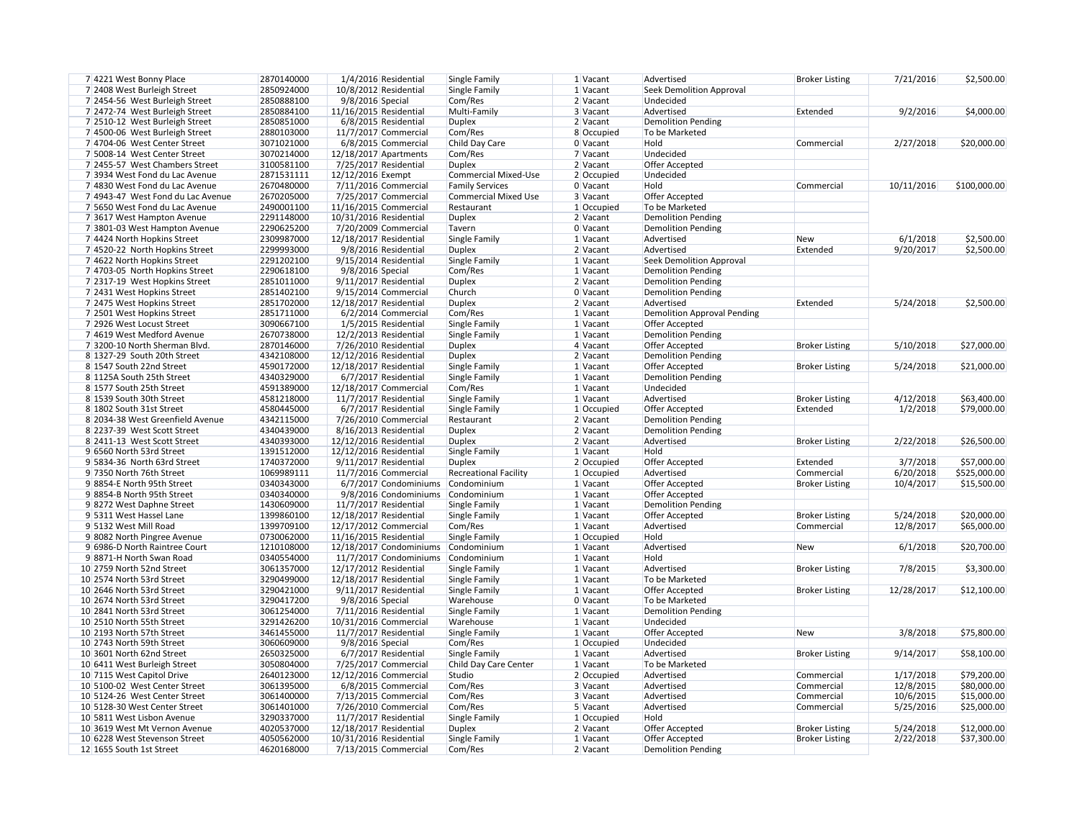| 1 Vacant     | Advertised                         |                       | 7/21/2016  | \$2,500.00   |
|--------------|------------------------------------|-----------------------|------------|--------------|
|              |                                    | <b>Broker Listing</b> |            |              |
| 1 Vacant     | <b>Seek Demolition Approval</b>    |                       |            |              |
| 2 Vacant     | Undecided                          |                       |            |              |
| 3 Vacant     | Advertised                         | Extended              | 9/2/2016   | \$4,000.00   |
| 2 Vacant     | <b>Demolition Pending</b>          |                       |            |              |
| 8 Occupied   | To be Marketed                     |                       |            |              |
| 0 Vacant     | Hold                               | Commercial            | 2/27/2018  | \$20,000.00  |
| 7 Vacant     | Undecided                          |                       |            |              |
| 2 Vacant     | Offer Accepted                     |                       |            |              |
| $2$ Occupied | Undecided                          |                       |            |              |
| 0 Vacant     | Hold                               | Commercial            | 10/11/2016 | \$100,000.00 |
| 3 Vacant     | Offer Accepted                     |                       |            |              |
| $1$ Occupied | To be Marketed                     |                       |            |              |
| 2 Vacant     | <b>Demolition Pending</b>          |                       |            |              |
| 0 Vacant     | <b>Demolition Pending</b>          |                       |            |              |
| 1 Vacant     | Advertised                         | <b>New</b>            | 6/1/2018   | \$2,500.00   |
| 2 Vacant     | Advertised                         | Extended              | 9/20/2017  | \$2,500.00   |
| 1 Vacant     | <b>Seek Demolition Approval</b>    |                       |            |              |
|              |                                    |                       |            |              |
| 1 Vacant     | <b>Demolition Pending</b>          |                       |            |              |
| 2 Vacant     | <b>Demolition Pending</b>          |                       |            |              |
| 0 Vacant     | <b>Demolition Pending</b>          |                       |            |              |
| 2 Vacant     | Advertised                         | Extended              | 5/24/2018  | \$2,500.00   |
| 1 Vacant     | <b>Demolition Approval Pending</b> |                       |            |              |
| 1 Vacant     | Offer Accepted                     |                       |            |              |
| 1 Vacant     | <b>Demolition Pending</b>          |                       |            |              |
| 4 Vacant     | Offer Accepted                     | <b>Broker Listing</b> | 5/10/2018  | \$27,000.00  |
| 2 Vacant     | <b>Demolition Pending</b>          |                       |            |              |
| 1 Vacant     | Offer Accepted                     | <b>Broker Listing</b> | 5/24/2018  | \$21,000.00  |
| 1 Vacant     | <b>Demolition Pending</b>          |                       |            |              |
| 1 Vacant     | Undecided                          |                       |            |              |
| 1 Vacant     | Advertised                         | <b>Broker Listing</b> | 4/12/2018  | \$63,400.00  |
| $1$ Occupied | Offer Accepted                     | Extended              | 1/2/2018   | \$79,000.00  |
| 2 Vacant     | <b>Demolition Pending</b>          |                       |            |              |
| 2 Vacant     | <b>Demolition Pending</b>          |                       |            |              |
|              |                                    |                       |            |              |
| 2 Vacant     | Advertised                         | <b>Broker Listing</b> | 2/22/2018  | \$26,500.00  |
| 1 Vacant     | Hold                               |                       |            |              |
| $2$ Occupied | Offer Accepted                     | Extended              | 3/7/2018   | \$57,000.00  |
| 1 Occupied   | Advertised                         | Commercial            | 6/20/2018  | \$525,000.00 |
| 1 Vacant     | Offer Accepted                     | <b>Broker Listing</b> | 10/4/2017  | \$15,500.00  |
| 1 Vacant     | Offer Accepted                     |                       |            |              |
| 1 Vacant     | <b>Demolition Pending</b>          |                       |            |              |
| 1 Vacant     | Offer Accepted                     | <b>Broker Listing</b> | 5/24/2018  | \$20,000.00  |
| 1 Vacant     | Advertised                         | Commercial            | 12/8/2017  | \$65,000.00  |
| $1$ Occupied | Hold                               |                       |            |              |
| 1 Vacant     | Advertised                         | <b>New</b>            | 6/1/2018   | \$20,700.00  |
| 1 Vacant     | Hold                               |                       |            |              |
| 1 Vacant     | Advertised                         | <b>Broker Listing</b> | 7/8/2015   | \$3,300.00   |
| 1 Vacant     | To be Marketed                     |                       |            |              |
| 1 Vacant     | Offer Accepted                     | <b>Broker Listing</b> | 12/28/2017 | \$12,100.00  |
| 0 Vacant     | To be Marketed                     |                       |            |              |
|              |                                    |                       |            |              |
| 1 Vacant     | <b>Demolition Pending</b>          |                       |            |              |
| 1 Vacant     | Undecided                          |                       |            |              |
| 1 Vacant     | Offer Accepted                     | <b>New</b>            | 3/8/2018   | \$75,800.00  |
| $1$ Occupied | Undecided                          |                       |            |              |
| 1 Vacant     | Advertised                         | <b>Broker Listing</b> | 9/14/2017  | \$58,100.00  |
| 1 Vacant     | To be Marketed                     |                       |            |              |
| $2$ Occupied | Advertised                         | Commercial            | 1/17/2018  | \$79,200.00  |
| 3 Vacant     | Advertised                         | Commercial            | 12/8/2015  | \$80,000.00  |
| 3 Vacant     | Advertised                         | Commercial            | 10/6/2015  | \$15,000.00  |
| 5 Vacant     | Advertised                         | Commercial            | 5/25/2016  | \$25,000.00  |
| $1$ Occupied | Hold                               |                       |            |              |
| 2 Vacant     | Offer Accepted                     | <b>Broker Listing</b> | 5/24/2018  | \$12,000.00  |
| 1 Vacant     | Offer Accepted                     | <b>Broker Listing</b> | 2/22/2018  | \$37,300.00  |
| $2$ $N$      | Domolition Donding                 |                       |            |              |

| 7 4221 West Bonny Place                                   | 2870140000               | 1/4/2016 Residential                           | Single Family                | $1$ Vacant             | Advertised                                  |
|-----------------------------------------------------------|--------------------------|------------------------------------------------|------------------------------|------------------------|---------------------------------------------|
| 7 2408 West Burleigh Street                               | 2850924000               | 10/8/2012 Residential                          |                              | $1$ Vacant             |                                             |
|                                                           |                          |                                                | <b>Single Family</b>         |                        | <b>Seek Demolition Approval</b>             |
| 7 2454-56 West Burleigh Street                            | 2850888100               | 9/8/2016 Special                               | Com/Res                      | 2 Vacant               | Undecided                                   |
| 7 2472-74 West Burleigh Street                            | 2850884100               | 11/16/2015 Residential                         | Multi-Family                 | 3 Vacant               | Advertised                                  |
| 7 2510-12 West Burleigh Street                            | 2850851000               | 6/8/2015 Residential                           | <b>Duplex</b>                | 2 Vacant               | <b>Demolition Pending</b>                   |
| 7 4500-06 West Burleigh Street                            | 2880103000               | $11/7/2017$ Commercial                         | Com/Res                      | 8 Occupied             | To be Marketed                              |
| 7 4704-06 West Center Street                              | 3071021000               | 6/8/2015 Commercial                            | Child Day Care               | 0 Vacant               | Hold                                        |
| 7 5008-14 West Center Street                              | 3070214000               | 12/18/2017 Apartments                          | Com/Res                      | 7 Vacant               | Undecided                                   |
|                                                           |                          |                                                |                              |                        |                                             |
| 7 2455-57 West Chambers Street                            | 3100581100               | 7/25/2017 Residential                          | <b>Duplex</b>                | 2 Vacant               | Offer Accepted                              |
| 7 3934 West Fond du Lac Avenue                            | 2871531111               | 12/12/2016 Exempt                              | <b>Commercial Mixed-Use</b>  | $2$ Occupied           | Undecided                                   |
| 7 4830 West Fond du Lac Avenue                            | 2670480000               | 7/11/2016 Commercial                           | <b>Family Services</b>       | 0 Vacant               | Hold                                        |
| 7 4943-47 West Fond du Lac Avenue                         | 2670205000               | 7/25/2017 Commercial                           | <b>Commercial Mixed Use</b>  | 3 Vacant               | Offer Accepted                              |
| 7 5650 West Fond du Lac Avenue                            | 2490001100               | 11/16/2015 Commercial                          | Restaurant                   | $1$ Occupied           | To be Marketed                              |
| 7 3617 West Hampton Avenue                                | 2291148000               | 10/31/2016 Residential                         | <b>Duplex</b>                | 2 Vacant               | <b>Demolition Pending</b>                   |
|                                                           | 2290625200               |                                                |                              | 0 Vacant               |                                             |
| 7 3801-03 West Hampton Avenue                             |                          | 7/20/2009 Commercial                           | Tavern                       |                        | <b>Demolition Pending</b>                   |
| 7 4424 North Hopkins Street                               | 2309987000               | 12/18/2017 Residential                         | Single Family                | $1$ Vacant             | Advertised                                  |
| 7 4520-22 North Hopkins Street                            | 2299993000               | 9/8/2016 Residential                           | <b>Duplex</b>                | 2 Vacant               | Advertised                                  |
| 7 4622 North Hopkins Street                               | 2291202100               | 9/15/2014 Residential                          | Single Family                | $1$ Vacant             | <b>Seek Demolition Approval</b>             |
| 7 4703-05 North Hopkins Street                            | 2290618100               | 9/8/2016 Special                               | Com/Res                      | 1 Vacant               | <b>Demolition Pending</b>                   |
| 7 2317-19 West Hopkins Street                             | 2851011000               | 9/11/2017 Residential                          | <b>Duplex</b>                | 2 Vacant               | <b>Demolition Pending</b>                   |
| 7 2431 West Hopkins Street                                | 2851402100               | $9/15/2014$ Commercial                         | Church                       | 0 Vacant               | <b>Demolition Pending</b>                   |
|                                                           | 2851702000               | 12/18/2017 Residential                         | <b>Duplex</b>                | 2 Vacant               | Advertised                                  |
| 7 2475 West Hopkins Street                                |                          |                                                |                              |                        |                                             |
| 7 2501 West Hopkins Street                                | 2851711000               | 6/2/2014 Commercial                            | Com/Res                      | $1$ Vacant             | <b>Demolition Approval Pending</b>          |
| 7 2926 West Locust Street                                 | 3090667100               | $1/5/2015$ Residential                         | Single Family                | 1 Vacant               | Offer Accepted                              |
| 7 4619 West Medford Avenue                                | 2670738000               | 12/2/2013 Residential                          | <b>Single Family</b>         | 1 Vacant               | <b>Demolition Pending</b>                   |
| 7 3200-10 North Sherman Blvd.                             | 2870146000               | 7/26/2010 Residential                          | <b>Duplex</b>                | 4 Vacant               | Offer Accepted                              |
| 8 1327-29 South 20th Street                               | 4342108000               | 12/12/2016 Residential                         | <b>Duplex</b>                | 2 Vacant               | <b>Demolition Pending</b>                   |
| 8 1547 South 22nd Street                                  | 4590172000               | 12/18/2017 Residential                         | <b>Single Family</b>         | $1$ Vacant             | Offer Accepted                              |
| 8 1125A South 25th Street                                 | 4340329000               | 6/7/2017 Residential                           | Single Family                | $1$ Vacant             | <b>Demolition Pending</b>                   |
|                                                           |                          |                                                |                              |                        |                                             |
| 8 1577 South 25th Street                                  | 4591389000               | 12/18/2017 Commercial                          | Com/Res                      | $1$ Vacant             | Undecided                                   |
| 8 1539 South 30th Street                                  | 4581218000               | 11/7/2017 Residential                          | Single Family                | $1$ Vacant             | Advertised                                  |
| 8 1802 South 31st Street                                  | 4580445000               | 6/7/2017 Residential                           | <b>Single Family</b>         | 1 Occupied             | Offer Accepted                              |
| 8 2034-38 West Greenfield Avenue                          | 4342115000               | 7/26/2010 Commercial                           | Restaurant                   | 2 Vacant               | <b>Demolition Pending</b>                   |
| 8 2237-39 West Scott Street                               | 4340439000               | 8/16/2013 Residential                          | <b>Duplex</b>                | 2 Vacant               | <b>Demolition Pending</b>                   |
| 8 2411-13 West Scott Street                               | 4340393000               | 12/12/2016 Residential                         | <b>Duplex</b>                | 2 Vacant               | Advertised                                  |
| 9 6560 North 53rd Street                                  | 1391512000               | 12/12/2016 Residential                         | Single Family                | 1 Vacant               | Hold                                        |
| 9 5834-36 North 63rd Street                               | 1740372000               | 9/11/2017 Residential                          | <b>Duplex</b>                | 2 Occupied             | <b>Offer Accepted</b>                       |
| 9 7350 North 76th Street                                  | 1069989111               |                                                |                              |                        | Advertised                                  |
|                                                           |                          | 11/7/2016 Commercial                           | <b>Recreational Facility</b> | 1 Occupied             |                                             |
| 98854-E North 95th Street                                 | 0340343000               | 6/7/2017 Condominiums                          | Condominium                  | $1$ Vacant             | Offer Accepted                              |
| 98854-B North 95th Street                                 | 0340340000               | 9/8/2016 Condominiums                          | Condominium                  | 1 Vacant               | Offer Accepted                              |
| 98272 West Daphne Street                                  | 1430609000               | 11/7/2017 Residential                          | Single Family                | $1$ Vacant             | <b>Demolition Pending</b>                   |
| 9 5311 West Hassel Lane                                   | 1399860100               | 12/18/2017 Residential                         | Single Family                | $1$ Vacant             | Offer Accepted                              |
| 9 5132 West Mill Road                                     | 1399709100               | 12/17/2012 Commercial                          | Com/Res                      | 1 Vacant               | Advertised                                  |
| 9 8082 North Pingree Avenue                               | 0730062000               | 11/16/2015 Residential                         | Single Family                | 1 Occupied             | Hold                                        |
| 9 6986-D North Raintree Court                             | 1210108000               | 12/18/2017 Condominiums                        | Condominium                  | 1 Vacant               | Advertised                                  |
| 98871-H North Swan Road                                   | 0340554000               | 11/7/2017 Condominiums                         | Condominium                  | 1 Vacant               | Hold                                        |
|                                                           |                          |                                                |                              |                        |                                             |
| 10 2759 North 52nd Street                                 | 3061357000               | 12/17/2012 Residential                         | Single Family                | 1 Vacant               | Advertised                                  |
| 10 2574 North 53rd Street                                 | 3290499000               | 12/18/2017 Residential                         | Single Family                | 1 Vacant               | To be Marketed                              |
| 10 2646 North 53rd Street                                 | 3290421000               | $9/11/2017$ Residential                        | Single Family                | 1 Vacant               | Offer Accepted                              |
| 10 2674 North 53rd Street                                 | 3290417200               | 9/8/2016 Special                               | Warehouse                    | 0 Vacant               | To be Marketed                              |
| 10 2841 North 53rd Street                                 | 3061254000               | 7/11/2016 Residential                          | Single Family                | $1$ Vacant             | <b>Demolition Pending</b>                   |
| 10 2510 North 55th Street                                 | 3291426200               | 10/31/2016 Commercial                          | Warehouse                    | 1 Vacant               | Undecided                                   |
| 10 2193 North 57th Street                                 | 3461455000               | 11/7/2017 Residential                          | Single Family                | $1$ Vacant             | Offer Accepted                              |
| 10 2743 North 59th Street                                 |                          |                                                | Com/Res                      |                        | Undecided                                   |
|                                                           | 3060609000               | 9/8/2016 Special                               |                              | $1$ Occupied           |                                             |
| 10 3601 North 62nd Street                                 | 2650325000               | 6/7/2017 Residential                           | Single Family                | $1$ Vacant             | Advertised                                  |
| 10 6411 West Burleigh Street                              | 3050804000               | 7/25/2017 Commercial                           | Child Day Care Center        | $1$ Vacant             | To be Marketed                              |
| 10 7115 West Capitol Drive                                | 2640123000               | 12/12/2016 Commercial                          | Studio                       | 2 Occupied             | Advertised                                  |
| 10 5100-02 West Center Street                             | 3061395000               | 6/8/2015 Commercial                            | Com/Res                      | 3 Vacant               | Advertised                                  |
| 10 5124-26 West Center Street                             | 3061400000               | 7/13/2015 Commercial                           | Com/Res                      | 3 Vacant               | Advertised                                  |
| 10 5128-30 West Center Street                             | 3061401000               | 7/26/2010 Commercial                           | Com/Res                      | 5 Vacant               | Advertised                                  |
|                                                           |                          |                                                |                              |                        |                                             |
|                                                           |                          |                                                |                              |                        |                                             |
| 10 5811 West Lisbon Avenue                                | 3290337000               | $11/7/2017$ Residential                        | Single Family                | 1 Occupied             | Hold                                        |
| 10 3619 West Mt Vernon Avenue                             | 4020537000               | 12/18/2017 Residential                         | <b>Duplex</b>                | 2 Vacant               | Offer Accepted                              |
| 10 6228 West Stevenson Street<br>12 1655 South 1st Street | 4050562000<br>4620168000 | 10/31/2016 Residential<br>7/13/2015 Commercial | Single Family<br>Com/Res     | $1$ Vacant<br>2 Vacant | Offer Accepted<br><b>Demolition Pending</b> |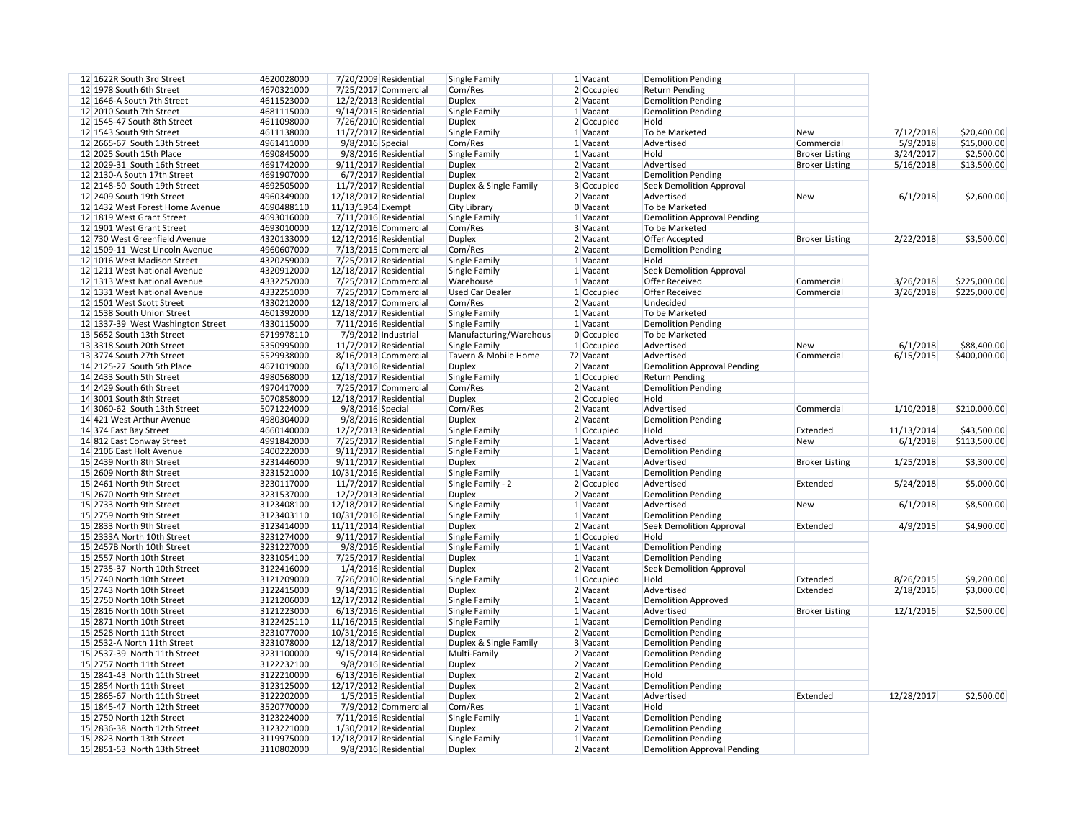| 12 1622R South 3rd Street         | 4620028000 | 7/20/2009 Residential   | Single Family          | 1 Vacant   | <b>Demolition Pending</b>          |                       |            |              |
|-----------------------------------|------------|-------------------------|------------------------|------------|------------------------------------|-----------------------|------------|--------------|
| 12 1978 South 6th Street          | 4670321000 | 7/25/2017 Commercial    | Com/Res                | 2 Occupied | <b>Return Pending</b>              |                       |            |              |
| 12 1646-A South 7th Street        | 4611523000 | 12/2/2013 Residential   | <b>Duplex</b>          | 2 Vacant   | <b>Demolition Pending</b>          |                       |            |              |
| 12 2010 South 7th Street          | 4681115000 | 9/14/2015 Residential   | Single Family          | 1 Vacant   | <b>Demolition Pending</b>          |                       |            |              |
| 12 1545-47 South 8th Street       | 4611098000 | 7/26/2010 Residential   | <b>Duplex</b>          | 2 Occupied | Hold                               |                       |            |              |
| 12 1543 South 9th Street          | 4611138000 | 11/7/2017 Residential   | Single Family          | 1 Vacant   | To be Marketed                     | <b>New</b>            | 7/12/2018  | \$20,400.00  |
| 12 2665-67 South 13th Street      | 4961411000 | 9/8/2016 Special        | Com/Res                | $1$ Vacant | Advertised                         | Commercial            | 5/9/2018   | \$15,000.00  |
| 12 2025 South 15th Place          | 4690845000 | 9/8/2016 Residential    | Single Family          | 1 Vacant   | Hold                               | <b>Broker Listing</b> | 3/24/2017  | \$2,500.00   |
| 12 2029-31 South 16th Street      | 4691742000 | $9/11/2017$ Residential | <b>Duplex</b>          | 2 Vacant   | Advertised                         | <b>Broker Listing</b> | 5/16/2018  | \$13,500.00  |
| 12 2130-A South 17th Street       | 4691907000 | 6/7/2017 Residential    | <b>Duplex</b>          | $2$ Vacant | <b>Demolition Pending</b>          |                       |            |              |
| 12 2148-50 South 19th Street      | 4692505000 | 11/7/2017 Residential   | Duplex & Single Family | 3 Occupied | Seek Demolition Approval           |                       |            |              |
| 12 2409 South 19th Street         | 4960349000 | 12/18/2017 Residential  | <b>Duplex</b>          | 2 Vacant   | Advertised                         | New                   | 6/1/2018   | \$2,600.00   |
| 12 1432 West Forest Home Avenue   | 4690488110 | 11/13/1964 Exempt       | <b>City Library</b>    | 0 Vacant   | To be Marketed                     |                       |            |              |
|                                   |            |                         |                        |            |                                    |                       |            |              |
| 12 1819 West Grant Street         | 4693016000 | 7/11/2016 Residential   | Single Family          | 1 Vacant   | <b>Demolition Approval Pending</b> |                       |            |              |
| 12 1901 West Grant Street         | 4693010000 | 12/12/2016 Commercial   | Com/Res                | 3 Vacant   | To be Marketed                     |                       |            |              |
| 12 730 West Greenfield Avenue     | 4320133000 | 12/12/2016 Residential  | <b>Duplex</b>          | 2 Vacant   | Offer Accepted                     | <b>Broker Listing</b> | 2/22/2018  | \$3,500.00   |
| 12 1509-11 West Lincoln Avenue    | 4960607000 | 7/13/2015 Commercial    | Com/Res                | 2 Vacant   | <b>Demolition Pending</b>          |                       |            |              |
| 12 1016 West Madison Street       | 4320259000 | 7/25/2017 Residential   | Single Family          | 1 Vacant   | Hold                               |                       |            |              |
| 12 1211 West National Avenue      | 4320912000 | 12/18/2017 Residential  | Single Family          | 1 Vacant   | Seek Demolition Approval           |                       |            |              |
| 12 1313 West National Avenue      | 4332252000 | 7/25/2017 Commercial    | Warehouse              | 1 Vacant   | <b>Offer Received</b>              | Commercial            | 3/26/2018  | \$225,000.00 |
| 12 1331 West National Avenue      | 4332251000 | 7/25/2017 Commercial    | <b>Used Car Dealer</b> | 1 Occupied | <b>Offer Received</b>              | Commercial            | 3/26/2018  | \$225,000.00 |
| 12 1501 West Scott Street         | 4330212000 | 12/18/2017 Commercial   | Com/Res                | 2 Vacant   | Undecided                          |                       |            |              |
| 12 1538 South Union Street        | 4601392000 | 12/18/2017 Residential  | Single Family          | 1 Vacant   | To be Marketed                     |                       |            |              |
| 12 1337-39 West Washington Street | 4330115000 | 7/11/2016 Residential   | Single Family          | 1 Vacant   | Demolition Pending                 |                       |            |              |
| 13 5652 South 13th Street         | 6719978110 | 7/9/2012 Industrial     | Manufacturing/Warehous | 0 Occupied | To be Marketed                     |                       |            |              |
| 13 3318 South 20th Street         | 5350995000 | 11/7/2017 Residential   | Single Family          | 1 Occupied | Advertised                         | New                   | 6/1/2018   | \$88,400.00  |
| 13 3774 South 27th Street         | 5529938000 | 8/16/2013 Commercial    | Tavern & Mobile Home   | 72 Vacant  | Advertised                         | Commercial            | 6/15/2015  | \$400,000.00 |
| 14 2125-27 South 5th Place        | 4671019000 | 6/13/2016 Residential   | <b>Duplex</b>          | 2 Vacant   | <b>Demolition Approval Pending</b> |                       |            |              |
| 14 2433 South 5th Street          | 4980568000 | 12/18/2017 Residential  | Single Family          | 1 Occupied | <b>Return Pending</b>              |                       |            |              |
|                                   | 4970417000 | 7/25/2017 Commercial    |                        | $2$ Vacant |                                    |                       |            |              |
| 14 2429 South 6th Street          |            |                         | Com/Res                |            | <b>Demolition Pending</b>          |                       |            |              |
| 14 3001 South 8th Street          | 5070858000 | 12/18/2017 Residential  | <b>Duplex</b>          | 2 Occupied | Hold                               |                       |            |              |
| 14 3060-62 South 13th Street      | 5071224000 | 9/8/2016 Special        | Com/Res                | 2 Vacant   | Advertised                         | Commercial            | 1/10/2018  | \$210,000.00 |
| 14 421 West Arthur Avenue         | 4980304000 | 9/8/2016 Residential    | <b>Duplex</b>          | 2 Vacant   | <b>Demolition Pending</b>          |                       |            |              |
| 14 374 East Bay Street            | 4660140000 | 12/2/2013 Residential   | Single Family          | 1 Occupied | Hold                               | Extended              | 11/13/2014 | \$43,500.00  |
| 14 812 East Conway Street         | 4991842000 | 7/25/2017 Residential   | Single Family          | 1 Vacant   | Advertised                         | New                   | 6/1/2018   | \$113,500.00 |
| 14 2106 East Holt Avenue          | 5400222000 | $9/11/2017$ Residential | Single Family          | 1 Vacant   | <b>Demolition Pending</b>          |                       |            |              |
| 15 2439 North 8th Street          | 3231446000 | 9/11/2017 Residential   | Duplex                 | 2 Vacant   | Advertised                         | <b>Broker Listing</b> | 1/25/2018  | \$3,300.00   |
| 15 2609 North 8th Street          | 3231521000 | 10/31/2016 Residential  | Single Family          | 1 Vacant   | <b>Demolition Pending</b>          |                       |            |              |
| 15 2461 North 9th Street          | 3230117000 | 11/7/2017 Residential   | Single Family - 2      | 2 Occupied | Advertised                         | Extended              | 5/24/2018  | \$5,000.00   |
| 15 2670 North 9th Street          | 3231537000 | 12/2/2013 Residential   | <b>Duplex</b>          | 2 Vacant   | <b>Demolition Pending</b>          |                       |            |              |
| 15 2733 North 9th Street          | 3123408100 | 12/18/2017 Residential  | Single Family          | $1$ Vacant | Advertised                         | New                   | 6/1/2018   | \$8,500.00   |
| 15 2759 North 9th Street          | 3123403110 | 10/31/2016 Residential  | Single Family          | 1 Vacant   | <b>Demolition Pending</b>          |                       |            |              |
| 15 2833 North 9th Street          | 3123414000 | 11/11/2014 Residential  | <b>Duplex</b>          | 2 Vacant   | <b>Seek Demolition Approval</b>    | Extended              | 4/9/2015   | \$4,900.00   |
| 15 2333A North 10th Street        | 3231274000 | $9/11/2017$ Residential | Single Family          | 1 Occupied | Hold                               |                       |            |              |
| 15 2457B North 10th Street        | 3231227000 | 9/8/2016 Residential    | Single Family          | 1 Vacant   | <b>Demolition Pending</b>          |                       |            |              |
| 15 2557 North 10th Street         | 3231054100 | 7/25/2017 Residential   | <b>Duplex</b>          | $1$ Vacant | <b>Demolition Pending</b>          |                       |            |              |
| 15 2735-37 North 10th Street      | 3122416000 | 1/4/2016 Residential    | <b>Duplex</b>          | 2 Vacant   | <b>Seek Demolition Approval</b>    |                       |            |              |
|                                   |            |                         |                        |            |                                    |                       |            |              |
| 15 2740 North 10th Street         | 3121209000 | 7/26/2010 Residential   | Single Family          | 1 Occupied | Hold                               | Extended              | 8/26/2015  | \$9,200.00   |
| 15 2743 North 10th Street         | 3122415000 | $9/14/2015$ Residential | <b>Duplex</b>          | 2 Vacant   | Advertised                         | Extended              | 2/18/2016  | \$3,000.00   |
| 15 2750 North 10th Street         | 3121206000 | 12/17/2012 Residential  | Single Family          | 1 Vacant   | <b>Demolition Approved</b>         |                       |            |              |
| 15 2816 North 10th Street         | 3121223000 | $6/13/2016$ Residential | Single Family          | 1 Vacant   | Advertised                         | <b>Broker Listing</b> | 12/1/2016  | \$2,500.00   |
| 15 2871 North 10th Street         | 3122425110 | 11/16/2015 Residential  | Single Family          | 1 Vacant   | <b>Demolition Pending</b>          |                       |            |              |
| 15 2528 North 11th Street         | 3231077000 | 10/31/2016 Residential  | <b>Duplex</b>          | 2 Vacant   | <b>Demolition Pending</b>          |                       |            |              |
| 15 2532-A North 11th Street       | 3231078000 | 12/18/2017 Residential  | Duplex & Single Family | 3 Vacant   | <b>Demolition Pending</b>          |                       |            |              |
| 15 2537-39 North 11th Street      | 3231100000 | 9/15/2014 Residential   | Multi-Family           | 2 Vacant   | <b>Demolition Pending</b>          |                       |            |              |
| 15 2757 North 11th Street         | 3122232100 | 9/8/2016 Residential    | <b>Duplex</b>          | 2 Vacant   | <b>Demolition Pending</b>          |                       |            |              |
| 15 2841-43 North 11th Street      | 3122210000 | $6/13/2016$ Residential | <b>Duplex</b>          | 2 Vacant   | Hold                               |                       |            |              |
| 15 2854 North 11th Street         | 3123125000 | 12/17/2012 Residential  | <b>Duplex</b>          | 2 Vacant   | <b>Demolition Pending</b>          |                       |            |              |
| 15 2865-67 North 11th Street      | 3122202000 | 1/5/2015 Residential    | <b>Duplex</b>          | 2 Vacant   | Advertised                         | Extended              | 12/28/2017 | \$2,500.00   |
| 15 1845-47 North 12th Street      | 3520770000 | 7/9/2012 Commercial     | Com/Res                | 1 Vacant   | Hold                               |                       |            |              |
| 15 2750 North 12th Street         | 3123224000 | 7/11/2016 Residential   | Single Family          | 1 Vacant   | <b>Demolition Pending</b>          |                       |            |              |
| 15 2836-38 North 12th Street      | 3123221000 | $1/30/2012$ Residential | <b>Duplex</b>          | 2 Vacant   | <b>Demolition Pending</b>          |                       |            |              |
|                                   |            |                         |                        |            |                                    |                       |            |              |
| 15 2823 North 13th Street         | 3119975000 | 12/18/2017 Residential  | Single Family          | 1 Vacant   | <b>Demolition Pending</b>          |                       |            |              |
| 15 2851-53 North 13th Street      | 3110802000 | 9/8/2016 Residential    | <b>Duplex</b>          | 2 Vacant   | <b>Demolition Approval Pending</b> |                       |            |              |

| 1 Vacant     | Demolition Pending                 |                       |            |              |
|--------------|------------------------------------|-----------------------|------------|--------------|
| 2 Occupied   | <b>Return Pending</b>              |                       |            |              |
| 2 Vacant     | <b>Demolition Pending</b>          |                       |            |              |
| 1 Vacant     | <b>Demolition Pending</b>          |                       |            |              |
| 2 Occupied   | Hold                               |                       |            |              |
| 1 Vacant     | To be Marketed                     | <b>New</b>            | 7/12/2018  | \$20,400.00  |
| 1 Vacant     | Advertised                         | Commercial            | 5/9/2018   | \$15,000.00  |
| 1 Vacant     | Hold                               | <b>Broker Listing</b> | 3/24/2017  | \$2,500.00   |
| 2 Vacant     | Advertised                         | <b>Broker Listing</b> | 5/16/2018  | \$13,500.00  |
| 2 Vacant     | <b>Demolition Pending</b>          |                       |            |              |
| 3 Occupied   | <b>Seek Demolition Approval</b>    |                       |            |              |
| 2 Vacant     | Advertised                         | <b>New</b>            | 6/1/2018   | \$2,600.00   |
| 0 Vacant     | To be Marketed                     |                       |            |              |
| 1 Vacant     | <b>Demolition Approval Pending</b> |                       |            |              |
| 3 Vacant     | To be Marketed                     |                       |            |              |
| 2 Vacant     | Offer Accepted                     | <b>Broker Listing</b> | 2/22/2018  | \$3,500.00   |
| 2 Vacant     | <b>Demolition Pending</b>          |                       |            |              |
| 1 Vacant     | Hold                               |                       |            |              |
| 1 Vacant     | <b>Seek Demolition Approval</b>    |                       |            |              |
| 1 Vacant     | <b>Offer Received</b>              | Commercial            | 3/26/2018  | \$225,000.00 |
| 1 Occupied   | <b>Offer Received</b>              | Commercial            | 3/26/2018  | \$225,000.00 |
| 2 Vacant     | Undecided                          |                       |            |              |
| 1 Vacant     | To be Marketed                     |                       |            |              |
|              |                                    |                       |            |              |
| 1 Vacant     | <b>Demolition Pending</b>          |                       |            |              |
| 0 Occupied   | To be Marketed                     |                       |            |              |
| $1$ Occupied | Advertised                         | <b>New</b>            | 6/1/2018   | \$88,400.00  |
| 2 Vacant     | Advertised                         | Commercial            | 6/15/2015  | \$400,000.00 |
| 2 Vacant     | <b>Demolition Approval Pending</b> |                       |            |              |
| $1$ Occupied | <b>Return Pending</b>              |                       |            |              |
| 2 Vacant     | <b>Demolition Pending</b>          |                       |            |              |
| 2 Occupied   | Hold                               |                       |            |              |
| 2 Vacant     | Advertised                         | Commercial            | 1/10/2018  | \$210,000.00 |
| 2 Vacant     | <b>Demolition Pending</b>          |                       |            |              |
| $1$ Occupied | Hold                               | Extended              | 11/13/2014 | \$43,500.00  |
| 1 Vacant     | Advertised                         | <b>New</b>            | 6/1/2018   | \$113,500.00 |
| 1 Vacant     | <b>Demolition Pending</b>          |                       |            |              |
| 2 Vacant     | Advertised                         | <b>Broker Listing</b> | 1/25/2018  | \$3,300.00   |
| 1 Vacant     | <b>Demolition Pending</b>          |                       |            |              |
| 2 Occupied   | Advertised                         | Extended              | 5/24/2018  | \$5,000.00   |
| 2 Vacant     | <b>Demolition Pending</b>          |                       |            |              |
| 1 Vacant     | Advertised                         | <b>New</b>            | 6/1/2018   | \$8,500.00   |
| 1 Vacant     | <b>Demolition Pending</b>          |                       |            |              |
| 2 Vacant     | <b>Seek Demolition Approval</b>    | Extended              | 4/9/2015   | \$4,900.00   |
| 1 Occupied   | Hold                               |                       |            |              |
| 1 Vacant     | <b>Demolition Pending</b>          |                       |            |              |
| 1 Vacant     | <b>Demolition Pending</b>          |                       |            |              |
| 2 Vacant     | <b>Seek Demolition Approval</b>    |                       |            |              |
| $1$ Occupied | Hold                               | Extended              | 8/26/2015  | \$9,200.00   |
| 2 Vacant     | Advertised                         | Extended              | 2/18/2016  | \$3,000.00   |
| 1 Vacant     | <b>Demolition Approved</b>         |                       |            |              |
| 1 Vacant     | Advertised                         | <b>Broker Listing</b> | 12/1/2016  | \$2,500.00   |
| 1 Vacant     | <b>Demolition Pending</b>          |                       |            |              |
| 2 Vacant     | <b>Demolition Pending</b>          |                       |            |              |
| 3 Vacant     | <b>Demolition Pending</b>          |                       |            |              |
| 2 Vacant     | <b>Demolition Pending</b>          |                       |            |              |
| 2 Vacant     | <b>Demolition Pending</b>          |                       |            |              |
| 2 Vacant     | Hold                               |                       |            |              |
| 2 Vacant     | <b>Demolition Pending</b>          |                       |            |              |
| 2 Vacant     | Advertised                         | Extended              | 12/28/2017 | \$2,500.00   |
| 1 Vacant     | Hold                               |                       |            |              |
| 1 Vacant     | <b>Demolition Pending</b>          |                       |            |              |
| 2 Vacant     | <b>Demolition Pending</b>          |                       |            |              |
| 1 Vacant     | <b>Demolition Pending</b>          |                       |            |              |
| 2 Vacant     | <b>Demolition Approval Pending</b> |                       |            |              |
|              |                                    |                       |            |              |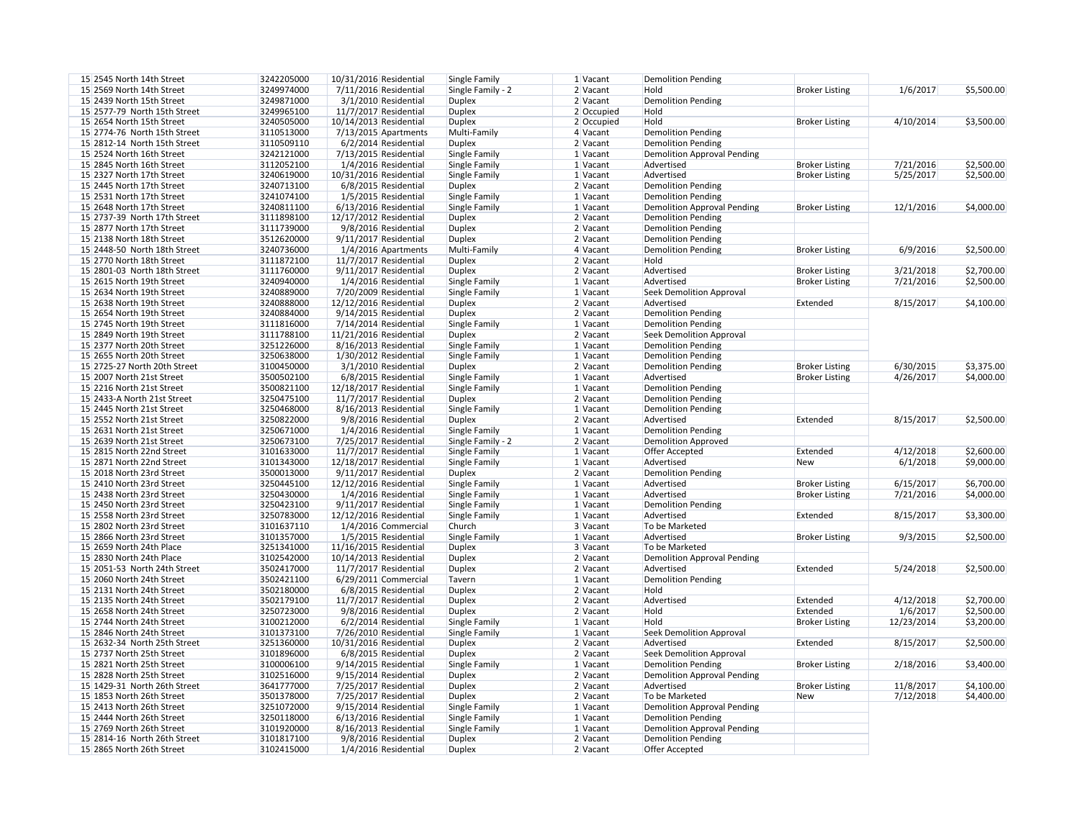| 1 Vacant   | <b>Demolition Pending</b>          |                       |            |            |
|------------|------------------------------------|-----------------------|------------|------------|
| 2 Vacant   | Hold                               | <b>Broker Listing</b> | 1/6/2017   | \$5,500.00 |
| 2 Vacant   | <b>Demolition Pending</b>          |                       |            |            |
| 2 Occupied | Hold                               |                       |            |            |
| 2 Occupied | Hold                               | <b>Broker Listing</b> | 4/10/2014  | \$3,500.00 |
| 4 Vacant   | <b>Demolition Pending</b>          |                       |            |            |
| 2 Vacant   | <b>Demolition Pending</b>          |                       |            |            |
| 1 Vacant   | <b>Demolition Approval Pending</b> |                       |            |            |
| 1 Vacant   | Advertised                         | <b>Broker Listing</b> | 7/21/2016  | \$2,500.00 |
|            | Advertised                         |                       | 5/25/2017  | \$2,500.00 |
| 1 Vacant   |                                    | <b>Broker Listing</b> |            |            |
| 2 Vacant   | <b>Demolition Pending</b>          |                       |            |            |
| 1 Vacant   | <b>Demolition Pending</b>          |                       |            |            |
| 1 Vacant   | <b>Demolition Approval Pending</b> | <b>Broker Listing</b> | 12/1/2016  | \$4,000.00 |
| 2 Vacant   | <b>Demolition Pending</b>          |                       |            |            |
| 2 Vacant   | <b>Demolition Pending</b>          |                       |            |            |
| 2 Vacant   | <b>Demolition Pending</b>          |                       |            |            |
| 4 Vacant   | <b>Demolition Pending</b>          | <b>Broker Listing</b> | 6/9/2016   | \$2,500.00 |
| 2 Vacant   | Hold                               |                       |            |            |
| 2 Vacant   | Advertised                         | <b>Broker Listing</b> | 3/21/2018  | \$2,700.00 |
| 1 Vacant   | Advertised                         | <b>Broker Listing</b> | 7/21/2016  | \$2,500.00 |
| 1 Vacant   | <b>Seek Demolition Approval</b>    |                       |            |            |
| 2 Vacant   | Advertised                         | Extended              | 8/15/2017  | \$4,100.00 |
| 2 Vacant   | <b>Demolition Pending</b>          |                       |            |            |
| 1 Vacant   | <b>Demolition Pending</b>          |                       |            |            |
| 2 Vacant   | <b>Seek Demolition Approval</b>    |                       |            |            |
| 1 Vacant   | <b>Demolition Pending</b>          |                       |            |            |
| 1 Vacant   | <b>Demolition Pending</b>          |                       |            |            |
| 2 Vacant   | <b>Demolition Pending</b>          | <b>Broker Listing</b> | 6/30/2015  | \$3,375.00 |
| 1 Vacant   | Advertised                         | <b>Broker Listing</b> | 4/26/2017  | \$4,000.00 |
| 1 Vacant   | <b>Demolition Pending</b>          |                       |            |            |
| 2 Vacant   | <b>Demolition Pending</b>          |                       |            |            |
| 1 Vacant   | <b>Demolition Pending</b>          |                       |            |            |
| 2 Vacant   | Advertised                         | Extended              | 8/15/2017  | \$2,500.00 |
| 1 Vacant   | <b>Demolition Pending</b>          |                       |            |            |
| 2 Vacant   |                                    |                       |            |            |
|            | <b>Demolition Approved</b>         |                       | 4/12/2018  | \$2,600.00 |
| 1 Vacant   | Offer Accepted                     | Extended              |            |            |
| 1 Vacant   | Advertised                         | <b>New</b>            | 6/1/2018   | \$9,000.00 |
| 2 Vacant   | <b>Demolition Pending</b>          |                       |            |            |
| 1 Vacant   | Advertised                         | <b>Broker Listing</b> | 6/15/2017  | \$6,700.00 |
| 1 Vacant   | Advertised                         | <b>Broker Listing</b> | 7/21/2016  | \$4,000.00 |
| 1 Vacant   | <b>Demolition Pending</b>          |                       |            |            |
| 1 Vacant   | Advertised                         | Extended              | 8/15/2017  | \$3,300.00 |
| 3 Vacant   | To be Marketed                     |                       |            |            |
| 1 Vacant   | Advertised                         | <b>Broker Listing</b> | 9/3/2015   | \$2,500.00 |
| 3 Vacant   | To be Marketed                     |                       |            |            |
| 2 Vacant   | <b>Demolition Approval Pending</b> |                       |            |            |
| 2 Vacant   | Advertised                         | Extended              | 5/24/2018  | \$2,500.00 |
| 1 Vacant   | <b>Demolition Pending</b>          |                       |            |            |
| 2 Vacant   | Hold                               |                       |            |            |
| 2 Vacant   | Advertised                         | Extended              | 4/12/2018  | \$2,700.00 |
| 2 Vacant   | Hold                               | Extended              | 1/6/2017   | \$2,500.00 |
| 1 Vacant   | Hold                               | <b>Broker Listing</b> | 12/23/2014 | \$3,200.00 |
| 1 Vacant   | <b>Seek Demolition Approval</b>    |                       |            |            |
| 2 Vacant   | Advertised                         | Extended              | 8/15/2017  | \$2,500.00 |
| 2 Vacant   | <b>Seek Demolition Approval</b>    |                       |            |            |
| 1 Vacant   | <b>Demolition Pending</b>          | <b>Broker Listing</b> | 2/18/2016  | \$3,400.00 |
| 2 Vacant   | <b>Demolition Approval Pending</b> |                       |            |            |
|            | Advertised                         |                       |            |            |
| 2 Vacant   |                                    | <b>Broker Listing</b> | 11/8/2017  | \$4,100.00 |
| 2 Vacant   | To be Marketed                     | <b>New</b>            | 7/12/2018  | \$4,400.00 |
| 1 Vacant   | <b>Demolition Approval Pending</b> |                       |            |            |
| 1 Vacant   | <b>Demolition Pending</b>          |                       |            |            |
| 1 Vacant   | <b>Demolition Approval Pending</b> |                       |            |            |
| 2 Vacant   | <b>Demolition Pending</b>          |                       |            |            |
| 2 Vacant   | Offer Accepted                     |                       |            |            |

| 15 2545 North 14th Street    | 3242205000 | 10/31/2016 Residential  | Single Family        | $1$ Vacant | <b>Demolition Pending</b>          |
|------------------------------|------------|-------------------------|----------------------|------------|------------------------------------|
| 15 2569 North 14th Street    | 3249974000 | 7/11/2016 Residential   | Single Family - 2    | 2 Vacant   | Hold                               |
| 15 2439 North 15th Street    | 3249871000 | 3/1/2010 Residential    | <b>Duplex</b>        | 2 Vacant   | <b>Demolition Pending</b>          |
| 15 2577-79 North 15th Street | 3249965100 | 11/7/2017 Residential   | <b>Duplex</b>        | 2 Occupied | Hold                               |
| 15 2654 North 15th Street    |            | 10/14/2013 Residential  |                      |            | Hold                               |
|                              | 3240505000 |                         | <b>Duplex</b>        | 2 Occupied |                                    |
| 15 2774-76 North 15th Street | 3110513000 | 7/13/2015 Apartments    | Multi-Family         | 4 Vacant   | <b>Demolition Pending</b>          |
| 15 2812-14 North 15th Street | 3110509110 | 6/2/2014 Residential    | <b>Duplex</b>        | 2 Vacant   | <b>Demolition Pending</b>          |
| 15 2524 North 16th Street    | 3242121000 | 7/13/2015 Residential   | <b>Single Family</b> | 1 Vacant   | <b>Demolition Approval Pending</b> |
| 15 2845 North 16th Street    | 3112052100 | 1/4/2016 Residential    | Single Family        | 1 Vacant   | Advertised                         |
| 15 2327 North 17th Street    | 3240619000 | 10/31/2016 Residential  | Single Family        | 1 Vacant   | Advertised                         |
| 15 2445 North 17th Street    | 3240713100 | 6/8/2015 Residential    | <b>Duplex</b>        | 2 Vacant   | <b>Demolition Pending</b>          |
| 15 2531 North 17th Street    | 3241074100 | $1/5/2015$ Residential  | Single Family        | 1 Vacant   | <b>Demolition Pending</b>          |
| 15 2648 North 17th Street    | 3240811100 | $6/13/2016$ Residential | Single Family        | 1 Vacant   | <b>Demolition Approval Pending</b> |
| 15 2737-39 North 17th Street | 3111898100 | 12/17/2012 Residential  | <b>Duplex</b>        | 2 Vacant   | <b>Demolition Pending</b>          |
| 15 2877 North 17th Street    | 3111739000 | 9/8/2016 Residential    | <b>Duplex</b>        | 2 Vacant   | <b>Demolition Pending</b>          |
| 15 2138 North 18th Street    |            |                         |                      |            |                                    |
|                              | 3512620000 | 9/11/2017 Residential   | <b>Duplex</b>        | 2 Vacant   | <b>Demolition Pending</b>          |
| 15 2448-50 North 18th Street | 3240736000 | $1/4/2016$ Apartments   | Multi-Family         | 4 Vacant   | <b>Demolition Pending</b>          |
| 15 2770 North 18th Street    | 3111872100 | $11/7/2017$ Residential | <b>Duplex</b>        | 2 Vacant   | Hold                               |
| 15 2801-03 North 18th Street | 3111760000 | 9/11/2017 Residential   | <b>Duplex</b>        | 2 Vacant   | Advertised                         |
| 15 2615 North 19th Street    | 3240940000 | $1/4/2016$ Residential  | Single Family        | 1 Vacant   | Advertised                         |
| 15 2634 North 19th Street    | 3240889000 | 7/20/2009 Residential   | Single Family        | $1$ Vacant | <b>Seek Demolition Approval</b>    |
| 15 2638 North 19th Street    | 3240888000 | 12/12/2016 Residential  | <b>Duplex</b>        | 2 Vacant   | Advertised                         |
| 15 2654 North 19th Street    | 3240884000 | $9/14/2015$ Residential | <b>Duplex</b>        | 2 Vacant   | <b>Demolition Pending</b>          |
| 15 2745 North 19th Street    | 3111816000 | $7/14/2014$ Residential | <b>Single Family</b> | 1 Vacant   | <b>Demolition Pending</b>          |
| 15 2849 North 19th Street    | 3111788100 | 11/21/2016 Residential  | <b>Duplex</b>        | 2 Vacant   | <b>Seek Demolition Approval</b>    |
| 15 2377 North 20th Street    | 3251226000 | 8/16/2013 Residential   | <b>Single Family</b> | $1$ Vacant | <b>Demolition Pending</b>          |
|                              |            |                         |                      |            |                                    |
| 15 2655 North 20th Street    | 3250638000 | $1/30/2012$ Residential | <b>Single Family</b> | $1$ Vacant | <b>Demolition Pending</b>          |
| 15 2725-27 North 20th Street | 3100450000 | 3/1/2010 Residential    | <b>Duplex</b>        | 2 Vacant   | <b>Demolition Pending</b>          |
| 15 2007 North 21st Street    | 3500502100 | $6/8/2015$ Residential  | Single Family        | $1$ Vacant | Advertised                         |
| 15 2216 North 21st Street    | 3500821100 | 12/18/2017 Residential  | Single Family        | $1$ Vacant | <b>Demolition Pending</b>          |
| 15 2433-A North 21st Street  | 3250475100 | 11/7/2017 Residential   | <b>Duplex</b>        | 2 Vacant   | <b>Demolition Pending</b>          |
| 15 2445 North 21st Street    | 3250468000 | 8/16/2013 Residential   | <b>Single Family</b> | $1$ Vacant | <b>Demolition Pending</b>          |
| 15 2552 North 21st Street    | 3250822000 | 9/8/2016 Residential    | <b>Duplex</b>        | 2 Vacant   | Advertised                         |
| 15 2631 North 21st Street    | 3250671000 | $1/4/2016$ Residential  | Single Family        | 1 Vacant   | <b>Demolition Pending</b>          |
| 15 2639 North 21st Street    | 3250673100 | 7/25/2017 Residential   | Single Family - 2    | 2 Vacant   | <b>Demolition Approved</b>         |
| 15 2815 North 22nd Street    | 3101633000 | 11/7/2017 Residential   | Single Family        | 1 Vacant   | Offer Accepted                     |
| 15 2871 North 22nd Street    | 3101343000 | 12/18/2017 Residential  | Single Family        | 1 Vacant   | Advertised                         |
| 15 2018 North 23rd Street    | 3500013000 | 9/11/2017 Residential   | <b>Duplex</b>        | 2 Vacant   | <b>Demolition Pending</b>          |
| 15 2410 North 23rd Street    | 3250445100 | 12/12/2016 Residential  |                      | 1 Vacant   | Advertised                         |
|                              |            |                         | <b>Single Family</b> | 1 Vacant   |                                    |
| 15 2438 North 23rd Street    | 3250430000 | 1/4/2016 Residential    | Single Family        |            | Advertised                         |
| 15 2450 North 23rd Street    | 3250423100 | 9/11/2017 Residential   | Single Family        | 1 Vacant   | <b>Demolition Pending</b>          |
| 15 2558 North 23rd Street    | 3250783000 | 12/12/2016 Residential  | Single Family        | $1$ Vacant | Advertised                         |
| 15 2802 North 23rd Street    | 3101637110 | 1/4/2016 Commercial     | Church               | 3 Vacant   | To be Marketed                     |
| 15 2866 North 23rd Street    | 3101357000 | 1/5/2015 Residential    | Single Family        | 1 Vacant   | Advertised                         |
| 15 2659 North 24th Place     | 3251341000 | 11/16/2015 Residential  | <b>Duplex</b>        | 3 Vacant   | To be Marketed                     |
| 15 2830 North 24th Place     | 3102542000 | 10/14/2013 Residential  | <b>Duplex</b>        | 2 Vacant   | <b>Demolition Approval Pending</b> |
| 15 2051-53 North 24th Street | 3502417000 | 11/7/2017 Residential   | <b>Duplex</b>        | 2 Vacant   | Advertised                         |
| 15 2060 North 24th Street    | 3502421100 | $6/29/2011$ Commercial  | Tavern               | 1 Vacant   | <b>Demolition Pending</b>          |
| 15 2131 North 24th Street    | 3502180000 | 6/8/2015 Residential    | <b>Duplex</b>        | 2 Vacant   | Hold                               |
| 15 2135 North 24th Street    | 3502179100 | 11/7/2017 Residential   | <b>Duplex</b>        | 2 Vacant   | Advertised                         |
| 15 2658 North 24th Street    | 3250723000 | 9/8/2016 Residential    | <b>Duplex</b>        | 2 Vacant   | Hold                               |
| 15 2744 North 24th Street    | 3100212000 | $6/2/2014$ Residential  | Single Family        | 1 Vacant   | Hold                               |
|                              |            |                         |                      |            |                                    |
| 15 2846 North 24th Street    | 3101373100 | 7/26/2010 Residential   | Single Family        | 1 Vacant   | <b>Seek Demolition Approval</b>    |
| 15 2632-34 North 25th Street | 3251360000 | 10/31/2016 Residential  | <b>Duplex</b>        | 2 Vacant   | Advertised                         |
| 15 2737 North 25th Street    | 3101896000 | 6/8/2015 Residential    | <b>Duplex</b>        | 2 Vacant   | <b>Seek Demolition Approval</b>    |
| 15 2821 North 25th Street    | 3100006100 | 9/14/2015 Residential   | <b>Single Family</b> | 1 Vacant   | <b>Demolition Pending</b>          |
| 15 2828 North 25th Street    | 3102516000 | $9/15/2014$ Residential | <b>Duplex</b>        | 2 Vacant   | <b>Demolition Approval Pending</b> |
| 15 1429-31 North 26th Street | 3641777000 | 7/25/2017 Residential   | <b>Duplex</b>        | 2 Vacant   | Advertised                         |
| 15 1853 North 26th Street    | 3501378000 | 7/25/2017 Residential   | Duplex               | 2 Vacant   | To be Marketed                     |
| 15 2413 North 26th Street    | 3251072000 | 9/15/2014 Residential   | <b>Single Family</b> | $1$ Vacant | <b>Demolition Approval Pending</b> |
| 15 2444 North 26th Street    | 3250118000 | $6/13/2016$ Residential | Single Family        | 1 Vacant   | <b>Demolition Pending</b>          |
| 15 2769 North 26th Street    | 3101920000 | 8/16/2013 Residential   | Single Family        | $1$ Vacant | <b>Demolition Approval Pending</b> |
| 15 2814-16 North 26th Street | 3101817100 | 9/8/2016 Residential    | <b>Duplex</b>        | 2 Vacant   | <b>Demolition Pending</b>          |
| 15 2865 North 26th Street    | 3102415000 | 1/4/2016 Residential    | <b>Duplex</b>        | 2 Vacant   | Offer Accepted                     |
|                              |            |                         |                      |            |                                    |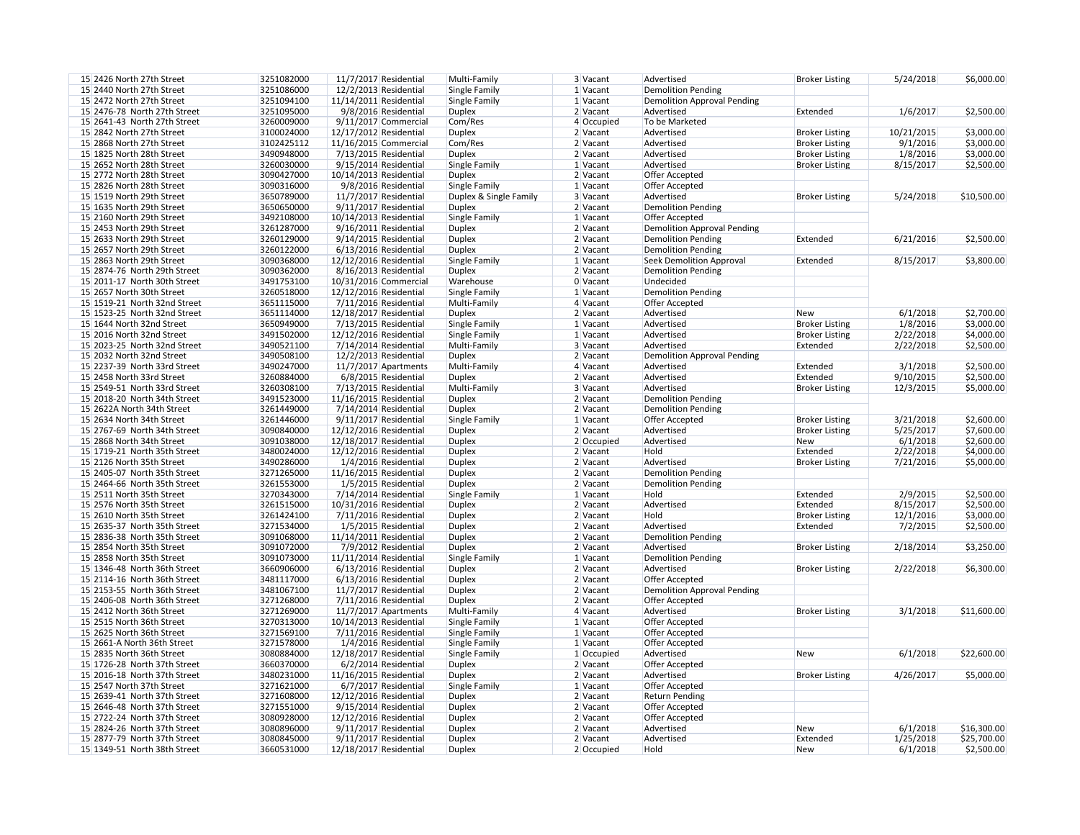| 15 2426 North 27th Street    | 3251082000 | 11/7/2017 Residential   | Multi-Family           | 3 Vacant   | Advertised                         |
|------------------------------|------------|-------------------------|------------------------|------------|------------------------------------|
|                              |            |                         |                        | 1 Vacant   |                                    |
| 15 2440 North 27th Street    | 3251086000 | $12/2/2013$ Residential | Single Family          |            | <b>Demolition Pending</b>          |
| 15 2472 North 27th Street    | 3251094100 | 11/14/2011 Residential  | Single Family          | $1$ Vacant | <b>Demolition Approval Pending</b> |
| 15 2476-78 North 27th Street | 3251095000 | 9/8/2016 Residential    | <b>Duplex</b>          | $2$ Vacant | Advertised                         |
| 15 2641-43 North 27th Street | 3260009000 | $9/11/2017$ Commercial  | Com/Res                | 4 Occupied | To be Marketed                     |
| 15 2842 North 27th Street    | 3100024000 | 12/17/2012 Residential  | <b>Duplex</b>          | $2$ Vacant | Advertised                         |
| 15 2868 North 27th Street    | 3102425112 | 11/16/2015 Commercial   | Com/Res                | $2$ Vacant | Advertised                         |
| 15 1825 North 28th Street    | 3490948000 | 7/13/2015 Residential   | <b>Duplex</b>          | $2$ Vacant | Advertised                         |
| 15 2652 North 28th Street    |            |                         |                        |            | Advertised                         |
|                              | 3260030000 | 9/15/2014 Residential   | Single Family          | 1 Vacant   |                                    |
| 15 2772 North 28th Street    | 3090427000 | 10/14/2013 Residential  | <b>Duplex</b>          | 2 Vacant   | Offer Accepted                     |
| 15 2826 North 28th Street    | 3090316000 | 9/8/2016 Residential    | Single Family          | 1 Vacant   | Offer Accepted                     |
| 15 1519 North 29th Street    | 3650789000 | 11/7/2017 Residential   | Duplex & Single Family | 3 Vacant   | Advertised                         |
| 15 1635 North 29th Street    | 3650650000 | $9/11/2017$ Residential | <b>Duplex</b>          | 2 Vacant   | <b>Demolition Pending</b>          |
| 15 2160 North 29th Street    | 3492108000 | 10/14/2013 Residential  | Single Family          | 1 Vacant   | Offer Accepted                     |
| 15 2453 North 29th Street    | 3261287000 | $9/16/2011$ Residential | <b>Duplex</b>          | 2 Vacant   | <b>Demolition Approval Pending</b> |
| 15 2633 North 29th Street    | 3260129000 | 9/14/2015 Residential   | <b>Duplex</b>          | $2$ Vacant | <b>Demolition Pending</b>          |
| 15 2657 North 29th Street    | 3260122000 |                         | <b>Duplex</b>          | 2 Vacant   | <b>Demolition Pending</b>          |
|                              |            | 6/13/2016 Residential   |                        |            |                                    |
| 15 2863 North 29th Street    | 3090368000 | 12/12/2016 Residential  | Single Family          | $1$ Vacant | <b>Seek Demolition Approval</b>    |
| 15 2874-76 North 29th Street | 3090362000 | 8/16/2013 Residential   | <b>Duplex</b>          | 2 Vacant   | <b>Demolition Pending</b>          |
| 15 2011-17 North 30th Street | 3491753100 | 10/31/2016 Commercial   | Warehouse              | $0$ Vacant | Undecided                          |
| 15 2657 North 30th Street    | 3260518000 | 12/12/2016 Residential  | Single Family          | 1 Vacant   | <b>Demolition Pending</b>          |
| 15 1519-21 North 32nd Street | 3651115000 | 7/11/2016 Residential   | Multi-Family           | 4 Vacant   | Offer Accepted                     |
| 15 1523-25 North 32nd Street | 3651114000 | 12/18/2017 Residential  | <b>Duplex</b>          | 2 Vacant   | Advertised                         |
| 15 1644 North 32nd Street    | 3650949000 | 7/13/2015 Residential   | <b>Single Family</b>   | 1 Vacant   | Advertised                         |
| 15 2016 North 32nd Street    |            |                         |                        | 1 Vacant   | Advertised                         |
|                              | 3491502000 | 12/12/2016 Residential  | Single Family          |            |                                    |
| 15 2023-25 North 32nd Street | 3490521100 | 7/14/2014 Residential   | Multi-Family           | 3 Vacant   | Advertised                         |
| 15 2032 North 32nd Street    | 3490508100 | 12/2/2013 Residential   | <b>Duplex</b>          | 2 Vacant   | <b>Demolition Approval Pending</b> |
| 15 2237-39 North 33rd Street | 3490247000 | 11/7/2017 Apartments    | Multi-Family           | 4 Vacant   | Advertised                         |
| 15 2458 North 33rd Street    | 3260884000 | 6/8/2015 Residential    | <b>Duplex</b>          | 2 Vacant   | Advertised                         |
| 15 2549-51 North 33rd Street | 3260308100 | 7/13/2015 Residential   | Multi-Family           | 3 Vacant   | Advertised                         |
| 15 2018-20 North 34th Street | 3491523000 | 11/16/2015 Residential  | <b>Duplex</b>          | $2$ Vacant | <b>Demolition Pending</b>          |
| 15 2622A North 34th Street   | 3261449000 | 7/14/2014 Residential   | <b>Duplex</b>          | 2 Vacant   | <b>Demolition Pending</b>          |
| 15 2634 North 34th Street    | 3261446000 | 9/11/2017 Residential   | Single Family          | 1 Vacant   | <b>Offer Accepted</b>              |
|                              |            |                         |                        |            |                                    |
| 15 2767-69 North 34th Street | 3090840000 | 12/12/2016 Residential  | <b>Duplex</b>          | $2$ Vacant | Advertised                         |
| 15 2868 North 34th Street    | 3091038000 | 12/18/2017 Residential  | <b>Duplex</b>          | 2 Occupied | Advertised                         |
| 15 1719-21 North 35th Street | 3480024000 | 12/12/2016 Residential  | <b>Duplex</b>          | 2 Vacant   | Hold                               |
| 15 2126 North 35th Street    | 3490286000 | 1/4/2016 Residential    | <b>Duplex</b>          | 2 Vacant   | Advertised                         |
| 15 2405-07 North 35th Street | 3271265000 | 11/16/2015 Residential  | <b>Duplex</b>          | 2 Vacant   | <b>Demolition Pending</b>          |
| 15 2464-66 North 35th Street | 3261553000 | 1/5/2015 Residential    | <b>Duplex</b>          | 2 Vacant   | <b>Demolition Pending</b>          |
| 15 2511 North 35th Street    | 3270343000 | 7/14/2014 Residential   | Single Family          | $1$ Vacant | Hold                               |
| 15 2576 North 35th Street    | 3261515000 | 10/31/2016 Residential  | <b>Duplex</b>          | $2$ Vacant | Advertised                         |
| 15 2610 North 35th Street    | 3261424100 | 7/11/2016 Residential   | <b>Duplex</b>          | 2 Vacant   | Hold                               |
| 15 2635-37 North 35th Street | 3271534000 |                         |                        | $2$ Vacant | Advertised                         |
|                              |            | 1/5/2015 Residential    | <b>Duplex</b>          |            |                                    |
| 15 2836-38 North 35th Street | 3091068000 | 11/14/2011 Residential  | <b>Duplex</b>          | 2 Vacant   | <b>Demolition Pending</b>          |
| 15 2854 North 35th Street    | 3091072000 | 7/9/2012 Residential    | <b>Duplex</b>          | 2 Vacant   | Advertised                         |
| 15 2858 North 35th Street    | 3091073000 | 11/11/2014 Residential  | Single Family          | 1 Vacant   | <b>Demolition Pending</b>          |
| 15 1346-48 North 36th Street | 3660906000 | $6/13/2016$ Residential | <b>Duplex</b>          | $2$ Vacant | Advertised                         |
| 15 2114-16 North 36th Street | 3481117000 | $6/13/2016$ Residential | <b>Duplex</b>          | $2$ Vacant | Offer Accepted                     |
| 15 2153-55 North 36th Street | 3481067100 | $11/7/2017$ Residential | <b>Duplex</b>          | $2$ Vacant | <b>Demolition Approval Pending</b> |
| 15 2406-08 North 36th Street | 3271268000 | 7/11/2016 Residential   | <b>Duplex</b>          | $2$ Vacant | Offer Accepted                     |
| 15 2412 North 36th Street    | 3271269000 | 11/7/2017 Apartments    | Multi-Family           | $4$ Vacant | Advertised                         |
|                              |            |                         |                        |            |                                    |
| 15 2515 North 36th Street    | 3270313000 | 10/14/2013 Residential  | Single Family          | $1$ Vacant | Offer Accepted                     |
| 15 2625 North 36th Street    | 3271569100 | $7/11/2016$ Residential | Single Family          | $1$ Vacant | Offer Accepted                     |
| 15 2661-A North 36th Street  | 3271578000 | 1/4/2016 Residential    | Single Family          | $1$ Vacant | Offer Accepted                     |
| 15 2835 North 36th Street    | 3080884000 | 12/18/2017 Residential  | Single Family          | 1 Occupied | Advertised                         |
| 15 1726-28 North 37th Street | 3660370000 | $6/2/2014$ Residential  | <b>Duplex</b>          | $2$ Vacant | Offer Accepted                     |
|                              |            |                         | <b>Duplex</b>          | $2$ Vacant | Advertised                         |
| 15 2016-18 North 37th Street |            |                         |                        |            |                                    |
|                              | 3480231000 | 11/16/2015 Residential  |                        |            |                                    |
| 15 2547 North 37th Street    | 3271621000 | 6/7/2017 Residential    | Single Family          | 1 Vacant   | <b>Offer Accepted</b>              |
| 15 2639-41 North 37th Street | 3271608000 | 12/12/2016 Residential  | <b>Duplex</b>          | $2$ Vacant | <b>Return Pending</b>              |
| 15 2646-48 North 37th Street | 3271551000 | 9/15/2014 Residential   | <b>Duplex</b>          | 2 Vacant   | Offer Accepted                     |
| 15 2722-24 North 37th Street | 3080928000 | 12/12/2016 Residential  | <b>Duplex</b>          | $2$ Vacant | Offer Accepted                     |
| 15 2824-26 North 37th Street | 3080896000 | 9/11/2017 Residential   | <b>Duplex</b>          | $2$ Vacant | Advertised                         |
| 15 2877-79 North 37th Street | 3080845000 | 9/11/2017 Residential   | <b>Duplex</b>          | $2$ Vacant | Advertised                         |
| 15 1349-51 North 38th Street | 3660531000 | 12/18/2017 Residential  | <b>Duplex</b>          | 2 Occupied | Hold                               |

| 3 Vacant   | Advertised                         | <b>Broker Listing</b> | 5/24/2018  | \$6,000.00  |
|------------|------------------------------------|-----------------------|------------|-------------|
| 1 Vacant   | <b>Demolition Pending</b>          |                       |            |             |
| 1 Vacant   | <b>Demolition Approval Pending</b> |                       |            |             |
| 2 Vacant   | Advertised                         | Extended              | 1/6/2017   | \$2,500.00  |
| 4 Occupied | To be Marketed                     |                       |            |             |
| 2 Vacant   | Advertised                         | <b>Broker Listing</b> | 10/21/2015 | \$3,000.00  |
| 2 Vacant   | Advertised                         | <b>Broker Listing</b> | 9/1/2016   | \$3,000.00  |
| 2 Vacant   | Advertised                         | <b>Broker Listing</b> | 1/8/2016   | \$3,000.00  |
| 1 Vacant   | Advertised                         | <b>Broker Listing</b> | 8/15/2017  | \$2,500.00  |
| 2 Vacant   | Offer Accepted                     |                       |            |             |
| 1 Vacant   | <b>Offer Accepted</b>              |                       |            |             |
| 3 Vacant   | Advertised                         | <b>Broker Listing</b> | 5/24/2018  | \$10,500.00 |
| 2 Vacant   | <b>Demolition Pending</b>          |                       |            |             |
| 1 Vacant   | Offer Accepted                     |                       |            |             |
| 2 Vacant   | <b>Demolition Approval Pending</b> |                       |            |             |
| 2 Vacant   | <b>Demolition Pending</b>          | Extended              | 6/21/2016  | \$2,500.00  |
| 2 Vacant   | <b>Demolition Pending</b>          |                       |            |             |
| 1 Vacant   | <b>Seek Demolition Approval</b>    | Extended              | 8/15/2017  | \$3,800.00  |
| 2 Vacant   | <b>Demolition Pending</b>          |                       |            |             |
| 0 Vacant   | Undecided                          |                       |            |             |
| 1 Vacant   | <b>Demolition Pending</b>          |                       |            |             |
| 4 Vacant   | <b>Offer Accepted</b>              |                       |            |             |
| 2 Vacant   | Advertised                         | <b>New</b>            | 6/1/2018   | \$2,700.00  |
| 1 Vacant   | Advertised                         |                       | 1/8/2016   |             |
|            |                                    | <b>Broker Listing</b> |            | \$3,000.00  |
| 1 Vacant   | Advertised                         | <b>Broker Listing</b> | 2/22/2018  | \$4,000.00  |
| 3 Vacant   | Advertised                         | Extended              | 2/22/2018  | \$2,500.00  |
| 2 Vacant   | <b>Demolition Approval Pending</b> |                       |            |             |
| 4 Vacant   | Advertised                         | Extended              | 3/1/2018   | \$2,500.00  |
| 2 Vacant   | Advertised                         | Extended              | 9/10/2015  | \$2,500.00  |
| 3 Vacant   | Advertised                         | <b>Broker Listing</b> | 12/3/2015  | \$5,000.00  |
| 2 Vacant   | <b>Demolition Pending</b>          |                       |            |             |
| 2 Vacant   | <b>Demolition Pending</b>          |                       |            |             |
| 1 Vacant   | <b>Offer Accepted</b>              | <b>Broker Listing</b> | 3/21/2018  | \$2,600.00  |
| 2 Vacant   | Advertised                         | <b>Broker Listing</b> | 5/25/2017  | \$7,600.00  |
| 2 Occupied | Advertised                         | <b>New</b>            | 6/1/2018   | \$2,600.00  |
| 2 Vacant   | Hold                               | Extended              | 2/22/2018  | \$4,000.00  |
| 2 Vacant   | Advertised                         | <b>Broker Listing</b> | 7/21/2016  | \$5,000.00  |
| 2 Vacant   | <b>Demolition Pending</b>          |                       |            |             |
| 2 Vacant   | <b>Demolition Pending</b>          |                       |            |             |
| 1 Vacant   | Hold                               | Extended              | 2/9/2015   | \$2,500.00  |
| 2 Vacant   | Advertised                         | Extended              | 8/15/2017  | \$2,500.00  |
| 2 Vacant   | Hold                               | <b>Broker Listing</b> | 12/1/2016  | \$3,000.00  |
| 2 Vacant   | Advertised                         | Extended              | 7/2/2015   | \$2,500.00  |
| 2 Vacant   | <b>Demolition Pending</b>          |                       |            |             |
| 2 Vacant   | Advertised                         | <b>Broker Listing</b> | 2/18/2014  | \$3,250.00  |
| 1 Vacant   | <b>Demolition Pending</b>          |                       |            |             |
| 2 Vacant   | Advertised                         | <b>Broker Listing</b> | 2/22/2018  | \$6,300.00  |
| 2 Vacant   | Offer Accepted                     |                       |            |             |
| 2 Vacant   | <b>Demolition Approval Pending</b> |                       |            |             |
| 2 Vacant   | <b>Offer Accepted</b>              |                       |            |             |
| 4 Vacant   | Advertised                         | <b>Broker Listing</b> | 3/1/2018   | \$11,600.00 |
| 1 Vacant   | Offer Accepted                     |                       |            |             |
| 1 Vacant   | <b>Offer Accepted</b>              |                       |            |             |
| 1 Vacant   | Offer Accepted                     |                       |            |             |
| 1 Occupied | Advertised                         | <b>New</b>            | 6/1/2018   | \$22,600.00 |
| 2 Vacant   | Offer Accepted                     |                       |            |             |
| 2 Vacant   | Advertised                         | <b>Broker Listing</b> | 4/26/2017  | \$5,000.00  |
| 1 Vacant   | Offer Accepted                     |                       |            |             |
| 2 Vacant   | <b>Return Pending</b>              |                       |            |             |
| 2 Vacant   | Offer Accepted                     |                       |            |             |
| 2 Vacant   | <b>Offer Accepted</b>              |                       |            |             |
| 2 Vacant   | Advertised                         | <b>New</b>            | 6/1/2018   | \$16,300.00 |
| 2 Vacant   | Advertised                         | Extended              | 1/25/2018  | \$25,700.00 |
|            | Hold                               | <b>New</b>            | 6/1/2018   | \$2,500.00  |
| 2 Occupied |                                    |                       |            |             |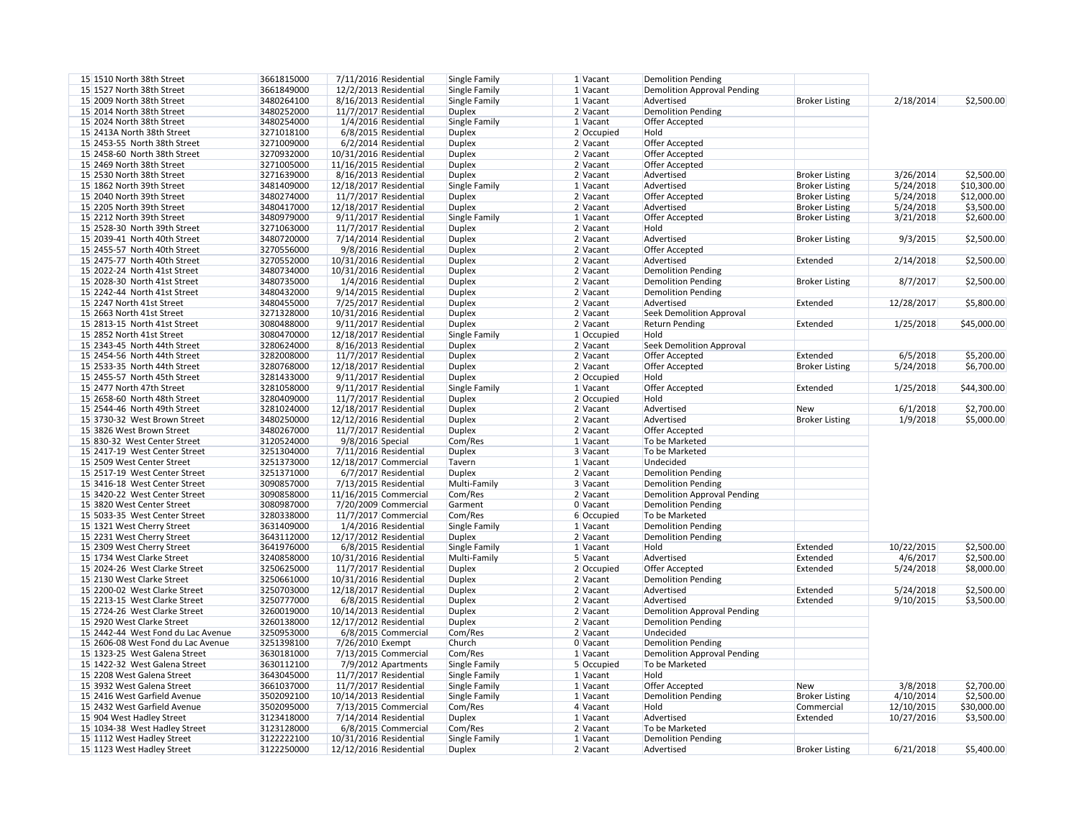| 15 1510 North 38th Street          | 3661815000 | 7/11/2016 Residential   | Single Family        | $1$ Vacant   | <b>Demolition Pending</b>          |
|------------------------------------|------------|-------------------------|----------------------|--------------|------------------------------------|
|                                    |            |                         |                      |              |                                    |
| 15 1527 North 38th Street          | 3661849000 | $12/2/2013$ Residential | <b>Single Family</b> | $1$ Vacant   | <b>Demolition Approval Pending</b> |
| 15 2009 North 38th Street          | 3480264100 | 8/16/2013 Residential   | <b>Single Family</b> | 1 Vacant     | Advertised                         |
| 15 2014 North 38th Street          | 3480252000 | 11/7/2017 Residential   | <b>Duplex</b>        | 2 Vacant     | <b>Demolition Pending</b>          |
| 15 2024 North 38th Street          | 3480254000 | 1/4/2016 Residential    | Single Family        | $1$ Vacant   | Offer Accepted                     |
| 15 2413A North 38th Street         | 3271018100 | 6/8/2015 Residential    | <b>Duplex</b>        | 2 Occupied   | Hold                               |
| 15 2453-55 North 38th Street       | 3271009000 | 6/2/2014 Residential    | <b>Duplex</b>        | 2 Vacant     | Offer Accepted                     |
| 15 2458-60 North 38th Street       | 3270932000 | 10/31/2016 Residential  | <b>Duplex</b>        | 2 Vacant     | Offer Accepted                     |
| 15 2469 North 38th Street          | 3271005000 | 11/16/2015 Residential  | <b>Duplex</b>        | 2 Vacant     | Offer Accepted                     |
|                                    |            |                         |                      |              |                                    |
| 15 2530 North 38th Street          | 3271639000 | 8/16/2013 Residential   | <b>Duplex</b>        | $2$ Vacant   | Advertised                         |
| 15 1862 North 39th Street          | 3481409000 | 12/18/2017 Residential  | Single Family        | $1$ Vacant   | Advertised                         |
| 15 2040 North 39th Street          | 3480274000 | 11/7/2017 Residential   | <b>Duplex</b>        | 2 Vacant     | Offer Accepted                     |
| 15 2205 North 39th Street          | 3480417000 | 12/18/2017 Residential  | <b>Duplex</b>        | 2 Vacant     | Advertised                         |
| 15 2212 North 39th Street          | 3480979000 | 9/11/2017 Residential   | Single Family        | $1$ Vacant   | Offer Accepted                     |
| 15 2528-30 North 39th Street       | 3271063000 | $11/7/2017$ Residential | <b>Duplex</b>        | 2 Vacant     | Hold                               |
| 15 2039-41 North 40th Street       | 3480720000 | 7/14/2014 Residential   | <b>Duplex</b>        | $2$ Vacant   | Advertised                         |
| 15 2455-57 North 40th Street       | 3270556000 | 9/8/2016 Residential    | <b>Duplex</b>        | 2 Vacant     | Offer Accepted                     |
| 15 2475-77 North 40th Street       | 3270552000 | 10/31/2016 Residential  | <b>Duplex</b>        | 2 Vacant     | Advertised                         |
| 15 2022-24 North 41st Street       |            | 10/31/2016 Residential  |                      | 2 Vacant     |                                    |
|                                    | 3480734000 |                         | <b>Duplex</b>        |              | <b>Demolition Pending</b>          |
| 15 2028-30 North 41st Street       | 3480735000 | $1/4/2016$ Residential  | <b>Duplex</b>        | $2$ Vacant   | <b>Demolition Pending</b>          |
| 15 2242-44 North 41st Street       | 3480432000 | $9/14/2015$ Residential | <b>Duplex</b>        | $2$ Vacant   | <b>Demolition Pending</b>          |
| 15 2247 North 41st Street          | 3480455000 | 7/25/2017 Residential   | <b>Duplex</b>        | 2 Vacant     | Advertised                         |
| 15 2663 North 41st Street          | 3271328000 | 10/31/2016 Residential  | <b>Duplex</b>        | 2 Vacant     | <b>Seek Demolition Approval</b>    |
| 15 2813-15 North 41st Street       | 3080488000 | $9/11/2017$ Residential | <b>Duplex</b>        | 2 Vacant     | <b>Return Pending</b>              |
| 15 2852 North 41st Street          | 3080470000 | 12/18/2017 Residential  | Single Family        | 1 Occupied   | Hold                               |
| 15 2343-45 North 44th Street       | 3280624000 | 8/16/2013 Residential   | <b>Duplex</b>        | 2 Vacant     | <b>Seek Demolition Approval</b>    |
| 15 2454-56 North 44th Street       | 3282008000 | 11/7/2017 Residential   | <b>Duplex</b>        | $2$ Vacant   | Offer Accepted                     |
| 15 2533-35 North 44th Street       | 3280768000 | 12/18/2017 Residential  | <b>Duplex</b>        | 2 Vacant     | Offer Accepted                     |
|                                    |            |                         |                      |              |                                    |
| 15 2455-57 North 45th Street       | 3281433000 | $9/11/2017$ Residential | <b>Duplex</b>        | 2 Occupied   | Hold                               |
| 15 2477 North 47th Street          | 3281058000 | $9/11/2017$ Residential | Single Family        | $1$ Vacant   | Offer Accepted                     |
| 15 2658-60 North 48th Street       | 3280409000 | $11/7/2017$ Residential | <b>Duplex</b>        | $2$ Occupied | Hold                               |
| 15 2544-46 North 49th Street       | 3281024000 | 12/18/2017 Residential  | <b>Duplex</b>        | 2 Vacant     | Advertised                         |
| 15 3730-32 West Brown Street       | 3480250000 | 12/12/2016 Residential  | <b>Duplex</b>        | 2 Vacant     | Advertised                         |
| 15 3826 West Brown Street          | 3480267000 | 11/7/2017 Residential   | <b>Duplex</b>        | 2 Vacant     | Offer Accepted                     |
| 15 830-32 West Center Street       | 3120524000 | 9/8/2016 Special        | Com/Res              | $1$ Vacant   | To be Marketed                     |
| 15 2417-19 West Center Street      | 3251304000 | 7/11/2016 Residential   | <b>Duplex</b>        | 3 Vacant     | To be Marketed                     |
| 15 2509 West Center Street         | 3251373000 | 12/18/2017 Commercial   | Tavern               | 1 Vacant     | Undecided                          |
| 15 2517-19 West Center Street      | 3251371000 | 6/7/2017 Residential    | <b>Duplex</b>        | 2 Vacant     | <b>Demolition Pending</b>          |
|                                    |            | 7/13/2015 Residential   |                      |              |                                    |
| 15 3416-18 West Center Street      | 3090857000 |                         | Multi-Family         | 3 Vacant     | <b>Demolition Pending</b>          |
| 15 3420-22 West Center Street      | 3090858000 | 11/16/2015 Commercial   | Com/Res              | 2 Vacant     | <b>Demolition Approval Pending</b> |
| 15 3820 West Center Street         | 3080987000 | 7/20/2009 Commercial    | Garment              | 0 Vacant     | <b>Demolition Pending</b>          |
| 15 5033-35 West Center Street      | 3280338000 | 11/7/2017 Commercial    | Com/Res              | 6 Occupied   | To be Marketed                     |
| 15 1321 West Cherry Street         | 3631409000 | 1/4/2016 Residential    | Single Family        | $1$ Vacant   | <b>Demolition Pending</b>          |
| 15 2231 West Cherry Street         | 3643112000 | 12/17/2012 Residential  | <b>Duplex</b>        | 2 Vacant     | <b>Demolition Pending</b>          |
| 15 2309 West Cherry Street         | 3641976000 | 6/8/2015 Residential    | Single Family        | $1$ Vacant   | Hold                               |
| 15 1734 West Clarke Street         | 3240858000 | 10/31/2016 Residential  | Multi-Family         | 5 Vacant     | Advertised                         |
| 15 2024-26 West Clarke Street      | 3250625000 | $11/7/2017$ Residential | <b>Duplex</b>        | 2 Occupied   | Offer Accepted                     |
| 15 2130 West Clarke Street         | 3250661000 | 10/31/2016 Residential  | <b>Duplex</b>        | 2 Vacant     | <b>Demolition Pending</b>          |
| 15 2200-02 West Clarke Street      |            |                         |                      | 2 Vacant     | Advertised                         |
|                                    | 3250703000 | 12/18/2017 Residential  | <b>Duplex</b>        |              |                                    |
| 15 2213-15 West Clarke Street      | 3250777000 | 6/8/2015 Residential    | <b>Duplex</b>        | 2 Vacant     | Advertised                         |
| 15 2724-26 West Clarke Street      | 3260019000 | 10/14/2013 Residential  | <b>Duplex</b>        | 2 Vacant     | <b>Demolition Approval Pending</b> |
| 15 2920 West Clarke Street         | 3260138000 | 12/17/2012 Residential  | <b>Duplex</b>        | 2 Vacant     | <b>Demolition Pending</b>          |
| 15 2442-44 West Fond du Lac Avenue | 3250953000 | 6/8/2015 Commercial     | Com/Res              | 2 Vacant     | Undecided                          |
| 15 2606-08 West Fond du Lac Avenue | 3251398100 | 7/26/2010 Exempt        | Church               | 0 Vacant     | <b>Demolition Pending</b>          |
| 15 1323-25 West Galena Street      | 3630181000 | 7/13/2015 Commercial    | Com/Res              | 1 Vacant     | <b>Demolition Approval Pending</b> |
| 15 1422-32 West Galena Street      | 3630112100 | 7/9/2012 Apartments     | Single Family        | 5 Occupied   | To be Marketed                     |
| 15 2208 West Galena Street         | 3643045000 | 11/7/2017 Residential   | Single Family        | 1 Vacant     | Hold                               |
| 15 3932 West Galena Street         | 3661037000 | 11/7/2017 Residential   | Single Family        | 1 Vacant     | Offer Accepted                     |
| 15 2416 West Garfield Avenue       | 3502092100 | 10/14/2013 Residential  |                      | 1 Vacant     |                                    |
|                                    |            |                         | Single Family        |              | <b>Demolition Pending</b>          |
| 15 2432 West Garfield Avenue       | 3502095000 | 7/13/2015 Commercial    | Com/Res              | 4 Vacant     | Hold                               |
| 15 904 West Hadley Street          | 3123418000 | $7/14/2014$ Residential | <b>Duplex</b>        | $1$ Vacant   | Advertised                         |
| 15 1034-38 West Hadley Street      | 3123128000 | 6/8/2015 Commercial     | Com/Res              | $2$ Vacant   | To be Marketed                     |
| 15 1112 West Hadley Street         | 3122222100 | 10/31/2016 Residential  | Single Family        | 1 Vacant     | <b>Demolition Pending</b>          |
| 15 1123 West Hadley Street         | 3122250000 | 12/12/2016 Residential  | <b>Duplex</b>        | 2 Vacant     | Advertised                         |
|                                    |            |                         |                      |              |                                    |

| 1 Vacant     | <b>Demolition Pending</b>          |                       |            |             |
|--------------|------------------------------------|-----------------------|------------|-------------|
| 1 Vacant     | <b>Demolition Approval Pending</b> |                       |            |             |
| 1 Vacant     | Advertised                         | <b>Broker Listing</b> | 2/18/2014  | \$2,500.00  |
| 2 Vacant     | <b>Demolition Pending</b>          |                       |            |             |
| 1 Vacant     | Offer Accepted                     |                       |            |             |
| 2 Occupied   | Hold                               |                       |            |             |
| 2 Vacant     | Offer Accepted                     |                       |            |             |
| 2 Vacant     | Offer Accepted                     |                       |            |             |
| 2 Vacant     | Offer Accepted                     |                       |            |             |
| 2 Vacant     | Advertised                         | <b>Broker Listing</b> | 3/26/2014  | \$2,500.00  |
| 1 Vacant     | Advertised                         | <b>Broker Listing</b> | 5/24/2018  | \$10,300.00 |
| 2 Vacant     | Offer Accepted                     | <b>Broker Listing</b> | 5/24/2018  | \$12,000.00 |
| 2 Vacant     | Advertised                         | <b>Broker Listing</b> | 5/24/2018  | \$3,500.00  |
| 1 Vacant     | Offer Accepted                     | <b>Broker Listing</b> | 3/21/2018  | \$2,600.00  |
| 2 Vacant     | Hold                               |                       |            |             |
| 2 Vacant     | Advertised                         |                       | 9/3/2015   | \$2,500.00  |
|              |                                    | <b>Broker Listing</b> |            |             |
| 2 Vacant     | Offer Accepted<br>Advertised       |                       |            |             |
| 2 Vacant     |                                    | Extended              | 2/14/2018  | \$2,500.00  |
| 2 Vacant     | <b>Demolition Pending</b>          |                       |            |             |
| 2 Vacant     | <b>Demolition Pending</b>          | <b>Broker Listing</b> | 8/7/2017   | \$2,500.00  |
| 2 Vacant     | <b>Demolition Pending</b>          |                       |            |             |
| 2 Vacant     | Advertised                         | Extended              | 12/28/2017 | \$5,800.00  |
| 2 Vacant     | <b>Seek Demolition Approval</b>    |                       |            |             |
| 2 Vacant     | <b>Return Pending</b>              | Extended              | 1/25/2018  | \$45,000.00 |
| $1$ Occupied | Hold                               |                       |            |             |
| 2 Vacant     | <b>Seek Demolition Approval</b>    |                       |            |             |
| 2 Vacant     | Offer Accepted                     | Extended              | 6/5/2018   | \$5,200.00  |
| 2 Vacant     | Offer Accepted                     | <b>Broker Listing</b> | 5/24/2018  | \$6,700.00  |
| 2 Occupied   | Hold                               |                       |            |             |
| 1 Vacant     | Offer Accepted                     | Extended              | 1/25/2018  | \$44,300.00 |
| $2$ Occupied | Hold                               |                       |            |             |
| 2 Vacant     | Advertised                         | <b>New</b>            | 6/1/2018   | \$2,700.00  |
| 2 Vacant     | Advertised                         | <b>Broker Listing</b> | 1/9/2018   | \$5,000.00  |
| 2 Vacant     | Offer Accepted                     |                       |            |             |
| 1 Vacant     | To be Marketed                     |                       |            |             |
| 3 Vacant     | To be Marketed                     |                       |            |             |
| 1 Vacant     | Undecided                          |                       |            |             |
| 2 Vacant     | <b>Demolition Pending</b>          |                       |            |             |
| 3 Vacant     | <b>Demolition Pending</b>          |                       |            |             |
| 2 Vacant     | <b>Demolition Approval Pending</b> |                       |            |             |
| 0 Vacant     | <b>Demolition Pending</b>          |                       |            |             |
| 6 Occupied   | To be Marketed                     |                       |            |             |
| 1 Vacant     | <b>Demolition Pending</b>          |                       |            |             |
|              |                                    |                       |            |             |
| 2 Vacant     | <b>Demolition Pending</b>          |                       |            |             |
| 1 Vacant     | Hold                               | Extended              | 10/22/2015 | \$2,500.00  |
| 5 Vacant     | Advertised                         | Extended              | 4/6/2017   | \$2,500.00  |
| 2 Occupied   | Offer Accepted                     | Extended              | 5/24/2018  | \$8,000.00  |
| 2 Vacant     | <b>Demolition Pending</b>          |                       |            |             |
| 2 Vacant     | Advertised                         | Extended              | 5/24/2018  | \$2,500.00  |
| 2 Vacant     | Advertised                         | Extended              | 9/10/2015  | \$3,500.00  |
| 2 Vacant     | <b>Demolition Approval Pending</b> |                       |            |             |
| 2 Vacant     | <b>Demolition Pending</b>          |                       |            |             |
| 2 Vacant     | Undecided                          |                       |            |             |
| 0 Vacant     | <b>Demolition Pending</b>          |                       |            |             |
| 1 Vacant     | <b>Demolition Approval Pending</b> |                       |            |             |
| 5 Occupied   | To be Marketed                     |                       |            |             |
| 1 Vacant     | Hold                               |                       |            |             |
| 1 Vacant     | Offer Accepted                     | <b>New</b>            | 3/8/2018   | \$2,700.00  |
| 1 Vacant     | <b>Demolition Pending</b>          | <b>Broker Listing</b> | 4/10/2014  | \$2,500.00  |
| 4 Vacant     | Hold                               | Commercial            | 12/10/2015 | \$30,000.00 |
| 1 Vacant     | Advertised                         | Extended              | 10/27/2016 | \$3,500.00  |
| 2 Vacant     | To be Marketed                     |                       |            |             |
| 1 Vacant     | <b>Demolition Pending</b>          |                       |            |             |
| 2 Vacant     | Advertised                         | <b>Broker Listing</b> | 6/21/2018  | \$5,400.00  |
|              |                                    |                       |            |             |